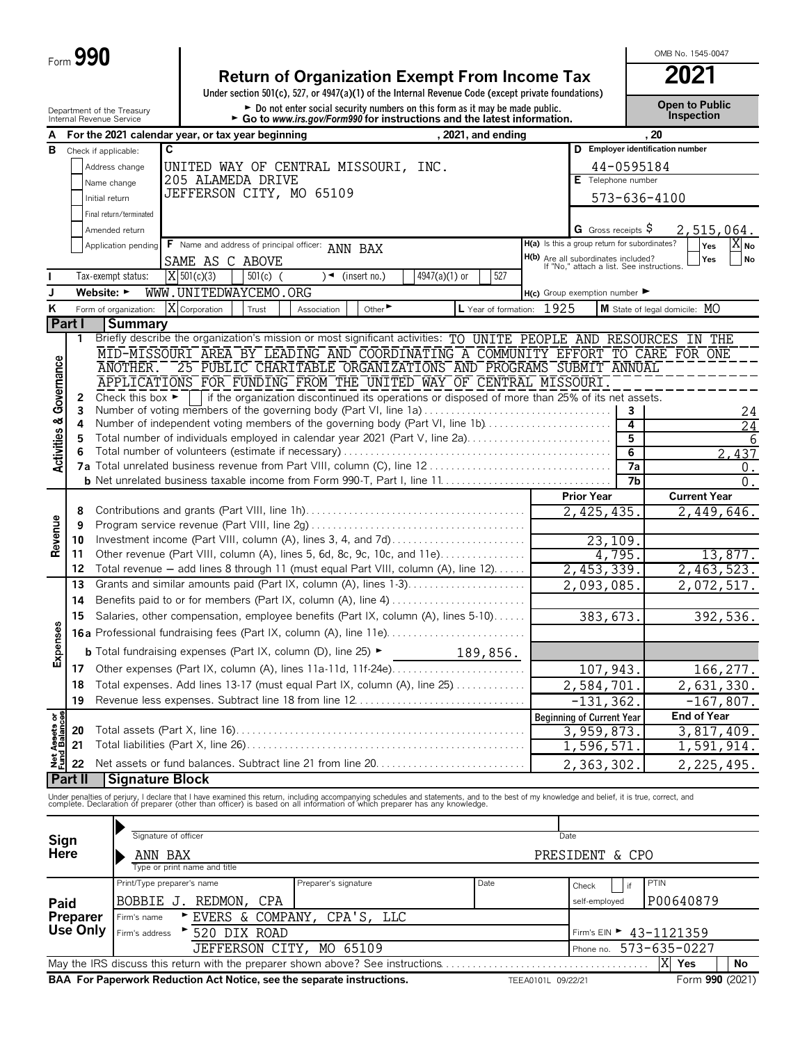| Form $990$ |  |
|------------|--|
|            |  |

# **Return of Organization Exempt From Income Tax**<br>
Under section 501(c), 527, or 4947(a)(1) of the Internal Revenue Code (except private foundations)

Department of the Treasury **Depen to Public**<br>Internal Revenue Service **Community Proper to Public Form 990 for instructions and the latest information.** The Communic of the **Community of Community** Communic Communic Com

OMB No. 1545-0047

| A                              |                 |                                | , 2021, and ending<br>For the 2021 calendar year, or tax year beginning                                                                                                                                                           |                    |                                                                                  | , 20                |                                             |   |
|--------------------------------|-----------------|--------------------------------|-----------------------------------------------------------------------------------------------------------------------------------------------------------------------------------------------------------------------------------|--------------------|----------------------------------------------------------------------------------|---------------------|---------------------------------------------|---|
| в                              |                 | Check if applicable:           | C                                                                                                                                                                                                                                 |                    |                                                                                  |                     | D Employer identification number            |   |
|                                |                 | Address change                 | UNITED WAY OF CENTRAL MISSOURI, INC.                                                                                                                                                                                              |                    |                                                                                  | 44-0595184          |                                             |   |
|                                |                 | Name change                    | 205 ALAMEDA DRIVE                                                                                                                                                                                                                 |                    | E Telephone number                                                               |                     |                                             |   |
|                                |                 | Initial return                 | JEFFERSON CITY, MO 65109                                                                                                                                                                                                          |                    |                                                                                  | 573-636-4100        |                                             |   |
|                                |                 | Final return/terminated        |                                                                                                                                                                                                                                   |                    |                                                                                  |                     |                                             |   |
|                                |                 | Amended return                 |                                                                                                                                                                                                                                   |                    | G Gross receipts $\varsigma$                                                     |                     | 2,515,064.                                  |   |
|                                |                 | Application pending            | F Name and address of principal officer: ANN BAX                                                                                                                                                                                  |                    | H(a) Is this a group return for subordinates?                                    |                     | $X_{\mathsf{No}}$<br>Yes                    |   |
|                                |                 |                                | SAME AS C ABOVE                                                                                                                                                                                                                   |                    | H(b) Are all subordinates included?<br>If "No," attach a list. See instructions. |                     | Yes<br><b>No</b>                            |   |
|                                |                 | Tax-exempt status:             | $X$ 501(c)(3)<br>$501(c)$ (<br>527<br>$\sqrt{ }$ (insert no.)<br>$4947(a)(1)$ or                                                                                                                                                  |                    |                                                                                  |                     |                                             |   |
| J                              |                 | Website: $\blacktriangleright$ | WWW.UNITEDWAYCEMO.ORG                                                                                                                                                                                                             |                    | $H(c)$ Group exemption number $\blacktriangleright$                              |                     |                                             |   |
| K                              |                 | Form of organization:          | X Corporation<br>Other $\blacktriangleright$<br>L Year of formation: 1925<br>Trust<br>Association                                                                                                                                 |                    |                                                                                  |                     | M State of legal domicile: MO               |   |
|                                | Part I          | <b>Summary</b>                 |                                                                                                                                                                                                                                   |                    |                                                                                  |                     |                                             |   |
|                                | 1               |                                | Briefly describe the organization's mission or most significant activities: TO UNITE PEOPLE AND RESOURCES IN THE                                                                                                                  |                    |                                                                                  |                     |                                             |   |
|                                |                 |                                | MID-MISSOURI AREA BY LEADING AND COORDINATING A COMMUNITY EFFORT TO CARE FOR ONE                                                                                                                                                  |                    |                                                                                  |                     |                                             |   |
| Governance                     |                 | ANOTHER.                       | 25 PUBLIC CHARITABLE ORGANIZATIONS AND PROGRAMS SUBMIT ANNUAL                                                                                                                                                                     |                    |                                                                                  |                     |                                             |   |
|                                |                 |                                | APPLICATIONS FOR FUNDING FROM THE UNITED WAY OF CENTRAL MISSOURI.                                                                                                                                                                 |                    |                                                                                  |                     |                                             |   |
|                                | 2               |                                | Check this box $\blacktriangleright$   if the organization discontinued its operations or disposed of more than 25% of its net assets.                                                                                            |                    |                                                                                  |                     |                                             |   |
|                                | 3<br>4          |                                | Number of voting members of the governing body (Part VI, line 1a)<br>Number of independent voting members of the governing body (Part VI, line 1b)                                                                                |                    |                                                                                  | 3<br>$\overline{4}$ | 24                                          |   |
|                                | 5               |                                | Total number of individuals employed in calendar year 2021 (Part V, line 2a)                                                                                                                                                      |                    |                                                                                  | 5                   | 24                                          | 6 |
| <b>Activities &amp;</b>        | 6               |                                |                                                                                                                                                                                                                                   |                    |                                                                                  | 6                   | 2,437                                       |   |
|                                |                 |                                |                                                                                                                                                                                                                                   |                    |                                                                                  | 7a                  | 0.                                          |   |
|                                |                 |                                |                                                                                                                                                                                                                                   |                    |                                                                                  | 7b                  | $0$ .                                       |   |
|                                |                 |                                |                                                                                                                                                                                                                                   |                    | <b>Prior Year</b>                                                                |                     | <b>Current Year</b>                         |   |
|                                | 8               |                                |                                                                                                                                                                                                                                   |                    | 2,425,435.                                                                       |                     | 2,449,646.                                  |   |
| Revenue                        | 9               |                                |                                                                                                                                                                                                                                   |                    |                                                                                  |                     |                                             |   |
|                                | 10              |                                | Investment income (Part VIII, column (A), lines 3, 4, and 7d)                                                                                                                                                                     |                    | 23,109.                                                                          |                     |                                             |   |
|                                | 11              |                                | Other revenue (Part VIII, column (A), lines 5, 6d, 8c, 9c, 10c, and 11e)                                                                                                                                                          |                    | 4,795.                                                                           |                     | 13,877.                                     |   |
|                                | 12              |                                | Total revenue - add lines 8 through 11 (must equal Part VIII, column (A), line 12)                                                                                                                                                |                    | 2,453,339.                                                                       |                     | 2,463,523.                                  |   |
|                                | 13              |                                | Grants and similar amounts paid (Part IX, column (A), lines 1-3)                                                                                                                                                                  |                    | 2,093,085.                                                                       |                     | 2,072,517.                                  |   |
|                                | 14              |                                | Benefits paid to or for members (Part IX, column (A), line 4)                                                                                                                                                                     |                    |                                                                                  |                     |                                             |   |
|                                | 15              |                                | Salaries, other compensation, employee benefits (Part IX, column (A), lines 5-10)                                                                                                                                                 |                    | 383,673.                                                                         |                     | 392,536.                                    |   |
| Expenses                       |                 |                                |                                                                                                                                                                                                                                   |                    |                                                                                  |                     |                                             |   |
|                                |                 |                                | <b>b</b> Total fundraising expenses (Part IX, column (D), line 25) $\blacktriangleright$<br>189,856.                                                                                                                              |                    |                                                                                  |                     |                                             |   |
|                                | 17              |                                |                                                                                                                                                                                                                                   |                    | 107,943.                                                                         |                     | 166,277.                                    |   |
|                                | 18              |                                | Total expenses. Add lines 13-17 (must equal Part IX, column (A), line 25)                                                                                                                                                         |                    | 2,584,701.                                                                       |                     | 2,631,330.                                  |   |
|                                | 19              |                                |                                                                                                                                                                                                                                   |                    | $-131, 362.$                                                                     |                     | $-167,807.$                                 |   |
| Net Assets or<br>Fund Balances |                 |                                |                                                                                                                                                                                                                                   |                    | <b>Beginning of Current Year</b>                                                 |                     | <b>End of Year</b>                          |   |
|                                | 20              |                                |                                                                                                                                                                                                                                   |                    | 3,959,873.                                                                       |                     | 3,817,409.                                  |   |
|                                | 21              |                                |                                                                                                                                                                                                                                   |                    | 1,596,571                                                                        |                     | 1,591,914.                                  |   |
|                                | 22              |                                | Net assets or fund balances. Subtract line 21 from line 20                                                                                                                                                                        |                    | 2,363,302.                                                                       |                     | 2,225,495.                                  |   |
|                                | Part II         | <b>Signature Block</b>         |                                                                                                                                                                                                                                   |                    |                                                                                  |                     |                                             |   |
|                                |                 |                                | Under penalties of perjury, I declare that I have examined this return, including accompanying schedules and statements, and to the best of my knowledge and belief, it is true, correct, and<br>complete. Declaration of prepare |                    |                                                                                  |                     |                                             |   |
|                                |                 |                                |                                                                                                                                                                                                                                   |                    |                                                                                  |                     |                                             |   |
|                                |                 |                                | Signature of officer                                                                                                                                                                                                              |                    | Date                                                                             |                     |                                             |   |
| Sign<br>Here                   |                 |                                | ANN BAX                                                                                                                                                                                                                           |                    | PRESIDENT & CPO                                                                  |                     |                                             |   |
|                                |                 |                                | Type or print name and title                                                                                                                                                                                                      |                    |                                                                                  |                     |                                             |   |
|                                |                 |                                | Print/Type preparer's name<br>Preparer's signature<br>Date                                                                                                                                                                        |                    | Check                                                                            | if                  | PTIN                                        |   |
| Paid                           |                 |                                | BOBBIE J. REDMON, CPA                                                                                                                                                                                                             |                    | self-employed                                                                    |                     | P00640879                                   |   |
|                                | <b>Preparer</b> | Firm's name                    | EVERS & COMPANY,<br>CPA'S,<br><b>TTC</b>                                                                                                                                                                                          |                    |                                                                                  |                     |                                             |   |
|                                | <b>Use Only</b> | Firm's address                 | 520 DIX ROAD                                                                                                                                                                                                                      |                    |                                                                                  |                     | Firm's EIN $\blacktriangleright$ 43-1121359 |   |
|                                |                 |                                | JEFFERSON CITY,<br>MO 65109                                                                                                                                                                                                       |                    | Phone no.                                                                        |                     | 573-635-0227                                |   |
|                                |                 |                                | May the IRS discuss this return with the preparer shown above? See instructions                                                                                                                                                   |                    |                                                                                  |                     | X<br>Yes<br>No                              |   |
|                                |                 |                                | BAA For Paperwork Reduction Act Notice, see the separate instructions.                                                                                                                                                            | TEEA0101L 09/22/21 |                                                                                  |                     | Form 990 (2021)                             |   |
|                                |                 |                                |                                                                                                                                                                                                                                   |                    |                                                                                  |                     |                                             |   |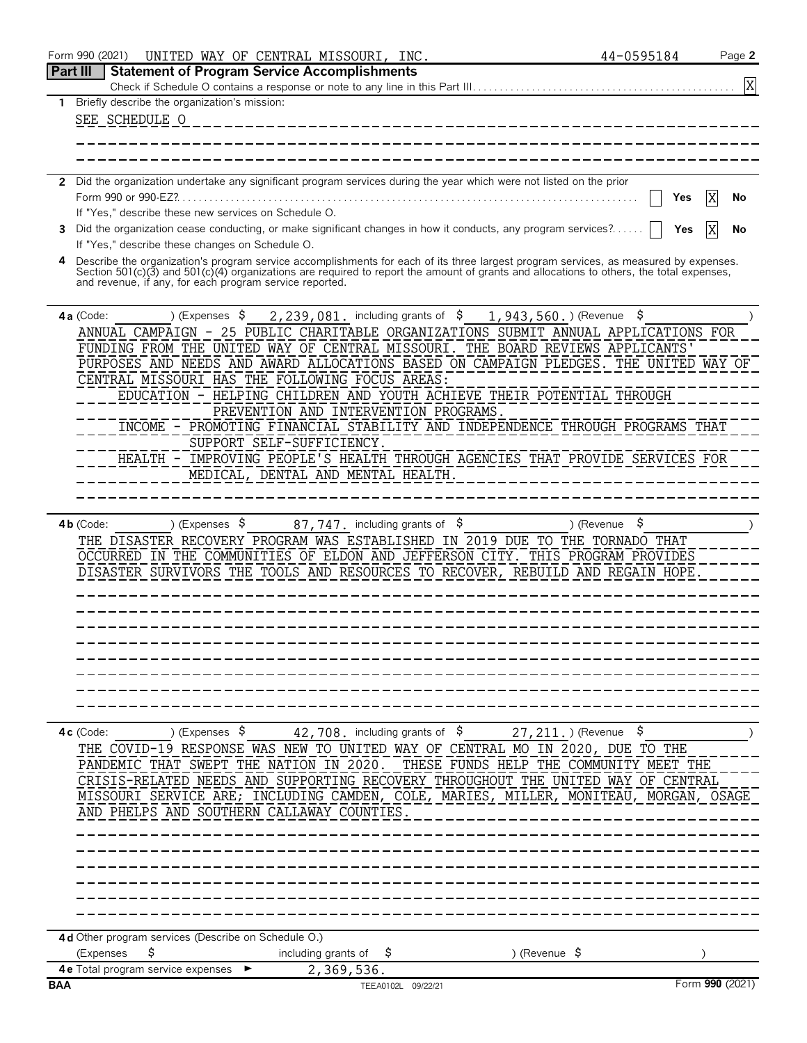|     | Form 990 (2021)<br>UNITED WAY OF CENTRAL MISSOURI, INC.                                                                                                                                                                                                                                                                                     | 44-0595184            | Page 2          |
|-----|---------------------------------------------------------------------------------------------------------------------------------------------------------------------------------------------------------------------------------------------------------------------------------------------------------------------------------------------|-----------------------|-----------------|
|     | <b>Statement of Program Service Accomplishments</b><br>Part III                                                                                                                                                                                                                                                                             |                       |                 |
| 1   | Check if Schedule O contains a response or note to any line in this Part III<br>Briefly describe the organization's mission:                                                                                                                                                                                                                |                       | X               |
|     | SEE SCHEDULE O                                                                                                                                                                                                                                                                                                                              |                       |                 |
|     |                                                                                                                                                                                                                                                                                                                                             |                       |                 |
|     |                                                                                                                                                                                                                                                                                                                                             |                       |                 |
|     |                                                                                                                                                                                                                                                                                                                                             |                       |                 |
|     | 2 Did the organization undertake any significant program services during the year which were not listed on the prior<br>Form 990 or 990-EZ?                                                                                                                                                                                                 |                       |                 |
|     | If "Yes," describe these new services on Schedule O.                                                                                                                                                                                                                                                                                        | Yes                   | No              |
| 3   | Did the organization cease conducting, or make significant changes in how it conducts, any program services?                                                                                                                                                                                                                                | Yes                   | X<br>No         |
|     | If "Yes," describe these changes on Schedule O.                                                                                                                                                                                                                                                                                             |                       |                 |
| 4   | Describe the organization's program service accomplishments for each of its three largest program services, as measured by expenses.<br>Section 501(c)(3) and 501(c)(4) organizations are required to report the amount of grants and allocations to others, the total expenses,<br>and revenue, if any, for each program service reported. |                       |                 |
|     | $2,239,081$ . including grants of $$$<br>(Express 5)<br>$4a$ (Code:<br>1, 943, 560. ) (Revenue                                                                                                                                                                                                                                              | \$                    |                 |
|     | ANNUAL CAMPAIGN - 25 PUBLIC CHARITABLE ORGANIZATIONS SUBMIT ANNUAL APPLICATIONS FOR                                                                                                                                                                                                                                                         |                       |                 |
|     | FUNDING FROM THE UNITED WAY OF CENTRAL MISSOURI. THE BOARD REVIEWS APPLICANTS'                                                                                                                                                                                                                                                              |                       |                 |
|     | PURPOSES AND NEEDS AND AWARD ALLOCATIONS BASED ON CAMPAIGN PLEDGES. THE UNITED WAY OF                                                                                                                                                                                                                                                       |                       |                 |
|     | CENTRAL MISSOURI HAS THE FOLLOWING FOCUS AREAS:<br>EDUCATION - HELPING CHILDREN AND YOUTH ACHIEVE THEIR POTENTIAL THROUGH                                                                                                                                                                                                                   |                       |                 |
|     | PREVENTION AND INTERVENTION PROGRAMS                                                                                                                                                                                                                                                                                                        |                       |                 |
|     | INCOME - PROMOTING FINANCIAL STABILITY AND INDEPENDENCE THROUGH PROGRAMS THAT                                                                                                                                                                                                                                                               |                       |                 |
|     | SUPPORT SELF-SUFFICIENCY.                                                                                                                                                                                                                                                                                                                   |                       |                 |
|     | IMPROVING PEOPLE'S HEALTH THROUGH AGENCIES THAT PROVIDE SERVICES FOR<br>HEALTH -                                                                                                                                                                                                                                                            |                       |                 |
|     | MEDICAL, DENTAL AND MENTAL HEALTH.                                                                                                                                                                                                                                                                                                          |                       |                 |
|     |                                                                                                                                                                                                                                                                                                                                             |                       |                 |
|     |                                                                                                                                                                                                                                                                                                                                             | \$                    |                 |
|     | ) (Expenses $\sqrt{5}$<br>87,747. including grants of $$$<br>$4b$ (Code:<br>THE DISASTER RECOVERY PROGRAM WAS ESTABLISHED IN 2019 DUE TO THE TORNADO THAT                                                                                                                                                                                   | ) (Revenue            |                 |
|     | OCCURRED IN THE COMMUNITIES OF ELDON AND JEFFERSON CITY. THIS PROGRAM PROVIDES                                                                                                                                                                                                                                                              |                       |                 |
|     | DISASTER SURVIVORS THE TOOLS AND RESOURCES TO RECOVER, REBUILD AND REGAIN HOPE.                                                                                                                                                                                                                                                             |                       |                 |
|     |                                                                                                                                                                                                                                                                                                                                             |                       |                 |
|     |                                                                                                                                                                                                                                                                                                                                             |                       |                 |
|     |                                                                                                                                                                                                                                                                                                                                             |                       |                 |
|     |                                                                                                                                                                                                                                                                                                                                             |                       |                 |
|     |                                                                                                                                                                                                                                                                                                                                             |                       |                 |
|     |                                                                                                                                                                                                                                                                                                                                             |                       |                 |
|     |                                                                                                                                                                                                                                                                                                                                             |                       |                 |
|     |                                                                                                                                                                                                                                                                                                                                             |                       |                 |
|     | ) (Expenses \$<br>$42,708$ . including grants of \$<br>4c (Code:                                                                                                                                                                                                                                                                            | 27, 211.) (Revenue \$ |                 |
|     | THE COVID-19 RESPONSE WAS NEW TO UNITED WAY OF CENTRAL MO IN 2020, DUE TO THE                                                                                                                                                                                                                                                               |                       |                 |
|     | PANDEMIC THAT SWEPT THE NATION IN 2020. THESE FUNDS HELP THE COMMUNITY MEET THE                                                                                                                                                                                                                                                             |                       |                 |
|     | CRISIS-RELATED NEEDS AND SUPPORTING RECOVERY THROUGHOUT THE UNITED WAY OF CENTRAL                                                                                                                                                                                                                                                           |                       |                 |
|     | MISSOURI SERVICE ARE; INCLUDING CAMDEN, COLE, MARIES, MILLER, MONITEAU, MORGAN, OSAGE<br>AND PHELPS AND SOUTHERN CALLAWAY COUNTIES.                                                                                                                                                                                                         |                       |                 |
|     |                                                                                                                                                                                                                                                                                                                                             |                       |                 |
|     |                                                                                                                                                                                                                                                                                                                                             |                       |                 |
|     |                                                                                                                                                                                                                                                                                                                                             |                       |                 |
|     |                                                                                                                                                                                                                                                                                                                                             |                       |                 |
|     |                                                                                                                                                                                                                                                                                                                                             |                       |                 |
|     |                                                                                                                                                                                                                                                                                                                                             |                       |                 |
|     | 4d Other program services (Describe on Schedule O.)                                                                                                                                                                                                                                                                                         |                       |                 |
|     | \$<br>(Expenses<br>including grants of $\frac{1}{2}$<br>) (Revenue $\sqrt{5}$                                                                                                                                                                                                                                                               |                       |                 |
|     | 2,369,536.<br>4e Total program service expenses                                                                                                                                                                                                                                                                                             |                       |                 |
| BAA | TEEA0102L 09/22/21                                                                                                                                                                                                                                                                                                                          |                       | Form 990 (2021) |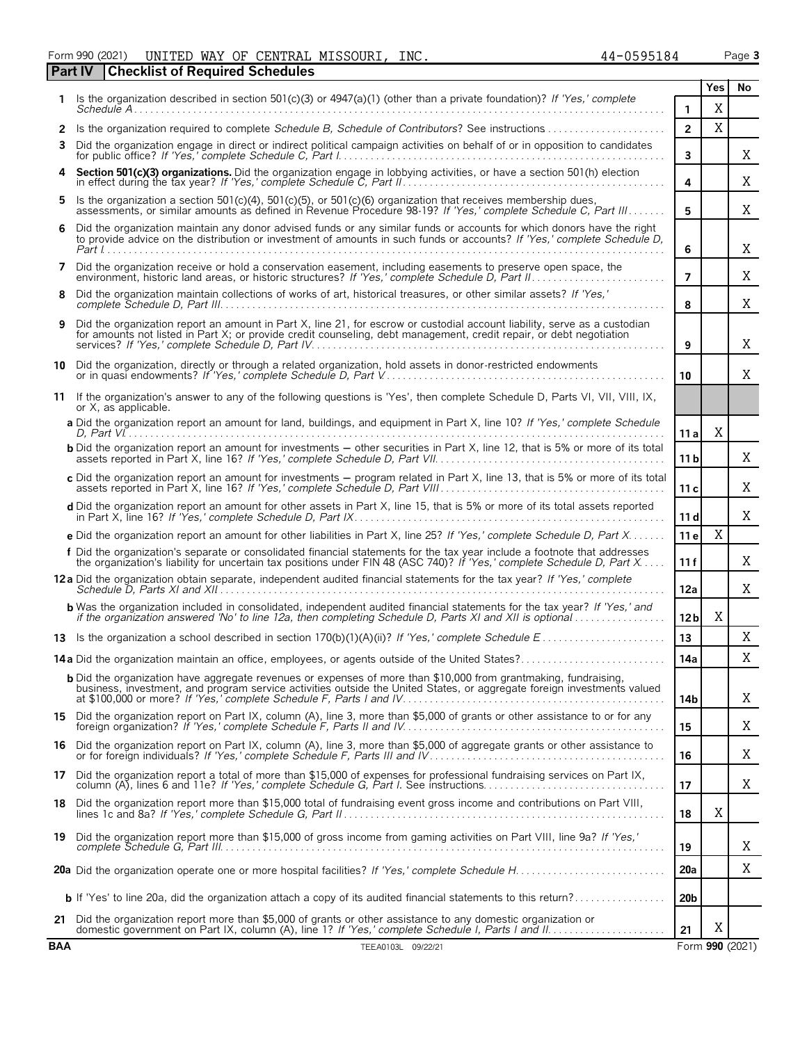| Form 990 (2021) |  |  |                                                | UNITED WAY OF CENTRAL MISSOURI, | INC. | 44-0595184 | Page 3 |
|-----------------|--|--|------------------------------------------------|---------------------------------|------|------------|--------|
|                 |  |  | <b>Part IV Checklist of Required Schedules</b> |                                 |      |            |        |

|            |                                                                                                                                                                                                                                                     |                 | Yes         | No              |
|------------|-----------------------------------------------------------------------------------------------------------------------------------------------------------------------------------------------------------------------------------------------------|-----------------|-------------|-----------------|
|            | Is the organization described in section 501(c)(3) or 4947(a)(1) (other than a private foundation)? If 'Yes,' complete<br>Schedule A                                                                                                                | 1               | Χ           |                 |
| 2          | Is the organization required to complete Schedule B. Schedule of Contributors? See instructions                                                                                                                                                     | $\overline{2}$  | $\mathbf X$ |                 |
| 3          | Did the organization engage in direct or indirect political campaign activities on behalf of or in opposition to candidates                                                                                                                         | 3               |             | X               |
|            | Section 501(c)(3) organizations. Did the organization engage in lobbying activities, or have a section 501(h) election in effect during the tax year? If 'Yes,' complete Schedule C, Part II.                                                       | 4               |             | Χ               |
| 5          | Is the organization a section 501(c)(4), 501(c)(5), or 501(c)(6) organization that receives membership dues,<br>assessments, or similar amounts as defined in Revenue Procedure 98-19? If 'Yes,' complete Schedule C, Part III.                     | 5               |             | X               |
| 6          | Did the organization maintain any donor advised funds or any similar funds or accounts for which donors have the right<br>to provide advice on the distribution or investment of amounts in such funds or accounts? If 'Yes,' complete Schedule D,  | 6               |             | X               |
| 7          | Did the organization receive or hold a conservation easement, including easements to preserve open space, the                                                                                                                                       | $\overline{7}$  |             | Χ               |
| 8          | Did the organization maintain collections of works of art, historical treasures, or other similar assets? If 'Yes,'                                                                                                                                 | 8               |             | Χ               |
| 9          | Did the organization report an amount in Part X, line 21, for escrow or custodial account liability, serve as a custodian<br>for amounts not listed in Part X; or provide credit counseling, debt management, credit repair, or debt negotiation    | 9               |             | X               |
| 10         | Did the organization, directly or through a related organization, hold assets in donor-restricted endowments                                                                                                                                        | 10              |             | Χ               |
|            | 11 If the organization's answer to any of the following questions is 'Yes', then complete Schedule D, Parts VI, VII, VIII, IX,<br>or X, as applicable.                                                                                              |                 |             |                 |
|            | a Did the organization report an amount for land, buildings, and equipment in Part X, line 10? If 'Yes,' complete Schedule                                                                                                                          | 11 a            | X           |                 |
|            | <b>b</b> Did the organization report an amount for investments - other securities in Part X, line 12, that is 5% or more of its total                                                                                                               | 11 <sub>b</sub> |             | Χ               |
|            | c Did the organization report an amount for investments - program related in Part X, line 13, that is 5% or more of its total                                                                                                                       | 11 c            |             | Χ               |
|            | d Did the organization report an amount for other assets in Part X, line 15, that is 5% or more of its total assets reported                                                                                                                        | 11d             |             | X               |
|            | e Did the organization report an amount for other liabilities in Part X, line 25? If 'Yes,' complete Schedule D, Part X                                                                                                                             | 11 <sub>e</sub> | $\rm X$     |                 |
|            | f Did the organization's separate or consolidated financial statements for the tax year include a footnote that addresses<br>the organization's liability for uncertain tax positions under FIN 48 (ASC 740)? If 'Yes,' complete Schedule D, Part X | 11f             |             | Χ               |
|            | 12a Did the organization obtain separate, independent audited financial statements for the tax year? If 'Yes,' complete                                                                                                                             | 12a             |             | Χ               |
|            | <b>b</b> Was the organization included in consolidated, independent audited financial statements for the tax year? If 'Yes,' and if the organization answered 'No' to line 12a, then completing Schedule D, Parts XI and XII is opt                 | 12 <sub>b</sub> | Χ           |                 |
|            |                                                                                                                                                                                                                                                     | 13              |             | X               |
|            | 14a Did the organization maintain an office, employees, or agents outside of the United States?                                                                                                                                                     | 14a             |             | Χ               |
|            | <b>b</b> Did the organization have aggregate revenues or expenses of more than \$10,000 from grantmaking, fundraising,<br>business, investment, and program service activities outside the United States, or aggregate foreign investments valued   | 14b             |             | Χ               |
|            | 15 Did the organization report on Part IX, column (A), line 3, more than \$5,000 of grants or other assistance to or for any                                                                                                                        | 15              |             | Χ               |
|            | 16 Did the organization report on Part IX, column (A), line 3, more than \$5,000 of aggregate grants or other assistance to or for foreign individuals? If 'Yes,' complete Schedule F, Parts III and IV.                                            | 16              |             | Χ               |
|            | 17 Did the organization report a total of more than \$15,000 of expenses for professional fundraising services on Part IX, column (A), lines 6 and 11e? If 'Yes,' complete Schedule G, Part I. See instructions.                                    | 17              |             | X               |
| 18         | Did the organization report more than \$15,000 total of fundraising event gross income and contributions on Part VIII,                                                                                                                              | 18              | Χ           |                 |
| 19         | Did the organization report more than \$15,000 of gross income from gaming activities on Part VIII, line 9a? If 'Yes,'                                                                                                                              | 19              |             | X               |
|            |                                                                                                                                                                                                                                                     | 20a             |             | Χ               |
|            | <b>b</b> If 'Yes' to line 20a, did the organization attach a copy of its audited financial statements to this return?                                                                                                                               | 20 <sub>b</sub> |             |                 |
| 21         | Did the organization report more than \$5,000 of grants or other assistance to any domestic organization or                                                                                                                                         | 21              | Χ           |                 |
| <b>BAA</b> | TEEA0103L 09/22/21                                                                                                                                                                                                                                  |                 |             | Form 990 (2021) |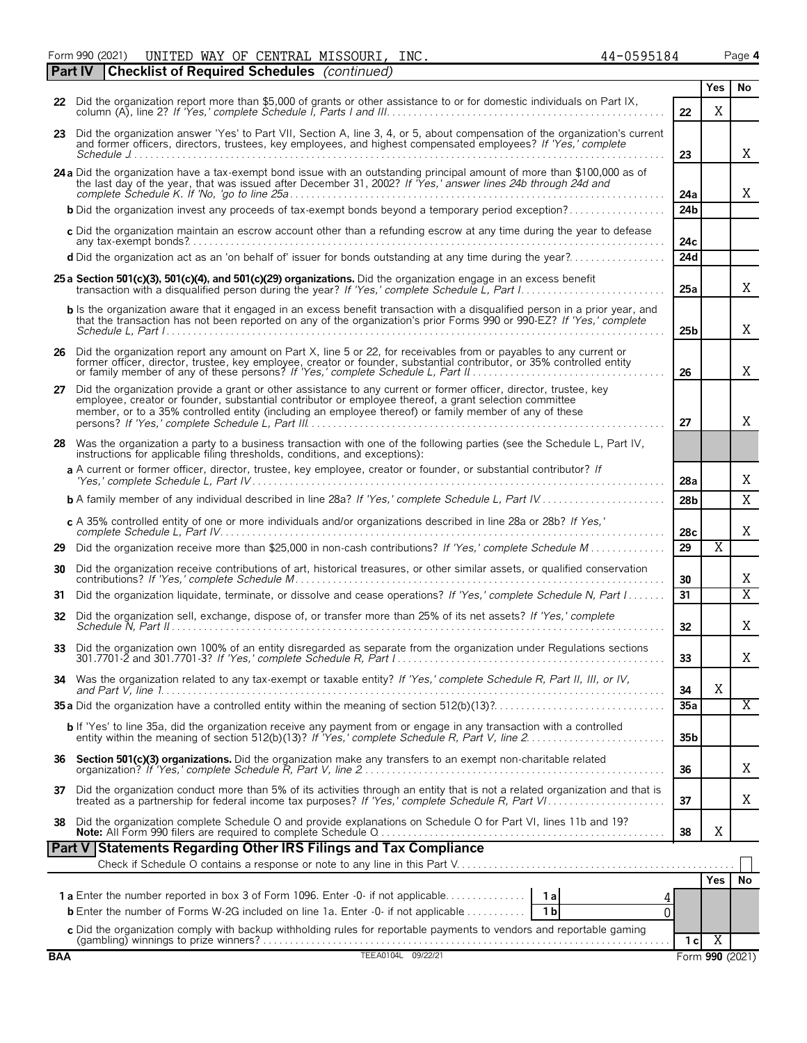|    | <b>Part IV</b> | <b>Checklist of Required Schedules</b> (continued)                                                                                                                                                                                                                                                                                    |                     |                 |                       |                         |
|----|----------------|---------------------------------------------------------------------------------------------------------------------------------------------------------------------------------------------------------------------------------------------------------------------------------------------------------------------------------------|---------------------|-----------------|-----------------------|-------------------------|
|    |                |                                                                                                                                                                                                                                                                                                                                       |                     |                 | Yes                   | No                      |
|    |                | 22 Did the organization report more than \$5,000 of grants or other assistance to or for domestic individuals on Part IX,                                                                                                                                                                                                             |                     | 22              | X                     |                         |
|    |                | 23 Did the organization answer 'Yes' to Part VII, Section A, line 3, 4, or 5, about compensation of the organization's current<br>and former officers, directors, trustees, key employees, and highest compensated employees? If 'Yes,' complete                                                                                      |                     | 23              |                       | Χ                       |
|    |                | 24 a Did the organization have a tax-exempt bond issue with an outstanding principal amount of more than \$100,000 as of<br>the last day of the year, that was issued after December 31, 2002? If "Yes,' answer lines 24b through 24d and                                                                                             |                     | 24a             |                       | X                       |
|    |                | <b>b</b> Did the organization invest any proceeds of tax-exempt bonds beyond a temporary period exception?                                                                                                                                                                                                                            |                     | 24 <sub>b</sub> |                       |                         |
|    |                | c Did the organization maintain an escrow account other than a refunding escrow at any time during the year to defease                                                                                                                                                                                                                |                     | 24c             |                       |                         |
|    |                | d Did the organization act as an 'on behalf of' issuer for bonds outstanding at any time during the year?                                                                                                                                                                                                                             |                     | 24d             |                       |                         |
|    |                | 25 a Section 501(c)(3), 501(c)(4), and 501(c)(29) organizations. Did the organization engage in an excess benefit                                                                                                                                                                                                                     |                     | 25a             |                       | X                       |
|    |                | <b>b</b> Is the organization aware that it engaged in an excess benefit transaction with a disqualified person in a prior year, and<br>that the transaction has not been reported on any of the organization's prior Forms 990 or 990-EZ? If 'Yes,' complete                                                                          |                     | 25 <sub>b</sub> |                       | X                       |
|    |                | 26 Did the organization report any amount on Part X, line 5 or 22, for receivables from or payables to any current or<br>former officer, director, trustee, key employee, creator or founder, substantial contributor, or 35% controlled entity                                                                                       |                     | 26              |                       | X                       |
| 27 |                | Did the organization provide a grant or other assistance to any current or former officer, director, trustee, key<br>employee, creator or founder, substantial contributor or employee thereof, a grant selection committee<br>member, or to a 35% controlled entity (including an employee thereof) or family member of any of these |                     | 27              |                       | X                       |
|    |                | 28 Was the organization a party to a business transaction with one of the following parties (see the Schedule L, Part IV,<br>instructions for applicable filing thresholds, conditions, and exceptions):                                                                                                                              |                     |                 |                       |                         |
|    |                | a A current or former officer, director, trustee, key employee, creator or founder, or substantial contributor? If                                                                                                                                                                                                                    |                     | 28a             |                       | X                       |
|    |                |                                                                                                                                                                                                                                                                                                                                       |                     | 28 <sub>b</sub> |                       | X                       |
|    |                | c A 35% controlled entity of one or more individuals and/or organizations described in line 28a or 28b? If Yes,'                                                                                                                                                                                                                      |                     | 28c             |                       | Χ                       |
| 29 |                | Did the organization receive more than \$25,000 in non-cash contributions? If 'Yes,' complete Schedule M                                                                                                                                                                                                                              |                     | 29              | $\overline{\text{X}}$ |                         |
| 30 |                | Did the organization receive contributions of art, historical treasures, or other similar assets, or qualified conservation                                                                                                                                                                                                           |                     | 30              |                       | Χ                       |
| 31 |                | Did the organization liquidate, terminate, or dissolve and cease operations? If 'Yes,' complete Schedule N, Part I                                                                                                                                                                                                                    |                     | 31              |                       | $\overline{\mathrm{X}}$ |
| 32 |                | Did the organization sell, exchange, dispose of, or transfer more than 25% of its net assets? If 'Yes,' complete                                                                                                                                                                                                                      |                     | 32              |                       | X                       |
| 33 |                | Did the organization own 100% of an entity disregarded as separate from the organization under Regulations sections                                                                                                                                                                                                                   |                     | 33              |                       | Χ                       |
| 34 |                | Was the organization related to any tax-exempt or taxable entity? If 'Yes,' complete Schedule R, Part II, III, or IV,                                                                                                                                                                                                                 |                     | 34              | X                     |                         |
|    |                |                                                                                                                                                                                                                                                                                                                                       |                     | 35a             |                       | Χ                       |
|    |                | <b>b</b> If 'Yes' to line 35a, did the organization receive any payment from or engage in any transaction with a controlled entity within the meaning of section 512(b)(13)? If 'Yes,' complete Schedule R, Part V, line 2.                                                                                                           |                     | 35 <sub>b</sub> |                       |                         |
|    |                | 36 Section 501(c)(3) organizations. Did the organization make any transfers to an exempt non-charitable related                                                                                                                                                                                                                       |                     | 36              |                       | X                       |
| 37 |                | Did the organization conduct more than 5% of its activities through an entity that is not a related organization and that is treated as a partnership for federal income tax purposes? If 'Yes,' complete Schedule R, Part VI.                                                                                                        |                     | 37              |                       | X                       |
| 38 |                | Did the organization complete Schedule O and provide explanations on Schedule O for Part VI, lines 11b and 19?                                                                                                                                                                                                                        |                     | 38              | X                     |                         |
|    |                | Part V Statements Regarding Other IRS Filings and Tax Compliance                                                                                                                                                                                                                                                                      |                     |                 |                       |                         |
|    |                |                                                                                                                                                                                                                                                                                                                                       |                     |                 | Yes l                 | No                      |
|    |                |                                                                                                                                                                                                                                                                                                                                       | 4                   |                 |                       |                         |
|    |                | <b>b</b> Enter the number of Forms W-2G included on line 1a. Enter -0- if not applicable $\ldots \ldots \ldots$                                                                                                                                                                                                                       | 1 <sub>b</sub><br>0 |                 |                       |                         |
|    |                | c Did the organization comply with backup withholding rules for reportable payments to vendors and reportable gaming                                                                                                                                                                                                                  |                     | 1 с             | Χ                     |                         |

#### Form 990 (2021) Page **4** UNITED WAY OF CENTRAL MISSOURI, INC. 44-0595184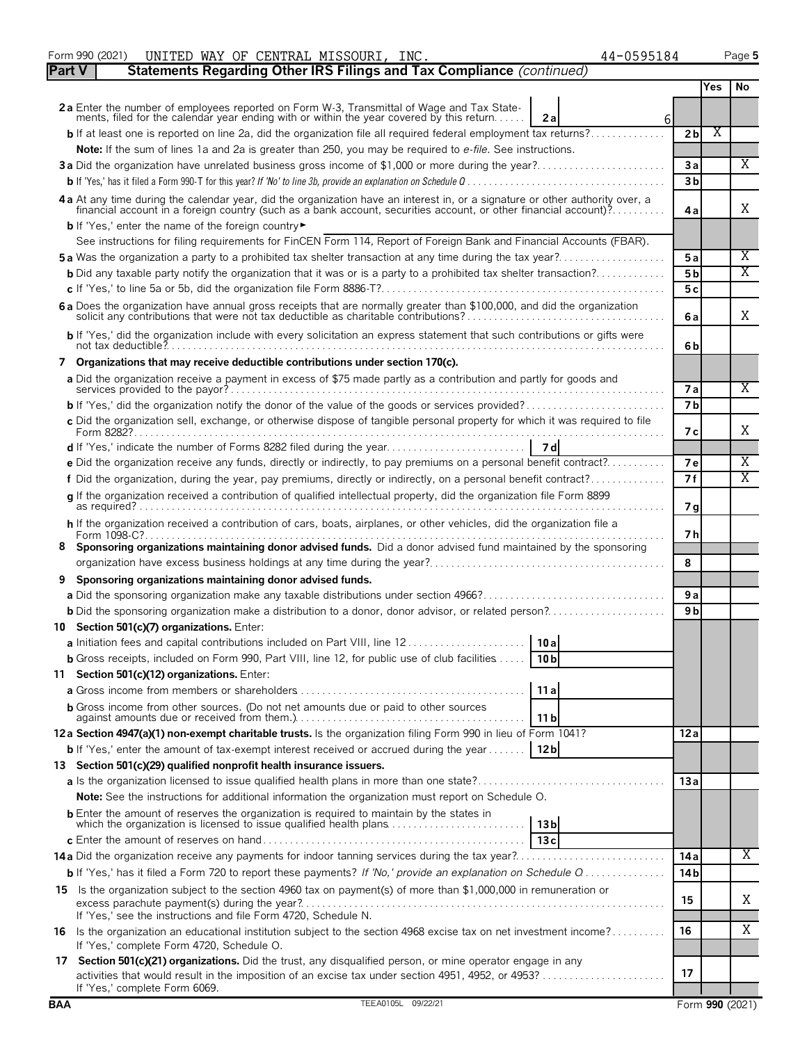|               | UNITED WAY OF CENTRAL MISSOURI, INC.<br>44-0595184<br>Form 990 (2021)                                                                                                                                                                            |                      |     | Page 5          |
|---------------|--------------------------------------------------------------------------------------------------------------------------------------------------------------------------------------------------------------------------------------------------|----------------------|-----|-----------------|
| <b>Part V</b> | Statements Regarding Other IRS Filings and Tax Compliance (continued)                                                                                                                                                                            |                      |     |                 |
|               |                                                                                                                                                                                                                                                  |                      | Yes | No              |
|               | 2a Enter the number of employees reported on Form W-3, Transmittal of Wage and Tax Statements, filed for the calendar year ending with or within the year covered by this return<br>2a                                                           |                      |     |                 |
|               | <b>b</b> If at least one is reported on line 2a, did the organization file all required federal employment tax returns?                                                                                                                          | 6<br>2 <sub>b</sub>  | Χ   |                 |
|               | Note: If the sum of lines 1a and 2a is greater than 250, you may be required to e-file. See instructions.                                                                                                                                        |                      |     |                 |
|               | 3a Did the organization have unrelated business gross income of \$1,000 or more during the year?                                                                                                                                                 | 3a                   |     | X               |
|               |                                                                                                                                                                                                                                                  | 3 <sub>b</sub>       |     |                 |
|               |                                                                                                                                                                                                                                                  |                      |     |                 |
|               | 4a At any time during the calendar year, did the organization have an interest in, or a signature or other authority over, a<br>financial account in a foreign country (such as a bank account, securities account, or other financial account)? | 4 a                  |     | X               |
|               | b If 'Yes,' enter the name of the foreign country                                                                                                                                                                                                |                      |     |                 |
|               | See instructions for filing requirements for FinCEN Form 114, Report of Foreign Bank and Financial Accounts (FBAR).                                                                                                                              |                      |     |                 |
|               | <b>5a</b> Was the organization a party to a prohibited tax shelter transaction at any time during the tax year?                                                                                                                                  | 5a                   |     | $\overline{X}$  |
|               | <b>b</b> Did any taxable party notify the organization that it was or is a party to a prohibited tax shelter transaction?                                                                                                                        | 5 <sub>b</sub>       |     | X               |
|               |                                                                                                                                                                                                                                                  | 5c                   |     |                 |
|               | 6 a Does the organization have annual gross receipts that are normally greater than \$100,000, and did the organization solicit any contributions that were not tax deductible as charitable contributions?                                      | 6a                   |     | X               |
|               | b If 'Yes,' did the organization include with every solicitation an express statement that such contributions or gifts were                                                                                                                      | 6b                   |     |                 |
|               | 7 Organizations that may receive deductible contributions under section 170(c).                                                                                                                                                                  |                      |     |                 |
|               | a Did the organization receive a payment in excess of \$75 made partly as a contribution and partly for goods and                                                                                                                                |                      |     | X               |
|               |                                                                                                                                                                                                                                                  | 7a<br>7 <sub>b</sub> |     |                 |
|               | c Did the organization sell, exchange, or otherwise dispose of tangible personal property for which it was required to file                                                                                                                      |                      |     | X               |
|               |                                                                                                                                                                                                                                                  | 7 с                  |     |                 |
|               | e Did the organization receive any funds, directly or indirectly, to pay premiums on a personal benefit contract?                                                                                                                                | 7e                   |     | X               |
|               | f Did the organization, during the year, pay premiums, directly or indirectly, on a personal benefit contract?                                                                                                                                   | 7f                   |     | $\overline{X}$  |
|               | g If the organization received a contribution of qualified intellectual property, did the organization file Form 8899                                                                                                                            | 7g                   |     |                 |
|               | h If the organization received a contribution of cars, boats, airplanes, or other vehicles, did the organization file a                                                                                                                          |                      |     |                 |
| 8             | Sponsoring organizations maintaining donor advised funds. Did a donor advised fund maintained by the sponsoring                                                                                                                                  | 7 h                  |     |                 |
|               |                                                                                                                                                                                                                                                  | 8                    |     |                 |
|               | Sponsoring organizations maintaining donor advised funds.                                                                                                                                                                                        |                      |     |                 |
|               |                                                                                                                                                                                                                                                  | 9a                   |     |                 |
|               | <b>b</b> Did the sponsoring organization make a distribution to a donor, donor advisor, or related person?                                                                                                                                       | 9 b                  |     |                 |
|               | 10 Section 501(c)(7) organizations. Enter:                                                                                                                                                                                                       |                      |     |                 |
|               | 10a<br>a Initiation fees and capital contributions included on Part VIII, line 12                                                                                                                                                                |                      |     |                 |
|               | <b>b</b> Gross receipts, included on Form 990, Part VIII, line 12, for public use of club facilities $\dots$ .<br>10 <sub>b</sub>                                                                                                                |                      |     |                 |
|               | 11 Section 501(c)(12) organizations. Enter:                                                                                                                                                                                                      |                      |     |                 |
|               | 11a                                                                                                                                                                                                                                              |                      |     |                 |
|               | <b>b</b> Gross income from other sources. (Do not net amounts due or paid to other sources<br>11 <sub>b</sub>                                                                                                                                    |                      |     |                 |
|               | 12a Section 4947(a)(1) non-exempt charitable trusts. Is the organization filing Form 990 in lieu of Form 1041?                                                                                                                                   | 12 a                 |     |                 |
|               | 12 <sub>b</sub><br><b>b</b> If 'Yes,' enter the amount of tax-exempt interest received or accrued during the year                                                                                                                                |                      |     |                 |
|               | 13 Section 501(c)(29) qualified nonprofit health insurance issuers.                                                                                                                                                                              |                      |     |                 |
|               |                                                                                                                                                                                                                                                  | 13a                  |     |                 |
|               | <b>Note:</b> See the instructions for additional information the organization must report on Schedule O.                                                                                                                                         |                      |     |                 |
|               | <b>b</b> Enter the amount of reserves the organization is required to maintain by the states in<br>which the organization is licensed to issue qualified health plans<br>13 <sub>b</sub>                                                         |                      |     |                 |
|               | 13c                                                                                                                                                                                                                                              |                      |     |                 |
|               |                                                                                                                                                                                                                                                  | 14 a                 |     | Χ               |
|               | <b>b</b> If 'Yes,' has it filed a Form 720 to report these payments? If 'No,' provide an explanation on Schedule $0$                                                                                                                             | 14 <sub>b</sub>      |     |                 |
|               | 15 Is the organization subject to the section 4960 tax on payment(s) of more than \$1,000,000 in remuneration or                                                                                                                                 | 15                   |     | Χ               |
|               | If 'Yes,' see the instructions and file Form 4720, Schedule N.                                                                                                                                                                                   | 16                   |     | Χ               |
|               | 16 Is the organization an educational institution subject to the section 4968 excise tax on net investment income?<br>If 'Yes,' complete Form 4720, Schedule O.                                                                                  |                      |     |                 |
|               | 17 Section 501(c)(21) organizations. Did the trust, any disqualified person, or mine operator engage in any<br>activities that would result in the imposition of an excise tax under section 4951, 4952, or 4953?                                | 17                   |     |                 |
|               | If 'Yes,' complete Form 6069.                                                                                                                                                                                                                    |                      |     |                 |
| <b>BAA</b>    | TEEA0105L 09/22/21                                                                                                                                                                                                                               |                      |     | Form 990 (2021) |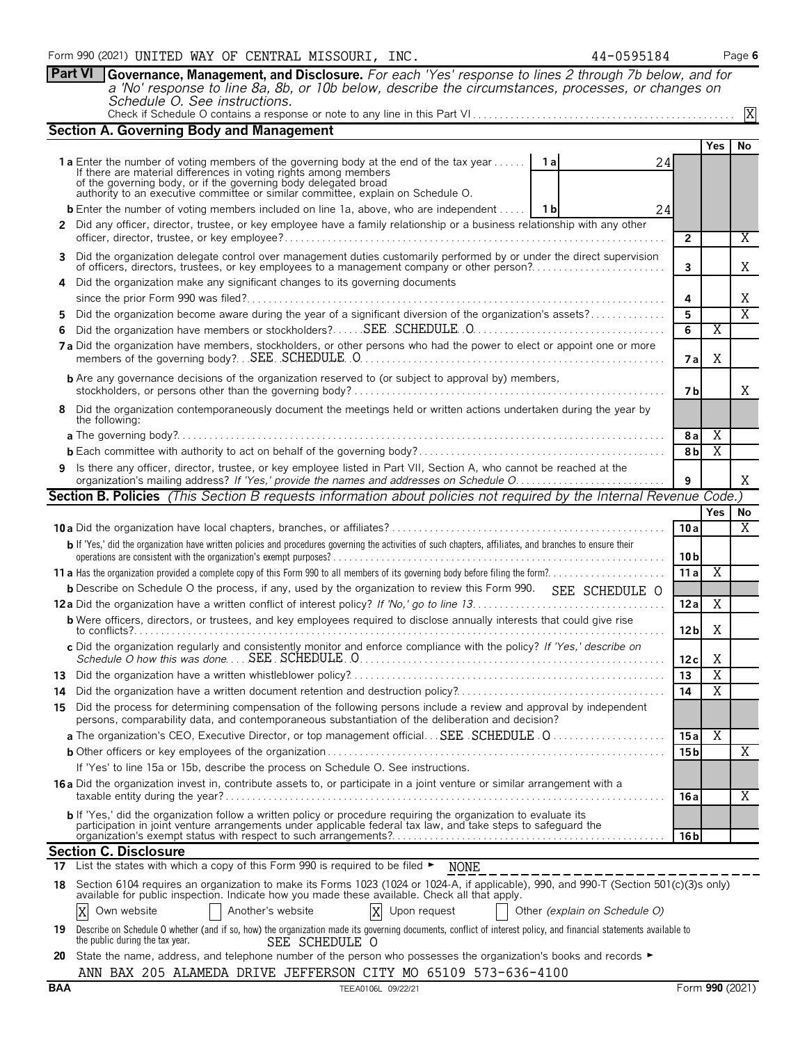**Part VI Governance, Management, and Disclosure.** *For each 'Yes' response to lines 2 through 7b below, and for a 'No' response to line 8a, 8b, or 10b below, describe the circumstances, processes, or changes on Schedule O. See instructions.*

|--|--|

|    | <b>Section A. Governing Body and Management</b>                                                                                                                                                                                         |                 |                         |                     |
|----|-----------------------------------------------------------------------------------------------------------------------------------------------------------------------------------------------------------------------------------------|-----------------|-------------------------|---------------------|
|    |                                                                                                                                                                                                                                         |                 | <b>Yes</b>              | No                  |
|    | <b>1a</b> Enter the number of voting members of the governing body at the end of the tax year <b>1a</b><br>24<br>If there are material differences in voting rights among members                                                       |                 |                         |                     |
|    | of the governing body, or if the governing body delegated broad                                                                                                                                                                         |                 |                         |                     |
|    | authority to an executive committee or similar committee, explain on Schedule O.                                                                                                                                                        |                 |                         |                     |
|    | <b>b</b> Enter the number of voting members included on line 1a, above, who are independent    1b<br>24<br>2 Did any officer, director, trustee, or key employee have a family relationship or a business relationship with any other   |                 |                         |                     |
|    |                                                                                                                                                                                                                                         | $\overline{2}$  |                         | $\overline{X}$      |
| 3  | Did the organization delegate control over management duties customarily performed by or under the direct supervision                                                                                                                   |                 |                         |                     |
|    |                                                                                                                                                                                                                                         | 3               |                         | X                   |
| 4  | Did the organization make any significant changes to its governing documents                                                                                                                                                            |                 |                         |                     |
|    | Did the organization become aware during the year of a significant diversion of the organization's assets?                                                                                                                              | 4               |                         | X<br>$\overline{X}$ |
| 6  |                                                                                                                                                                                                                                         | 5<br>6          | $\overline{\mathbf{X}}$ |                     |
|    | 7a Did the organization have members, stockholders, or other persons who had the power to elect or appoint one or more                                                                                                                  |                 |                         |                     |
|    |                                                                                                                                                                                                                                         | 7 a             | Χ                       |                     |
|    | <b>b</b> Are any governance decisions of the organization reserved to (or subject to approval by) members,                                                                                                                              | <b>7b</b>       |                         | Χ                   |
|    | 8 Did the organization contemporaneously document the meetings held or written actions undertaken during the year by<br>the following:                                                                                                  |                 |                         |                     |
|    |                                                                                                                                                                                                                                         | 8 a             | X                       |                     |
|    |                                                                                                                                                                                                                                         | 8b              | $\overline{X}$          |                     |
|    | 9 Is there any officer, director, trustee, or key employee listed in Part VII, Section A, who cannot be reached at the                                                                                                                  |                 |                         |                     |
|    | Section B. Policies (This Section B requests information about policies not required by the Internal Revenue Code.)                                                                                                                     | 9               |                         | X                   |
|    |                                                                                                                                                                                                                                         |                 | <b>Yes</b>              | No                  |
|    |                                                                                                                                                                                                                                         | 10a             |                         | X                   |
|    | b If 'Yes,' did the organization have written policies and procedures governing the activities of such chapters, affiliates, and branches to ensure their                                                                               |                 |                         |                     |
|    |                                                                                                                                                                                                                                         | 10 <sub>b</sub> |                         |                     |
|    |                                                                                                                                                                                                                                         | 11 a            | Χ                       |                     |
|    | <b>b</b> Describe on Schedule O the process, if any, used by the organization to review this Form 990. SEE SCHEDULE O                                                                                                                   | 12a             | X                       |                     |
|    | <b>b</b> Were officers, directors, or trustees, and key employees required to disclose annually interests that could give rise                                                                                                          |                 |                         |                     |
|    |                                                                                                                                                                                                                                         | 12 <sub>b</sub> | Χ                       |                     |
|    |                                                                                                                                                                                                                                         | 12c             | Χ                       |                     |
|    |                                                                                                                                                                                                                                         | 13              | $\overline{\text{X}}$   |                     |
| 14 |                                                                                                                                                                                                                                         | 14              | $\overline{X}$          |                     |
|    | 15 Did the process for determining compensation of the following persons include a review and approval by independent<br>persons, comparability data, and contemporaneous substantiation of the deliberation and decision?              |                 |                         |                     |
|    | a The organization's CEO, Executive Director, or top management official SEE. SCHEDULE 0                                                                                                                                                | 15 a            | X                       |                     |
|    |                                                                                                                                                                                                                                         | 15 <sub>b</sub> |                         | X                   |
|    | If 'Yes' to line 15a or 15b, describe the process on Schedule O. See instructions.                                                                                                                                                      |                 |                         |                     |
|    | 16 a Did the organization invest in, contribute assets to, or participate in a joint venture or similar arrangement with a                                                                                                              | 16 a            |                         | X                   |
|    | <b>b</b> If 'Yes,' did the organization follow a written policy or procedure requiring the organization to evaluate its                                                                                                                 |                 |                         |                     |
|    | participation in joint venture arrangements under applicable federal tax law, and take steps to safeguard the                                                                                                                           | 16 b            |                         |                     |
|    | <b>Section C. Disclosure</b>                                                                                                                                                                                                            |                 |                         |                     |
|    | 17 List the states with which a copy of this Form 990 is required to be filed $\blacktriangleright$<br>NONE                                                                                                                             |                 |                         |                     |
| 18 | Section 6104 requires an organization to make its Forms 1023 (1024 or 1024-A, if applicable), 990, and 990-T (Section 501(c)(3)s only)<br>available for public inspection. Indicate how you made these available. Check all that apply. |                 |                         |                     |
|    | Another's website<br>X<br>Own website<br>Upon request<br>Other (explain on Schedule O)<br>ΙX                                                                                                                                            |                 |                         |                     |
| 19 | Describe on Schedule O whether (and if so, how) the organization made its governing documents, conflict of interest policy, and financial statements available to<br>the public during the tax year.<br>SEE SCHEDULE O                  |                 |                         |                     |

**20** State the name, address, and telephone number of the person who possesses the organization's books and records ► ANN BAX 205 ALAMEDA DRIVE JEFFERSON CITY MO 65109 573-636-4100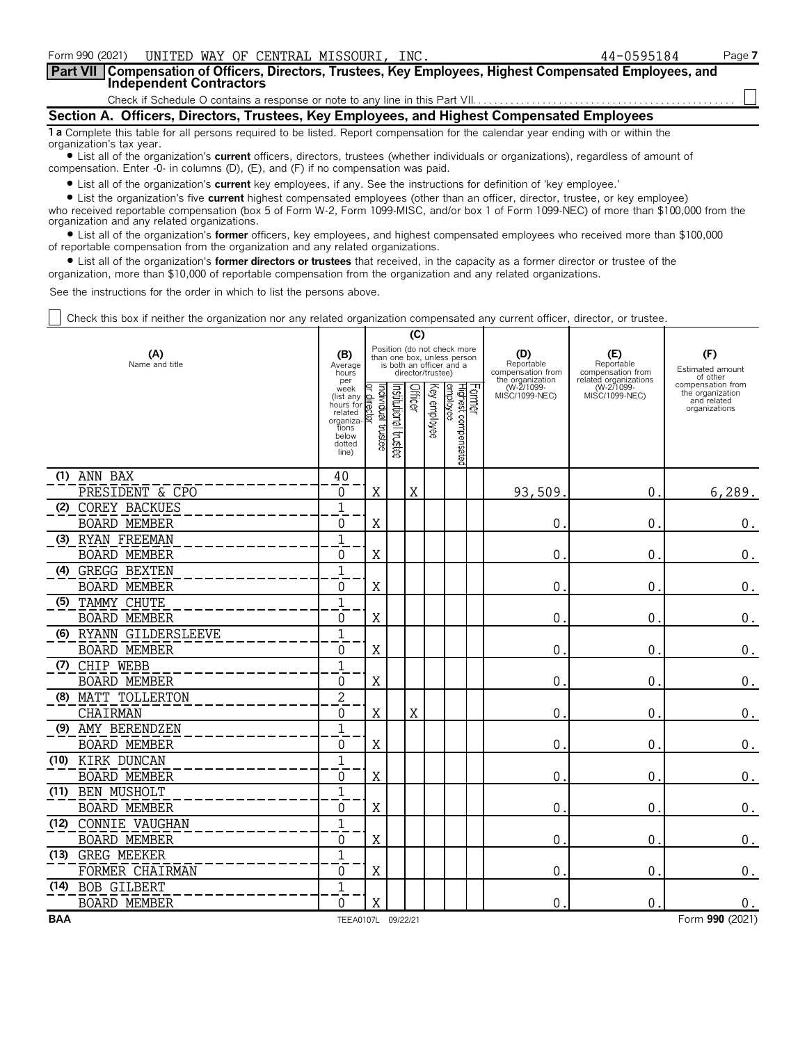| Form 990 (2021) UNITED WAY OF CENTRAL MISSOURI, INC.                                                                                                           | 44-0595184 | Page 7 |  |  |  |  |  |  |
|----------------------------------------------------------------------------------------------------------------------------------------------------------------|------------|--------|--|--|--|--|--|--|
| Part VII   Compensation of Officers, Directors, Trustees, Key Employees, Highest Compensated Employees, and<br><b>Independent Contractors</b>                  |            |        |  |  |  |  |  |  |
|                                                                                                                                                                |            |        |  |  |  |  |  |  |
|                                                                                                                                                                |            |        |  |  |  |  |  |  |
| Section A. Officers, Directors, Trustees, Key Employees, and Highest Compensated Employees                                                                     |            |        |  |  |  |  |  |  |
| 1 a Complete this table for all persons required to be listed. Report compensation for the calendar year ending with or within the<br>organization's tax year. |            |        |  |  |  |  |  |  |
| If the organization's current officers, directors, trustees (whether individuals or organizations), regardless of amount of                                    |            |        |  |  |  |  |  |  |

? List all of the organization's **current** officers, directors, trustees (whether individuals or organizations), regardless of amount of compensation. Enter -0- in columns (D), (E), and (F) if no compensation was paid.

? List all of the organization's **current** key employees, if any. See the instructions for definition of 'key employee.'

? List the organization's five **current** highest compensated employees (other than an officer, director, trustee, or key employee) who received reportable compensation (box 5 of Form W-2, Form 1099-MISC, and/or box 1 of Form 1099-NEC) of more than \$100,000 from the organization and any related organizations.

? List all of the organization's **former** officers, key employees, and highest compensated employees who received more than \$100,000 of reportable compensation from the organization and any related organizations.

? List all of the organization's **former directors or trustees** that received, in the capacity as a former director or trustee of the organization, more than \$10,000 of reportable compensation from the organization and any related organizations.

See the instructions for the order in which to list the persons above.

Check this box if neither the organization nor any related organization compensated any current officer, director, or trustee.

|                       |                        |                                                                                                    | (C)                                                                                                         |                      |         |              |                                 |        |                                                  |                                                                 |                                                                       |
|-----------------------|------------------------|----------------------------------------------------------------------------------------------------|-------------------------------------------------------------------------------------------------------------|----------------------|---------|--------------|---------------------------------|--------|--------------------------------------------------|-----------------------------------------------------------------|-----------------------------------------------------------------------|
| (A)<br>Name and title |                        |                                                                                                    | Position (do not check more<br>than one box, unless person<br>is both an officer and a<br>director/trustee) |                      |         |              |                                 |        | (D)<br>Reportable<br>compensation from           | (E)<br>Reportable<br>compensation from<br>related organizations | (F)<br>Estimated amount<br>of other                                   |
|                       |                        | per<br>week<br>(list any<br>hours for<br>related<br>organiza-<br>tions<br>below<br>dotted<br>line) | ndividual trustee<br>direct<br>হ                                                                            | hstitutional trustee | Officer | Key employee | employee<br>Highest compensated | Former | the organization<br>(W-2/1099-<br>MISC/1099-NEC) | (W-2/1099-<br>MISC/1099-NEC)                                    | compensation from<br>the organization<br>and related<br>organizations |
|                       | (1) ANN BAX            | 40                                                                                                 |                                                                                                             |                      |         |              |                                 |        |                                                  |                                                                 |                                                                       |
|                       | PRESIDENT & CPO        | 0                                                                                                  | $\mathbf X$                                                                                                 |                      | $\rm X$ |              |                                 |        | 93,509                                           | $\mathbf 0$                                                     | 6,289.                                                                |
|                       | (2) COREY BACKUES      | $\mathbf{1}$                                                                                       |                                                                                                             |                      |         |              |                                 |        |                                                  |                                                                 |                                                                       |
|                       | <b>BOARD MEMBER</b>    | 0                                                                                                  | Χ                                                                                                           |                      |         |              |                                 |        | 0                                                | 0                                                               | $\boldsymbol{0}$ .                                                    |
|                       | (3) RYAN FREEMAN       | $\overline{1}$                                                                                     |                                                                                                             |                      |         |              |                                 |        |                                                  |                                                                 |                                                                       |
|                       | <b>BOARD MEMBER</b>    | 0                                                                                                  | $\mathbf X$                                                                                                 |                      |         |              |                                 |        | 0                                                | $\mathbf 0$                                                     | 0.                                                                    |
|                       | (4) GREGG BEXTEN       | $\overline{1}$                                                                                     |                                                                                                             |                      |         |              |                                 |        |                                                  |                                                                 |                                                                       |
|                       | <b>BOARD MEMBER</b>    | 0                                                                                                  | $\mathbf X$                                                                                                 |                      |         |              |                                 |        | 0                                                | $\boldsymbol{0}$                                                | $\boldsymbol{0}$ .                                                    |
|                       | (5) TAMMY CHUTE        | $\overline{1}$                                                                                     |                                                                                                             |                      |         |              |                                 |        |                                                  |                                                                 |                                                                       |
|                       | <b>BOARD MEMBER</b>    | 0                                                                                                  | X                                                                                                           |                      |         |              |                                 |        | 0                                                | 0                                                               | $\boldsymbol{0}$ .                                                    |
|                       | (6) RYANN GILDERSLEEVE | $\overline{1}$                                                                                     |                                                                                                             |                      |         |              |                                 |        |                                                  |                                                                 |                                                                       |
|                       | <b>BOARD MEMBER</b>    | 0                                                                                                  | $\mathbf X$                                                                                                 |                      |         |              |                                 |        | 0                                                | 0                                                               | $\boldsymbol{0}$ .                                                    |
| (7)                   | CHIP WEBB              | $\mathbf{1}$                                                                                       |                                                                                                             |                      |         |              |                                 |        |                                                  |                                                                 |                                                                       |
|                       | <b>BOARD MEMBER</b>    | 0                                                                                                  | Χ                                                                                                           |                      |         |              |                                 |        | 0                                                | 0                                                               | $\boldsymbol{0}$ .                                                    |
|                       | (8) MATT TOLLERTON     | $\overline{c}$                                                                                     |                                                                                                             |                      |         |              |                                 |        |                                                  |                                                                 |                                                                       |
|                       | CHAIRMAN               | 0                                                                                                  | $\mathbf X$                                                                                                 |                      | X       |              |                                 |        | 0                                                | 0                                                               | $\boldsymbol{0}$ .                                                    |
|                       | (9) AMY BERENDZEN      | $\overline{1}$                                                                                     |                                                                                                             |                      |         |              |                                 |        |                                                  |                                                                 |                                                                       |
|                       | <b>BOARD MEMBER</b>    | 0                                                                                                  | X                                                                                                           |                      |         |              |                                 |        | 0                                                | $\mathbf 0$                                                     | $\boldsymbol{0}$ .                                                    |
|                       | (10) KIRK DUNCAN       | $\overline{1}$                                                                                     |                                                                                                             |                      |         |              |                                 |        |                                                  |                                                                 |                                                                       |
|                       | <b>BOARD MEMBER</b>    | 0                                                                                                  | X                                                                                                           |                      |         |              |                                 |        | 0                                                | $\mathbf 0$                                                     | $\boldsymbol{0}$ .                                                    |
|                       | (11) BEN MUSHOLT       | $\overline{1}$                                                                                     |                                                                                                             |                      |         |              |                                 |        |                                                  |                                                                 |                                                                       |
|                       | <b>BOARD MEMBER</b>    | 0                                                                                                  | X                                                                                                           |                      |         |              |                                 |        | 0                                                | $\mathbf 0$                                                     | $\boldsymbol{0}$ .                                                    |
|                       | (12) CONNIE VAUGHAN    | $\mathbf 1$                                                                                        |                                                                                                             |                      |         |              |                                 |        |                                                  |                                                                 |                                                                       |
|                       | <b>BOARD MEMBER</b>    | 0                                                                                                  | X                                                                                                           |                      |         |              |                                 |        | 0                                                | $\mathbf 0$                                                     | $\boldsymbol{0}$ .                                                    |
|                       | (13) GREG MEEKER       | 1                                                                                                  |                                                                                                             |                      |         |              |                                 |        |                                                  |                                                                 |                                                                       |
|                       | FORMER CHAIRMAN        | 0                                                                                                  | X                                                                                                           |                      |         |              |                                 |        | 0                                                | $\mathbf 0$                                                     | $\mathbf 0$ .                                                         |
|                       | (14) BOB GILBERT       | $\mathbf 1$                                                                                        |                                                                                                             |                      |         |              |                                 |        |                                                  |                                                                 |                                                                       |
|                       | <b>BOARD MEMBER</b>    | 0                                                                                                  | X                                                                                                           |                      |         |              |                                 |        | 0                                                | $\mathbf 0$                                                     | 0.                                                                    |
| <b>BAA</b>            |                        | TEEA0107L 09/22/21                                                                                 |                                                                                                             |                      |         |              |                                 |        |                                                  |                                                                 | Form 990 (2021)                                                       |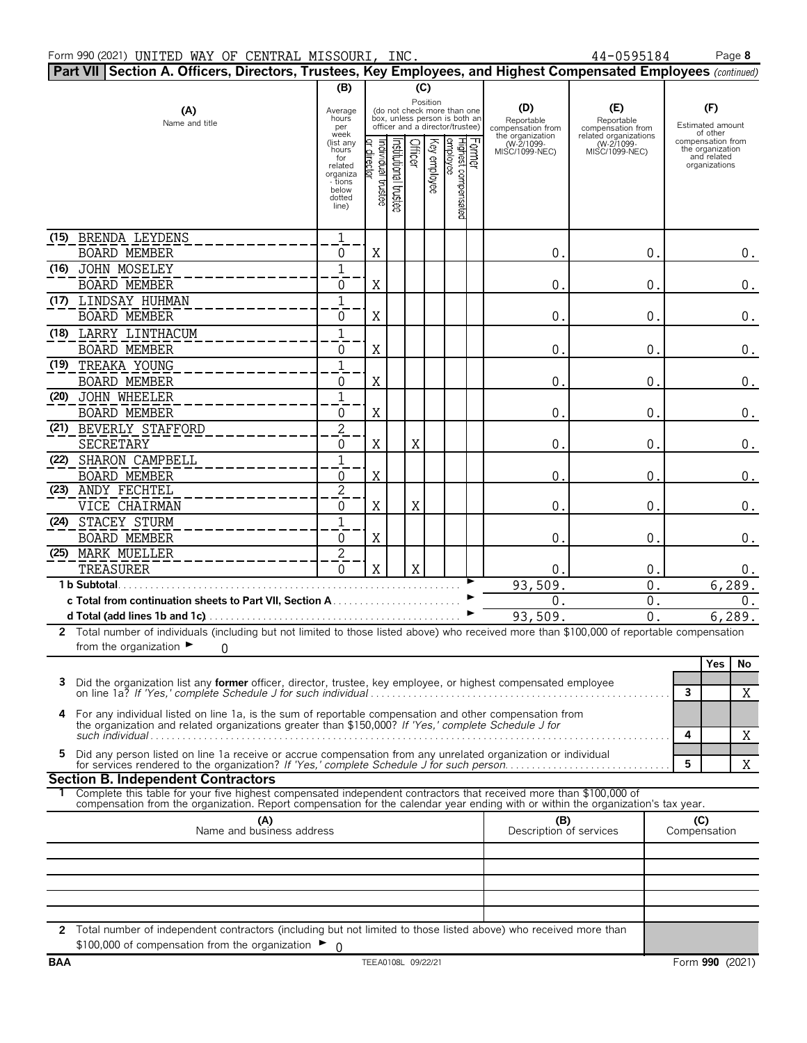|                                                                                                                                                                                                                                                        | Part VII Section A. Officers, Directors, Trustees, Key Employees, and Highest Compensated Employees (continued)                                                                                                                         |                                                                                                 |                                  |                                                                                                             |                         |  |                                            |                                                                                  |                                                       |              |                                                                       |        |
|--------------------------------------------------------------------------------------------------------------------------------------------------------------------------------------------------------------------------------------------------------|-----------------------------------------------------------------------------------------------------------------------------------------------------------------------------------------------------------------------------------------|-------------------------------------------------------------------------------------------------|----------------------------------|-------------------------------------------------------------------------------------------------------------|-------------------------|--|--------------------------------------------|----------------------------------------------------------------------------------|-------------------------------------------------------|--------------|-----------------------------------------------------------------------|--------|
| (B)<br>(C)                                                                                                                                                                                                                                             |                                                                                                                                                                                                                                         |                                                                                                 |                                  |                                                                                                             |                         |  |                                            |                                                                                  |                                                       |              |                                                                       |        |
|                                                                                                                                                                                                                                                        | (A)<br>Name and title                                                                                                                                                                                                                   | Average<br>hours<br>per                                                                         |                                  | Position<br>(do not check more than one<br>box, unless person is both an<br>officer and a director/trustee) |                         |  |                                            | (D)<br>(E)<br>Reportable<br>Reportable<br>compensation from<br>compensation from |                                                       |              | (F)<br>Estimated amount<br>of other                                   |        |
|                                                                                                                                                                                                                                                        |                                                                                                                                                                                                                                         | week<br>(list any<br>hours<br>for<br>related<br>organiza<br>- tions<br>below<br>dotted<br>line) | or director<br>ndividual trustee | nstitutional trustee                                                                                        | Officer<br>Key employee |  | Former<br>Highest compensated<br> employee | the organization<br>(W-2/1099-<br>MISC/1099-NEC)                                 | related organizations<br>(W-2/1099-<br>MISC/1099-NEC) |              | compensation from<br>the organization<br>and related<br>organizations |        |
|                                                                                                                                                                                                                                                        |                                                                                                                                                                                                                                         |                                                                                                 |                                  |                                                                                                             |                         |  |                                            |                                                                                  |                                                       |              |                                                                       |        |
|                                                                                                                                                                                                                                                        | (15) BRENDA LEYDENS                                                                                                                                                                                                                     | 1                                                                                               |                                  |                                                                                                             |                         |  |                                            |                                                                                  |                                                       |              |                                                                       |        |
|                                                                                                                                                                                                                                                        | <b>BOARD MEMBER</b>                                                                                                                                                                                                                     | 0                                                                                               | X                                |                                                                                                             |                         |  |                                            | 0.                                                                               | 0.                                                    |              |                                                                       | $0$ .  |
|                                                                                                                                                                                                                                                        | (16) JOHN MOSELEY                                                                                                                                                                                                                       | 1                                                                                               |                                  |                                                                                                             |                         |  |                                            |                                                                                  |                                                       |              |                                                                       |        |
|                                                                                                                                                                                                                                                        | <b>BOARD MEMBER</b>                                                                                                                                                                                                                     | 0                                                                                               | X                                |                                                                                                             |                         |  |                                            | 0 <sub>1</sub>                                                                   | 0.                                                    |              |                                                                       | $0$ .  |
|                                                                                                                                                                                                                                                        | (17) LINDSAY HUHMAN<br><b>BOARD MEMBER</b>                                                                                                                                                                                              | $\mathbf{1}$<br>$\mathbf 0$                                                                     | X                                |                                                                                                             |                         |  |                                            | 0.                                                                               | 0.                                                    |              |                                                                       | $0$ .  |
|                                                                                                                                                                                                                                                        | (18) LARRY LINTHACUM                                                                                                                                                                                                                    | $\mathbf{1}$                                                                                    |                                  |                                                                                                             |                         |  |                                            |                                                                                  |                                                       |              |                                                                       |        |
|                                                                                                                                                                                                                                                        | <b>BOARD MEMBER</b>                                                                                                                                                                                                                     | 0                                                                                               | $\mathbf X$                      |                                                                                                             |                         |  |                                            | $\mathbf{0}$                                                                     | 0.                                                    |              |                                                                       | $0$ .  |
|                                                                                                                                                                                                                                                        | (19) TREAKA YOUNG                                                                                                                                                                                                                       | $\mathbf{1}$                                                                                    |                                  |                                                                                                             |                         |  |                                            |                                                                                  |                                                       |              |                                                                       |        |
|                                                                                                                                                                                                                                                        | <b>BOARD MEMBER</b>                                                                                                                                                                                                                     | 0                                                                                               | X                                |                                                                                                             |                         |  |                                            | 0.                                                                               | 0.                                                    |              |                                                                       | $0$ .  |
|                                                                                                                                                                                                                                                        | (20) JOHN WHEELER                                                                                                                                                                                                                       | $\mathbf{1}$                                                                                    |                                  |                                                                                                             |                         |  |                                            |                                                                                  |                                                       |              |                                                                       |        |
|                                                                                                                                                                                                                                                        | <b>BOARD MEMBER</b>                                                                                                                                                                                                                     | 0                                                                                               | X                                |                                                                                                             |                         |  |                                            | 0.                                                                               | 0.                                                    |              |                                                                       | $0$ .  |
|                                                                                                                                                                                                                                                        | (21) BEVERLY STAFFORD                                                                                                                                                                                                                   | $\overline{c}$                                                                                  |                                  |                                                                                                             |                         |  |                                            |                                                                                  |                                                       |              |                                                                       |        |
|                                                                                                                                                                                                                                                        | SECRETARY                                                                                                                                                                                                                               | 0                                                                                               | X                                |                                                                                                             | X                       |  |                                            | 0.                                                                               | 0.                                                    |              |                                                                       | $0$ .  |
|                                                                                                                                                                                                                                                        | (22) SHARON CAMPBELL                                                                                                                                                                                                                    | $\mathbf{1}$                                                                                    |                                  |                                                                                                             |                         |  |                                            |                                                                                  |                                                       |              |                                                                       |        |
|                                                                                                                                                                                                                                                        | <b>BOARD MEMBER</b>                                                                                                                                                                                                                     | 0                                                                                               | X                                |                                                                                                             |                         |  |                                            | 0.                                                                               | 0 <sub>1</sub>                                        |              |                                                                       | 0.     |
|                                                                                                                                                                                                                                                        | (23) ANDY FECHTEL                                                                                                                                                                                                                       | $\overline{2}$                                                                                  |                                  |                                                                                                             |                         |  |                                            |                                                                                  |                                                       |              |                                                                       |        |
|                                                                                                                                                                                                                                                        | VICE CHAIRMAN                                                                                                                                                                                                                           | 0                                                                                               | X                                |                                                                                                             | X                       |  |                                            | 0 <sub>1</sub>                                                                   | 0.                                                    |              |                                                                       | $0$ .  |
|                                                                                                                                                                                                                                                        | (24) STACEY STURM<br>BOARD MEMBER                                                                                                                                                                                                       | $\mathbf{1}$<br>0                                                                               | X                                |                                                                                                             |                         |  |                                            | 0 <sub>1</sub>                                                                   | 0.                                                    |              |                                                                       | $0$ .  |
|                                                                                                                                                                                                                                                        | (25) MARK MUELLER                                                                                                                                                                                                                       | $\overline{2}$                                                                                  |                                  |                                                                                                             |                         |  |                                            |                                                                                  |                                                       |              |                                                                       |        |
|                                                                                                                                                                                                                                                        | TREASURER                                                                                                                                                                                                                               | $\Omega$                                                                                        | X                                |                                                                                                             | X                       |  |                                            | 0.                                                                               | 0.                                                    |              |                                                                       | $0$ .  |
|                                                                                                                                                                                                                                                        | 1 b Subtotal                                                                                                                                                                                                                            |                                                                                                 |                                  |                                                                                                             |                         |  |                                            | 93,509.                                                                          | 0.                                                    |              |                                                                       | 6,289. |
|                                                                                                                                                                                                                                                        | c Total from continuation sheets to Part VII, Section A.                                                                                                                                                                                |                                                                                                 |                                  |                                                                                                             |                         |  |                                            | 0.                                                                               | $0$ .                                                 |              |                                                                       | 0.     |
|                                                                                                                                                                                                                                                        |                                                                                                                                                                                                                                         |                                                                                                 |                                  |                                                                                                             |                         |  |                                            | 93,509.                                                                          | 0.                                                    |              |                                                                       | 6,289. |
|                                                                                                                                                                                                                                                        | 2 Total number of individuals (including but not limited to those listed above) who received more than \$100,000 of reportable compensation                                                                                             |                                                                                                 |                                  |                                                                                                             |                         |  |                                            |                                                                                  |                                                       |              |                                                                       |        |
|                                                                                                                                                                                                                                                        | from the organization $\blacktriangleright$<br>$\Omega$                                                                                                                                                                                 |                                                                                                 |                                  |                                                                                                             |                         |  |                                            |                                                                                  |                                                       |              |                                                                       |        |
|                                                                                                                                                                                                                                                        |                                                                                                                                                                                                                                         |                                                                                                 |                                  |                                                                                                             |                         |  |                                            |                                                                                  |                                                       |              | Yes                                                                   | No     |
|                                                                                                                                                                                                                                                        | Did the organization list any <b>former</b> officer, director, trustee, key employee, or highest compensated employee<br>on line 1a? If 'Yes,' complete Schedule J for such individual manufactured contained and the contained contain |                                                                                                 |                                  |                                                                                                             |                         |  |                                            |                                                                                  |                                                       | 3            |                                                                       | X      |
| 4                                                                                                                                                                                                                                                      | For any individual listed on line 1a, is the sum of reportable compensation and other compensation from<br>the organization and related organizations greater than \$150,000? If 'Yes,' complete Schedule J for                         |                                                                                                 |                                  |                                                                                                             |                         |  |                                            |                                                                                  |                                                       | 4            |                                                                       |        |
| 5.                                                                                                                                                                                                                                                     | Did any person listed on line 1a receive or accrue compensation from any unrelated organization or individual                                                                                                                           |                                                                                                 |                                  |                                                                                                             |                         |  |                                            |                                                                                  |                                                       | 5            |                                                                       | X      |
|                                                                                                                                                                                                                                                        | <b>Section B. Independent Contractors</b>                                                                                                                                                                                               |                                                                                                 |                                  |                                                                                                             |                         |  |                                            |                                                                                  |                                                       |              |                                                                       | X      |
|                                                                                                                                                                                                                                                        |                                                                                                                                                                                                                                         |                                                                                                 |                                  |                                                                                                             |                         |  |                                            |                                                                                  |                                                       |              |                                                                       |        |
| Complete this table for your five highest compensated independent contractors that received more than \$100,000 of<br>compensation from the organization. Report compensation for the calendar year ending with or within the organization's tax year. |                                                                                                                                                                                                                                         |                                                                                                 |                                  |                                                                                                             |                         |  |                                            |                                                                                  |                                                       |              |                                                                       |        |
|                                                                                                                                                                                                                                                        | (A)<br>Name and business address                                                                                                                                                                                                        |                                                                                                 |                                  |                                                                                                             |                         |  |                                            | (B)<br>Description of services                                                   |                                                       | Compensation | (C)                                                                   |        |
|                                                                                                                                                                                                                                                        |                                                                                                                                                                                                                                         |                                                                                                 |                                  |                                                                                                             |                         |  |                                            |                                                                                  |                                                       |              |                                                                       |        |
|                                                                                                                                                                                                                                                        |                                                                                                                                                                                                                                         |                                                                                                 |                                  |                                                                                                             |                         |  |                                            |                                                                                  |                                                       |              |                                                                       |        |
|                                                                                                                                                                                                                                                        |                                                                                                                                                                                                                                         |                                                                                                 |                                  |                                                                                                             |                         |  |                                            |                                                                                  |                                                       |              |                                                                       |        |
|                                                                                                                                                                                                                                                        | 2 Total number of independent contractors (including but not limited to those listed above) who received more than<br>\$100,000 of compensation from the organization $\triangleright$ 0                                                |                                                                                                 |                                  |                                                                                                             |                         |  |                                            |                                                                                  |                                                       |              |                                                                       |        |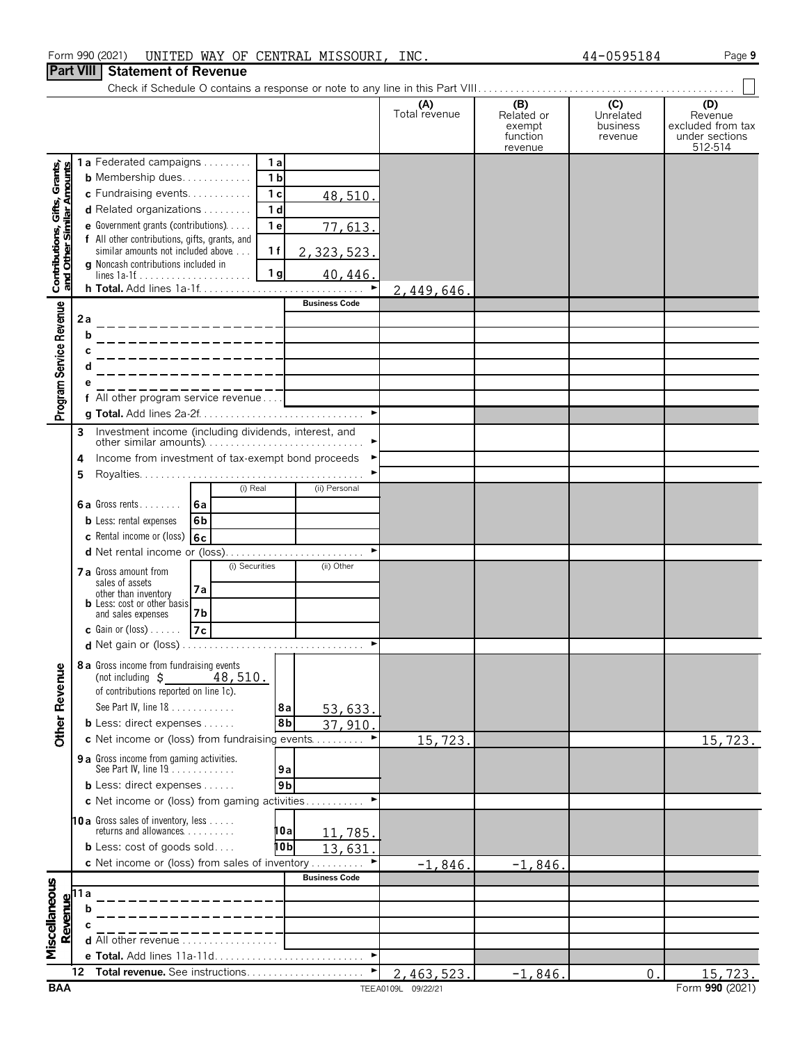#### Form 990 (2021) UNITED WAY OF CENTRAL MISSOURI, INC.  $44-0595184$  Page **9**

**Part VIII Statement of Revenue**

|                                                            |                                | III<br>יטועוויטווג טו וזע                                                   |                       |                      |                                                    |                                         |                                                                  |
|------------------------------------------------------------|--------------------------------|-----------------------------------------------------------------------------|-----------------------|----------------------|----------------------------------------------------|-----------------------------------------|------------------------------------------------------------------|
|                                                            |                                |                                                                             |                       | (A)<br>Total revenue | (B)<br>Related or<br>exempt<br>function<br>revenue | (C)<br>Unrelated<br>business<br>revenue | (D)<br>Revenue<br>excluded from tax<br>under sections<br>512-514 |
|                                                            |                                | 1a Federated campaigns<br>1a                                                |                       |                      |                                                    |                                         |                                                                  |
| Contributions, Gifts, Grants,<br>and Other Similar Amounts |                                | <b>b</b> Membership dues<br>1 <sub>b</sub>                                  |                       |                      |                                                    |                                         |                                                                  |
|                                                            |                                | c Fundraising events<br>1 <sub>c</sub><br>d Related organizations           | 48,510.               |                      |                                                    |                                         |                                                                  |
|                                                            |                                | 1 <sub>d</sub><br>e Government grants (contributions)<br>1e                 |                       |                      |                                                    |                                         |                                                                  |
|                                                            |                                | f All other contributions, gifts, grants, and                               | 77,613.               |                      |                                                    |                                         |                                                                  |
|                                                            |                                | 1f<br>similar amounts not included above                                    | 2,323,523.            |                      |                                                    |                                         |                                                                  |
|                                                            |                                | <b>g</b> Noncash contributions included in<br>1 <sub>g</sub>                | 40,446.               |                      |                                                    |                                         |                                                                  |
|                                                            |                                |                                                                             |                       | 2,449,646.           |                                                    |                                         |                                                                  |
|                                                            |                                |                                                                             | <b>Business Code</b>  |                      |                                                    |                                         |                                                                  |
| Program Service Revenue                                    | 2а                             |                                                                             |                       |                      |                                                    |                                         |                                                                  |
|                                                            |                                |                                                                             |                       |                      |                                                    |                                         |                                                                  |
|                                                            |                                |                                                                             |                       |                      |                                                    |                                         |                                                                  |
|                                                            |                                |                                                                             |                       |                      |                                                    |                                         |                                                                  |
|                                                            |                                | f All other program service revenue                                         |                       |                      |                                                    |                                         |                                                                  |
|                                                            |                                |                                                                             | $\blacktriangleright$ |                      |                                                    |                                         |                                                                  |
|                                                            |                                | Investment income (including dividends, interest, and                       |                       |                      |                                                    |                                         |                                                                  |
|                                                            |                                | Income from investment of tax-exempt bond proceeds                          |                       |                      |                                                    |                                         |                                                                  |
|                                                            | 4<br>5                         |                                                                             |                       |                      |                                                    |                                         |                                                                  |
|                                                            |                                | (i) Real                                                                    | (ii) Personal         |                      |                                                    |                                         |                                                                  |
|                                                            |                                | 6a Gross rents<br>6a                                                        |                       |                      |                                                    |                                         |                                                                  |
|                                                            |                                | <b>b</b> Less: rental expenses<br>6b                                        |                       |                      |                                                    |                                         |                                                                  |
|                                                            |                                | c Rental income or (loss) $6c$                                              |                       |                      |                                                    |                                         |                                                                  |
|                                                            |                                |                                                                             | ►                     |                      |                                                    |                                         |                                                                  |
|                                                            |                                | (i) Securities<br><b>7 a</b> Gross amount from<br>sales of assets           | (ii) Other            |                      |                                                    |                                         |                                                                  |
|                                                            |                                | 7a<br>other than inventory                                                  |                       |                      |                                                    |                                         |                                                                  |
|                                                            |                                | <b>b</b> Less: cost or other basis<br>7b<br>and sales expenses              |                       |                      |                                                    |                                         |                                                                  |
|                                                            |                                | 7c<br><b>c</b> Gain or (loss) $\ldots$ .                                    |                       |                      |                                                    |                                         |                                                                  |
|                                                            |                                |                                                                             |                       |                      |                                                    |                                         |                                                                  |
|                                                            |                                | 8 a Gross income from fundraising events                                    |                       |                      |                                                    |                                         |                                                                  |
|                                                            |                                | (not including $\zeta$<br>48,510.<br>of contributions reported on line 1c). |                       |                      |                                                    |                                         |                                                                  |
|                                                            |                                | See Part IV, line 18<br>8a                                                  |                       |                      |                                                    |                                         |                                                                  |
|                                                            |                                | <b>b</b> Less: direct expenses $\ldots$<br>8 <sub>b</sub>                   | 53,633.<br>37,910.    |                      |                                                    |                                         |                                                                  |
| <b>Other Revenue</b>                                       |                                | c Net income or (loss) from fundraising events                              |                       | 15,723.              |                                                    |                                         | 15,723.                                                          |
|                                                            |                                | 9 a Gross income from gaming activities.                                    |                       |                      |                                                    |                                         |                                                                  |
|                                                            |                                | See Part IV, line $19$<br>9а                                                |                       |                      |                                                    |                                         |                                                                  |
|                                                            |                                | <b>b</b> Less: direct expenses<br>9 <sub>b</sub>                            |                       |                      |                                                    |                                         |                                                                  |
|                                                            |                                | c Net income or (loss) from gaming activities                               |                       |                      |                                                    |                                         |                                                                  |
|                                                            |                                | <b>10a</b> Gross sales of inventory, less<br>returns and allowances<br>10a  | 11,785.               |                      |                                                    |                                         |                                                                  |
|                                                            |                                | <b>b</b> Less: $cost$ of goods $sol$<br>10bl                                | 13,631                |                      |                                                    |                                         |                                                                  |
|                                                            |                                | c Net income or (loss) from sales of inventory                              |                       | $-1,846.$            | $-1,846.$                                          |                                         |                                                                  |
|                                                            |                                |                                                                             | <b>Business Code</b>  |                      |                                                    |                                         |                                                                  |
| Miscellaneous                                              | Revenue<br>$\alpha$ o $\alpha$ |                                                                             |                       |                      |                                                    |                                         |                                                                  |
|                                                            |                                |                                                                             |                       |                      |                                                    |                                         |                                                                  |
|                                                            |                                | <b>d</b> All other revenue $\ldots \ldots \ldots \ldots \ldots$             |                       |                      |                                                    |                                         |                                                                  |
|                                                            |                                |                                                                             | ►                     |                      |                                                    |                                         |                                                                  |
|                                                            | 12                             | Total revenue. See instructions                                             | ٠                     | 2,463,523.           | $-1,846.$                                          | 0.                                      | 15,723.                                                          |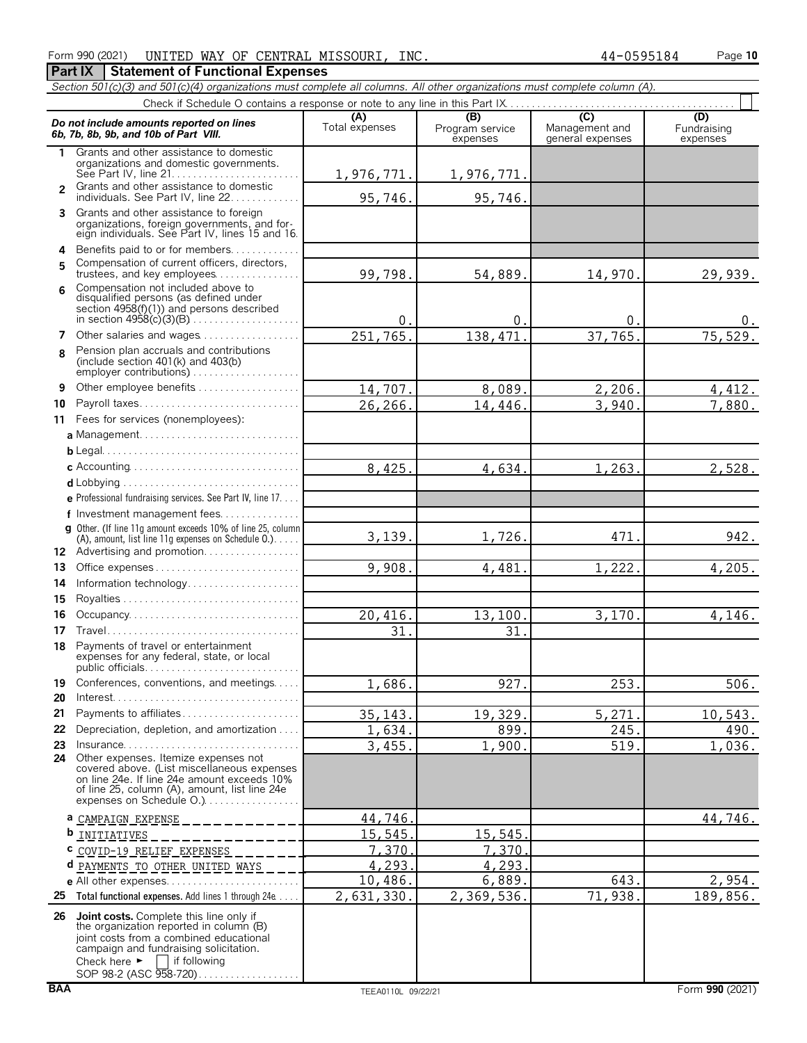### **Part IX Statement of Functional Expenses**

*Section 501(c)(3) and 501(c)(4) organizations must complete all columns. All other organizations must complete column (A).* Check if Schedule O contains a response or note to any line in this Part IX. . . . . . . . . . . . . . . . . . . . . . . . . . . . . . . . . . . . . . . . . . .

|                | Crieck in Scriedule O contains a response on note to any line in this rando. $\ldots, \ldots, \ldots, \ldots, \ldots, \ldots, \ldots, \ldots, \ldots$<br>Do not include amounts reported on lines<br>6b, 7b, 8b, 9b, and 10b of Part VIII.                      | (A)<br>Total expenses | (B)<br>Program service<br>expenses | (C)<br>Management and<br>general expenses | (D)<br>Fundraising<br>expenses |
|----------------|-----------------------------------------------------------------------------------------------------------------------------------------------------------------------------------------------------------------------------------------------------------------|-----------------------|------------------------------------|-------------------------------------------|--------------------------------|
| 1              | Grants and other assistance to domestic                                                                                                                                                                                                                         |                       |                                    |                                           |                                |
|                | organizations and domestic governments.                                                                                                                                                                                                                         | 1,976,771.            | 1,976,771                          |                                           |                                |
| $\mathfrak{p}$ | Grants and other assistance to domestic<br>individuals. See Part IV, line 22.                                                                                                                                                                                   | 95,746.               | 95,746.                            |                                           |                                |
| 3              | Grants and other assistance to foreign<br>organizations, foreign governments, and for-<br>eign individuals. See Part IV, lines 15 and 16.                                                                                                                       |                       |                                    |                                           |                                |
| 4              | Benefits paid to or for members                                                                                                                                                                                                                                 |                       |                                    |                                           |                                |
| 5              | Compensation of current officers, directors,<br>trustees, and key employees                                                                                                                                                                                     | 99,798.               | 54,889.                            | 14,970.                                   | 29,939.                        |
| 6              | Compensation not included above to                                                                                                                                                                                                                              |                       |                                    |                                           |                                |
|                | disqualified persons (as defined under<br>section $4958(f)(1)$ and persons described                                                                                                                                                                            | 0.                    | $\mathbf 0$ .                      | 0.                                        | υ.                             |
| 7              | Other salaries and wages                                                                                                                                                                                                                                        | 251,765.              | 138, 471.                          | 37,765.                                   | 75,529.                        |
| 8              | Pension plan accruals and contributions<br>(include section $401(k)$ and $403(b)$ )                                                                                                                                                                             |                       |                                    |                                           |                                |
| 9              | Other employee benefits                                                                                                                                                                                                                                         | 14,707.               | 8,089.                             | 2,206.                                    | 4,412.                         |
| 10             | Payroll taxes                                                                                                                                                                                                                                                   | 26,266.               | 14,446.                            | 3,940.                                    | 7,880.                         |
| 11             | Fees for services (nonemployees):                                                                                                                                                                                                                               |                       |                                    |                                           |                                |
|                | a Management                                                                                                                                                                                                                                                    |                       |                                    |                                           |                                |
|                |                                                                                                                                                                                                                                                                 |                       |                                    |                                           |                                |
|                |                                                                                                                                                                                                                                                                 | 8,425.                | 4,634.                             | 1,263.                                    | 2,528.                         |
|                | e Professional fundraising services. See Part IV, line 17.                                                                                                                                                                                                      |                       |                                    |                                           |                                |
|                | f Investment management fees                                                                                                                                                                                                                                    |                       |                                    |                                           |                                |
|                | g Other. (If line 11q amount exceeds 10% of line 25, column<br>(A), amount, list line 11g expenses on Schedule 0.).<br>12 Advertising and promotion                                                                                                             | 3,139.                | 1,726.                             | 471.                                      | 942.                           |
| 13             | Office expenses                                                                                                                                                                                                                                                 | 9,908.                | 4,481                              | 1,222.                                    | 4,205.                         |
| 14             | Information technology                                                                                                                                                                                                                                          |                       |                                    |                                           |                                |
| 15             |                                                                                                                                                                                                                                                                 |                       |                                    |                                           |                                |
| 16             | Occupancy                                                                                                                                                                                                                                                       | 20,416.               | 13,100                             | 3,170.                                    | 4,146.                         |
| 17             |                                                                                                                                                                                                                                                                 | 31                    | 31                                 |                                           |                                |
| 18             | Payments of travel or entertainment<br>expenses for any federal, state, or local<br>public officials                                                                                                                                                            |                       |                                    |                                           |                                |
|                | 19 Conferences, conventions, and meetings                                                                                                                                                                                                                       | 1,686.                | 927.                               | 253.                                      | 506.                           |
|                |                                                                                                                                                                                                                                                                 |                       |                                    |                                           |                                |
| 21             | Payments to affiliates                                                                                                                                                                                                                                          | 35, 143.              | 19,329.                            | 5,271.                                    | 10,543.                        |
| 22<br>23       | Depreciation, depletion, and amortization<br>Insurance                                                                                                                                                                                                          | 1,634.                | 899.                               | 245.                                      | 490.                           |
|                | 24 Other expenses. Itemize expenses not<br>covered above. (List miscellaneous expenses<br>on line 24e. If line 24e amount exceeds 10%<br>of line 25, column (A), amount, list line 24e<br>expenses on Schedule O.)                                              | 3,455.                | 1,900.                             | 519.                                      | 1,036.                         |
|                | a CAMPAIGN EXPENSE<br>_________                                                                                                                                                                                                                                 | 44,746.               |                                    |                                           | 44,746.                        |
|                | INITIATIVES<br>b                                                                                                                                                                                                                                                | 15,545.               | 15,545.                            |                                           |                                |
|                | C COVID-19 RELIEF EXPENSES                                                                                                                                                                                                                                      | 7,370                 | 7,370.                             |                                           |                                |
|                | PAYMENTS TO OTHER UNITED WAYS ____<br>d                                                                                                                                                                                                                         | 4,293.                | 4,293.                             |                                           |                                |
|                |                                                                                                                                                                                                                                                                 | 10,486.               | 6,889.                             | 643.                                      | 2,954.                         |
|                | 25 Total functional expenses. Add lines 1 through 24e                                                                                                                                                                                                           | 2,631,330.            | 2,369,536.                         | 71,938.                                   | 189,856.                       |
|                | 26 Joint costs. Complete this line only if<br>the organization reported in column (B)<br>joint costs from a combined educational<br>campaign and fundraising solicitation.<br>$\Box$ if following<br>Check here $\blacktriangleright$<br>SOP 98-2 (ASC 958-720) |                       |                                    |                                           |                                |
| <b>BAA</b>     |                                                                                                                                                                                                                                                                 | TEEA0110L 09/22/21    |                                    |                                           | Form 990 (2021)                |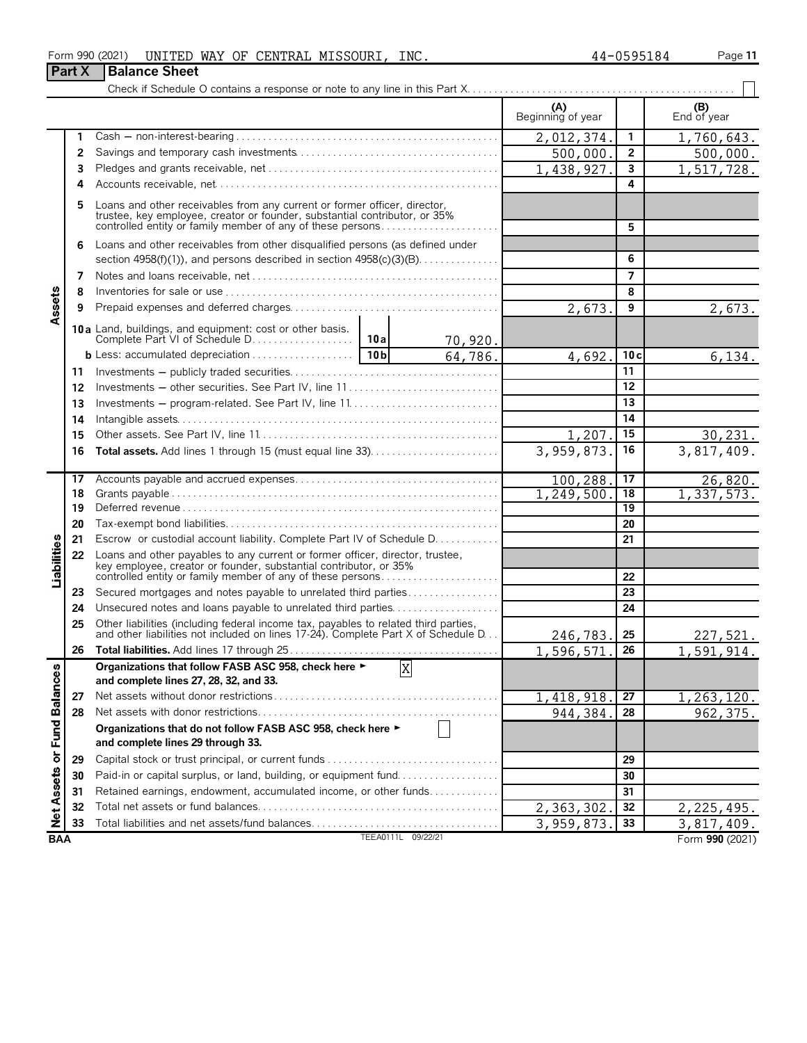#### Form 990 (2021) UNITED WAY OF CENTRAL MISSOURI, INC.  $44-0595184$  Page 11

|                             | <b>Part X</b> | <b>Balance Sheet</b>                                                                                                                                                                                               |                                                             |                |                          |                |                        |
|-----------------------------|---------------|--------------------------------------------------------------------------------------------------------------------------------------------------------------------------------------------------------------------|-------------------------------------------------------------|----------------|--------------------------|----------------|------------------------|
|                             |               |                                                                                                                                                                                                                    |                                                             |                |                          |                |                        |
|                             |               |                                                                                                                                                                                                                    |                                                             |                | (A)<br>Beginning of year |                | $( B )$<br>End of year |
|                             | 1             |                                                                                                                                                                                                                    |                                                             |                | 2,012,374.               | 1              | 1,760,643.             |
|                             | 2             |                                                                                                                                                                                                                    | 500,000                                                     | $\overline{2}$ | 500,000.                 |                |                        |
|                             | 3             |                                                                                                                                                                                                                    |                                                             |                | 1,438,927.               | 3              | 1,517,728.             |
|                             | 4             |                                                                                                                                                                                                                    |                                                             |                |                          | 4              |                        |
|                             | 5             | Loans and other receivables from any current or former officer, director, trustee, key employee, creator or founder, substantial contributor, or 35%<br>controlled entity or family member of any of these persons |                                                             |                | 5                        |                |                        |
|                             | 6             | Loans and other receivables from other disqualified persons (as defined under                                                                                                                                      |                                                             |                |                          |                |                        |
|                             |               | section $4958(f)(1)$ , and persons described in section $4958(c)(3)(B)$                                                                                                                                            |                                                             |                |                          | 6              |                        |
|                             | 7             |                                                                                                                                                                                                                    |                                                             |                |                          | $\overline{7}$ |                        |
|                             | 8             |                                                                                                                                                                                                                    |                                                             |                |                          | 8              |                        |
| Assets                      | 9             |                                                                                                                                                                                                                    |                                                             |                | 2,673.                   | 9              | 2,673.                 |
|                             |               | 10a Land, buildings, and equipment: cost or other basis.                                                                                                                                                           |                                                             | 70,920.        |                          |                |                        |
|                             |               |                                                                                                                                                                                                                    |                                                             | 64,786.        | 4,692.                   | 10c            | 6,134.                 |
|                             | 11            |                                                                                                                                                                                                                    |                                                             |                |                          | 11             |                        |
|                             | 12            | Investments - other securities. See Part IV, line 11                                                                                                                                                               |                                                             |                |                          | 12             |                        |
|                             | 13            |                                                                                                                                                                                                                    |                                                             |                |                          | 13             |                        |
|                             | 14            |                                                                                                                                                                                                                    |                                                             | 14             |                          |                |                        |
|                             | 15            |                                                                                                                                                                                                                    |                                                             | 1,207.         | 15                       | 30, 231.       |                        |
|                             | 16            |                                                                                                                                                                                                                    |                                                             |                | 3,959,873.               | 16             | 3,817,409.             |
|                             | 17            |                                                                                                                                                                                                                    |                                                             |                | 100,288                  | 17             | 26,820.                |
|                             | 18            |                                                                                                                                                                                                                    | 1,249,500                                                   | 18             | 1, 337, 573.             |                |                        |
|                             | 19            |                                                                                                                                                                                                                    |                                                             |                | 19                       |                |                        |
|                             | 20            |                                                                                                                                                                                                                    |                                                             |                |                          | 20             |                        |
|                             | 21            | Escrow or custodial account liability. Complete Part IV of Schedule D.                                                                                                                                             |                                                             |                |                          | 21             |                        |
| Liabilities                 | 22            | Loans and other payables to any current or former officer, director, trustee,<br>key employee, creator or founder, substantial contributor, or 35%<br>controlled entity or family member of any of these persons   |                                                             |                | 22                       |                |                        |
|                             | 23            | Secured mortgages and notes payable to unrelated third parties                                                                                                                                                     |                                                             |                |                          | 23             |                        |
|                             | 24            | Unsecured notes and loans payable to unrelated third parties                                                                                                                                                       |                                                             |                |                          | 24             |                        |
|                             | 25            | Other liabilities (including federal income tax, payables to related third parties, and other liabilities not included on lines 17-24). Complete Part X of Schedule D                                              |                                                             |                | 246,783.                 | 25             | 227,521.               |
|                             |               |                                                                                                                                                                                                                    |                                                             |                | 1,596,571.               | 26             | 1,591,914.             |
|                             |               | Organizations that follow FASB ASC 958, check here ►<br>and complete lines 27, 28, 32, and 33.                                                                                                                     |                                                             | $\overline{X}$ |                          |                |                        |
|                             | 27            |                                                                                                                                                                                                                    |                                                             |                | 1,418,918.               | 27             | 1,263,120.             |
|                             | 28            |                                                                                                                                                                                                                    |                                                             |                | 944,384.                 | 28             | 962, 375.              |
| Net Assets or Fund Balances |               | and complete lines 29 through 33.                                                                                                                                                                                  | Organizations that do not follow FASB ASC 958, check here ► |                |                          |                |                        |
|                             | 29            |                                                                                                                                                                                                                    |                                                             | 29             |                          |                |                        |
|                             | 30            | Paid-in or capital surplus, or land, building, or equipment fund                                                                                                                                                   |                                                             |                | 30                       |                |                        |
|                             | 31            | Retained earnings, endowment, accumulated income, or other funds                                                                                                                                                   |                                                             |                |                          | 31             |                        |
|                             | 32            |                                                                                                                                                                                                                    |                                                             |                | 2,363,302.               | 32             | 2,225,495.             |
|                             | 33            |                                                                                                                                                                                                                    |                                                             |                | 3,959,873.               | 33             | 3,817,409.             |
| <b>BAA</b>                  |               |                                                                                                                                                                                                                    | TEEA0111L 09/22/21                                          |                |                          |                | Form 990 (2021)        |

| orm 990 (2021) UNITED WAY OF CENTRAL MISSOURI, IN |  |  |  |
|---------------------------------------------------|--|--|--|
|                                                   |  |  |  |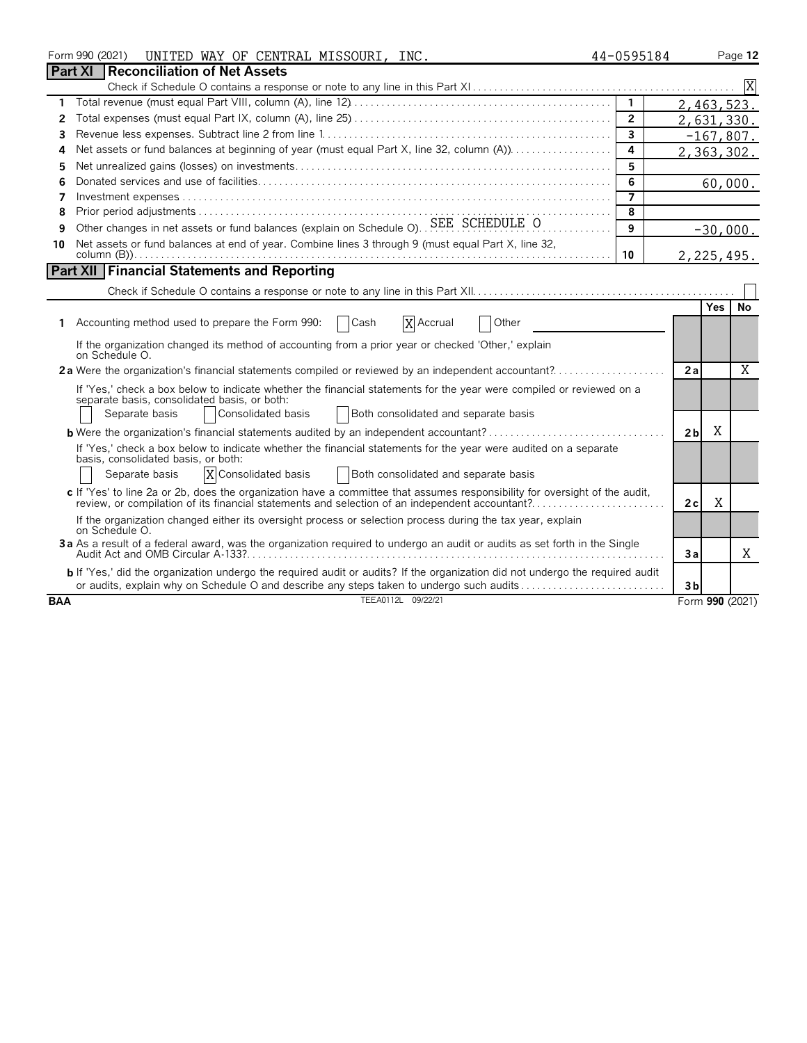| Form 990 (2021)<br>UNITED WAY OF CENTRAL MISSOURI, INC.                                                                                                                                                                                              | 44-0595184     |                |             | Page 12         |
|------------------------------------------------------------------------------------------------------------------------------------------------------------------------------------------------------------------------------------------------------|----------------|----------------|-------------|-----------------|
| Part XI<br>Reconciliation of Net Assets                                                                                                                                                                                                              |                |                |             |                 |
|                                                                                                                                                                                                                                                      |                |                |             |                 |
| 1                                                                                                                                                                                                                                                    | $\mathbf{1}$   | 2,463,523.     |             |                 |
| 2                                                                                                                                                                                                                                                    | $\overline{2}$ | 2,631,330.     |             |                 |
| 3                                                                                                                                                                                                                                                    | 3              |                | $-167,807.$ |                 |
| 4                                                                                                                                                                                                                                                    | 4              | 2,363,302.     |             |                 |
| 5                                                                                                                                                                                                                                                    | 5              |                |             |                 |
| 6                                                                                                                                                                                                                                                    | 6              |                | 60,000.     |                 |
| 7                                                                                                                                                                                                                                                    | 7              |                |             |                 |
| 8                                                                                                                                                                                                                                                    | 8              |                |             |                 |
| Other changes in net assets or fund balances (explain on Schedule O). SEE SCHEDULE O<br>9                                                                                                                                                            | 9              |                | $-30,000.$  |                 |
| Net assets or fund balances at end of year. Combine lines 3 through 9 (must equal Part X, line 32,<br>10                                                                                                                                             | 10             | 2,225,495.     |             |                 |
| <b>Part XII Financial Statements and Reporting</b>                                                                                                                                                                                                   |                |                |             |                 |
|                                                                                                                                                                                                                                                      |                |                |             |                 |
|                                                                                                                                                                                                                                                      |                |                | <b>Yes</b>  | No              |
| Accounting method used to prepare the Form 990:<br>Cash<br>Other<br>X Accrual<br>1.                                                                                                                                                                  |                |                |             |                 |
| If the organization changed its method of accounting from a prior year or checked 'Other,' explain<br>on Schedule O.                                                                                                                                 |                |                |             |                 |
| 2a Were the organization's financial statements compiled or reviewed by an independent accountant?                                                                                                                                                   |                | 2a             |             | X               |
| If 'Yes,' check a box below to indicate whether the financial statements for the year were compiled or reviewed on a<br>separate basis, consolidated basis, or both:<br>Consolidated basis<br>Both consolidated and separate basis<br>Separate basis |                |                |             |                 |
| <b>b</b> Were the organization's financial statements audited by an independent accountant?                                                                                                                                                          |                | 2 <sub>b</sub> | X           |                 |
| If 'Yes,' check a box below to indicate whether the financial statements for the year were audited on a separate<br>basis, consolidated basis, or both:<br>X Consolidated basis<br>Both consolidated and separate basis<br>Separate basis            |                |                |             |                 |
| c If 'Yes' to line 2a or 2b, does the organization have a committee that assumes responsibility for oversight of the audit,<br>review, or compilation of its financial statements and selection of an independent accountant?                        |                | 2 c            | X           |                 |
| If the organization changed either its oversight process or selection process during the tax year, explain<br>on Schedule O.                                                                                                                         |                |                |             |                 |
| 3a As a result of a federal award, was the organization required to undergo an audit or audits as set forth in the Single                                                                                                                            |                | Зa             |             | X               |
| b If 'Yes,' did the organization undergo the required audit or audits? If the organization did not undergo the required audit<br>or audits, explain why on Schedule O and describe any steps taken to undergo such audits                            |                | 3 <sub>b</sub> |             |                 |
| TEEA0112L 09/22/21<br><b>BAA</b>                                                                                                                                                                                                                     |                |                |             | Form 990 (2021) |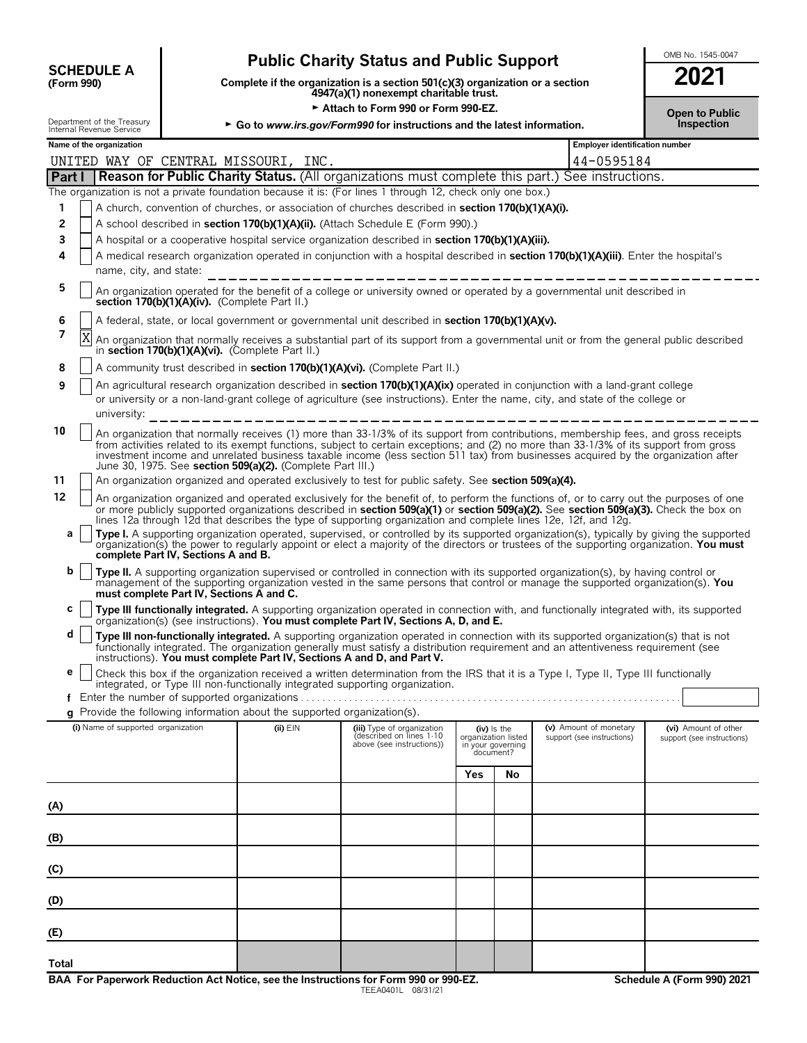| <b>SCHEDULE A</b> |  |
|-------------------|--|
|                   |  |

# **COMB No. 1545-0047**<br>
Complete if the organization is a section 501(c)(3) organization or a section<br> **SCHEDULE A**<br> **SCHEDULE A**<br> **SCHEDULE A**<br> **SCHEDULE A**<br> **SCHEDULE A**<br> **SCHEDULE A**<br> **SCHEDULE A**

**COMPOUTE A**<br>(Form 990) **Complete if the organization is a section 501(c)(3) organization or a section**<br>4947(a)(1) nonexempt charitable trust.

 $\triangleright$  Attach to Form 990 or Form 990-EZ.<br>
Lepartment of the Treasury<br>
Leternal Bayonus Service

| ZUZ I                               |  |
|-------------------------------------|--|
| <b>Open to Public</b><br>Inspection |  |

|              | Internal Revenue Service                                                                                                                                                   |                                                                                                                                                                                            | 077 0777990 IUI 11130 0600113 0110 1116 101631 11110111                                                                                                                                                                                                                                                                                                                                            |            |                                                                      |                                       |                            |  |
|--------------|----------------------------------------------------------------------------------------------------------------------------------------------------------------------------|--------------------------------------------------------------------------------------------------------------------------------------------------------------------------------------------|----------------------------------------------------------------------------------------------------------------------------------------------------------------------------------------------------------------------------------------------------------------------------------------------------------------------------------------------------------------------------------------------------|------------|----------------------------------------------------------------------|---------------------------------------|----------------------------|--|
|              | Name of the organization                                                                                                                                                   |                                                                                                                                                                                            |                                                                                                                                                                                                                                                                                                                                                                                                    |            |                                                                      | <b>Employer identification number</b> |                            |  |
|              | UNITED WAY OF CENTRAL MISSOURI, INC.                                                                                                                                       |                                                                                                                                                                                            |                                                                                                                                                                                                                                                                                                                                                                                                    |            | 44-0595184                                                           |                                       |                            |  |
| Part I       |                                                                                                                                                                            |                                                                                                                                                                                            | Reason for Public Charity Status. (All organizations must complete this part.) See instructions.                                                                                                                                                                                                                                                                                                   |            |                                                                      |                                       |                            |  |
|              | The organization is not a private foundation because it is: (For lines 1 through 12, check only one box.)                                                                  |                                                                                                                                                                                            |                                                                                                                                                                                                                                                                                                                                                                                                    |            |                                                                      |                                       |                            |  |
| 1            |                                                                                                                                                                            |                                                                                                                                                                                            | A church, convention of churches, or association of churches described in <b>section 170(b)(1)(A)(i).</b>                                                                                                                                                                                                                                                                                          |            |                                                                      |                                       |                            |  |
| 2            | A school described in section 170(b)(1)(A)(ii). (Attach Schedule E (Form 990).)                                                                                            |                                                                                                                                                                                            |                                                                                                                                                                                                                                                                                                                                                                                                    |            |                                                                      |                                       |                            |  |
| 3            |                                                                                                                                                                            |                                                                                                                                                                                            | A hospital or a cooperative hospital service organization described in section 170(b)(1)(A)(iii).                                                                                                                                                                                                                                                                                                  |            |                                                                      |                                       |                            |  |
| 4            |                                                                                                                                                                            |                                                                                                                                                                                            | A medical research organization operated in conjunction with a hospital described in section 170(b)(1)(A)(iii). Enter the hospital's                                                                                                                                                                                                                                                               |            |                                                                      |                                       |                            |  |
|              | name, city, and state:                                                                                                                                                     |                                                                                                                                                                                            |                                                                                                                                                                                                                                                                                                                                                                                                    |            |                                                                      |                                       |                            |  |
| 5            | An organization operated for the benefit of a college or university owned or operated by a governmental unit described in<br>section 170(b)(1)(A)(iv). (Complete Part II.) |                                                                                                                                                                                            |                                                                                                                                                                                                                                                                                                                                                                                                    |            |                                                                      |                                       |                            |  |
| 6            | A federal, state, or local government or governmental unit described in section 170(b)(1)(A)(v).                                                                           |                                                                                                                                                                                            |                                                                                                                                                                                                                                                                                                                                                                                                    |            |                                                                      |                                       |                            |  |
| 7            | X                                                                                                                                                                          | An organization that normally receives a substantial part of its support from a governmental unit or from the general public described<br>in section 170(b)(1)(A)(vi). (Complete Part II.) |                                                                                                                                                                                                                                                                                                                                                                                                    |            |                                                                      |                                       |                            |  |
| 8            |                                                                                                                                                                            |                                                                                                                                                                                            | A community trust described in section 170(b)(1)(A)(vi). (Complete Part II.)                                                                                                                                                                                                                                                                                                                       |            |                                                                      |                                       |                            |  |
| 9            |                                                                                                                                                                            |                                                                                                                                                                                            | An agricultural research organization described in section 170(b)(1)(A)(ix) operated in conjunction with a land-grant college                                                                                                                                                                                                                                                                      |            |                                                                      |                                       |                            |  |
|              | university:                                                                                                                                                                |                                                                                                                                                                                            | or university or a non-land-grant college of agriculture (see instructions). Enter the name, city, and state of the college or                                                                                                                                                                                                                                                                     |            |                                                                      |                                       |                            |  |
| 10           |                                                                                                                                                                            |                                                                                                                                                                                            | An organization that normally receives (1) more than 33-1/3% of its support from contributions, membership fees, and gross receipts<br>from activities related to its exempt functions, subject to certain exceptions; and (2) no more than 33-1/3% of its support from gross                                                                                                                      |            |                                                                      |                                       |                            |  |
|              |                                                                                                                                                                            |                                                                                                                                                                                            | investment income and unrelated business taxable income (less section 511 tax) from businesses acquired by the organization after                                                                                                                                                                                                                                                                  |            |                                                                      |                                       |                            |  |
|              |                                                                                                                                                                            | June 30, 1975. See section 509(a)(2). (Complete Part III.)                                                                                                                                 |                                                                                                                                                                                                                                                                                                                                                                                                    |            |                                                                      |                                       |                            |  |
| 11           |                                                                                                                                                                            |                                                                                                                                                                                            | An organization organized and operated exclusively to test for public safety. See section 509(a)(4).                                                                                                                                                                                                                                                                                               |            |                                                                      |                                       |                            |  |
| 12           |                                                                                                                                                                            |                                                                                                                                                                                            | An organization organized and operated exclusively for the benefit of, to perform the functions of, or to carry out the purposes of one<br>or more publicly supported organizations described in section 509(a)(1) or section 509(a)(2). See section 509(a)(3). Check the box on<br>lines 12a through 12d that describes the type of supporting organization and complete lines 12e, 12f, and 12g. |            |                                                                      |                                       |                            |  |
| а            |                                                                                                                                                                            |                                                                                                                                                                                            | Type I. A supporting organization operated, supervised, or controlled by its supported organization(s), typically by giving the supported<br>organization(s) the power to regularly appoint or elect a majority of the directors or trustees of the supporting organization. You must                                                                                                              |            |                                                                      |                                       |                            |  |
|              | complete Part IV, Sections A and B.                                                                                                                                        |                                                                                                                                                                                            |                                                                                                                                                                                                                                                                                                                                                                                                    |            |                                                                      |                                       |                            |  |
| b            | must complete Part IV, Sections A and C.                                                                                                                                   |                                                                                                                                                                                            | Type II. A supporting organization supervised or controlled in connection with its supported organization(s), by having control or<br>management of the supporting organization vested in the same persons that control or manage the supported organization(s). You                                                                                                                               |            |                                                                      |                                       |                            |  |
| c            |                                                                                                                                                                            |                                                                                                                                                                                            | Type III functionally integrated. A supporting organization operated in connection with, and functionally integrated with, its supported<br>organization(s) (see instructions). You must complete Part IV, Sections A, D, and E.                                                                                                                                                                   |            |                                                                      |                                       |                            |  |
| d            |                                                                                                                                                                            |                                                                                                                                                                                            | Type III non-functionally integrated. A supporting organization operated in connection with its supported organization(s) that is not<br>functionally integrated. The organization generally must satisfy a distribution requirement and an attentiveness requirement (see                                                                                                                         |            |                                                                      |                                       |                            |  |
| е            |                                                                                                                                                                            | instructions). You must complete Part IV, Sections A and D, and Part V.                                                                                                                    | Check this box if the organization received a written determination from the IRS that it is a Type I, Type II, Type III functionally                                                                                                                                                                                                                                                               |            |                                                                      |                                       |                            |  |
|              |                                                                                                                                                                            |                                                                                                                                                                                            | integrated, or Type III non-functionally integrated supporting organization.                                                                                                                                                                                                                                                                                                                       |            |                                                                      |                                       |                            |  |
|              | <b>q</b> Provide the following information about the supported organization(s).                                                                                            |                                                                                                                                                                                            |                                                                                                                                                                                                                                                                                                                                                                                                    |            |                                                                      |                                       |                            |  |
|              | (i) Name of supported organization                                                                                                                                         | $(ii)$ $EIN$                                                                                                                                                                               | (iii) Type of organization                                                                                                                                                                                                                                                                                                                                                                         |            |                                                                      | (v) Amount of monetary                | (vi) Amount of other       |  |
|              |                                                                                                                                                                            |                                                                                                                                                                                            | (described on lines 1-10<br>above (see instructions))                                                                                                                                                                                                                                                                                                                                              |            | (iv) is the<br>organization listed<br>in your governing<br>document? | support (see instructions)            | support (see instructions) |  |
|              |                                                                                                                                                                            |                                                                                                                                                                                            |                                                                                                                                                                                                                                                                                                                                                                                                    | <b>Yes</b> | No                                                                   |                                       |                            |  |
| (A)          |                                                                                                                                                                            |                                                                                                                                                                                            |                                                                                                                                                                                                                                                                                                                                                                                                    |            |                                                                      |                                       |                            |  |
| (B)          |                                                                                                                                                                            |                                                                                                                                                                                            |                                                                                                                                                                                                                                                                                                                                                                                                    |            |                                                                      |                                       |                            |  |
| (C)          |                                                                                                                                                                            |                                                                                                                                                                                            |                                                                                                                                                                                                                                                                                                                                                                                                    |            |                                                                      |                                       |                            |  |
| (D)          |                                                                                                                                                                            |                                                                                                                                                                                            |                                                                                                                                                                                                                                                                                                                                                                                                    |            |                                                                      |                                       |                            |  |
| (E)          |                                                                                                                                                                            |                                                                                                                                                                                            |                                                                                                                                                                                                                                                                                                                                                                                                    |            |                                                                      |                                       |                            |  |
|              |                                                                                                                                                                            |                                                                                                                                                                                            |                                                                                                                                                                                                                                                                                                                                                                                                    |            |                                                                      |                                       |                            |  |
| <b>Total</b> |                                                                                                                                                                            |                                                                                                                                                                                            |                                                                                                                                                                                                                                                                                                                                                                                                    |            |                                                                      |                                       |                            |  |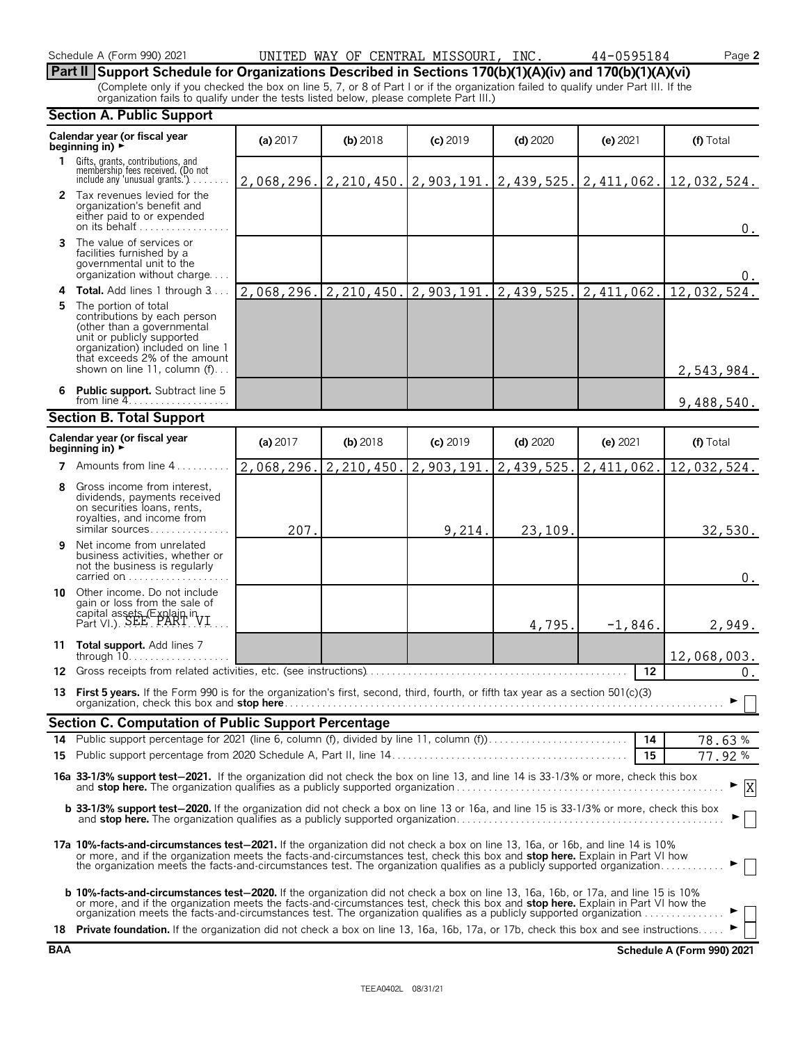Schedule A (Form 990) 2021 **DINITED WAY OF CENTRAL MISSOURI, INC.** 44-0595184 Page **2** 

### **Part II Support Schedule for Organizations Described in Sections 170(b)(1)(A)(iv) and 170(b)(1)(A)(vi)**

(Complete only if you checked the box on line 5, 7, or 8 of Part I or if the organization failed to qualify under Part III. If the organization fails to qualify under the tests listed below, please complete Part III.)

#### **Section A. Public Support**

|     | Calendar year (or fiscal year<br>beginning in) $\rightarrow$                                                                                                                                                                                                                                                                                                                                                                                                                                                                                          | (a) 2017   | $(b)$ 2018 | $(c)$ 2019                                             | $(d)$ 2020 | $(e)$ 2021 | (f) Total                                                                                                         |  |
|-----|-------------------------------------------------------------------------------------------------------------------------------------------------------------------------------------------------------------------------------------------------------------------------------------------------------------------------------------------------------------------------------------------------------------------------------------------------------------------------------------------------------------------------------------------------------|------------|------------|--------------------------------------------------------|------------|------------|-------------------------------------------------------------------------------------------------------------------|--|
| 1.  | Gifts, grants, contributions, and<br>membership fees received. (Do not<br>include any 'unusual grants'') $\ldots$                                                                                                                                                                                                                                                                                                                                                                                                                                     |            |            |                                                        |            |            | $2,068,296.$ $\mid$ $2,210,450.$ $\mid$ $2,903,191.$ $\mid$ $2,439,525.$ $\mid$ $2,411,062.$ $\mid$ $12,032,524.$ |  |
|     | 2 Tax revenues levied for the<br>organization's benefit and<br>either paid to or expended<br>on its behalf                                                                                                                                                                                                                                                                                                                                                                                                                                            |            |            |                                                        |            |            | $0$ .                                                                                                             |  |
| 3   | The value of services or<br>facilities furnished by a<br>governmental unit to the<br>organization without charge                                                                                                                                                                                                                                                                                                                                                                                                                                      |            |            |                                                        |            |            | 0.                                                                                                                |  |
| 4   | Total. Add lines 1 through 3                                                                                                                                                                                                                                                                                                                                                                                                                                                                                                                          |            |            | 2,068,296. 2,210,450. 2,903,191. 2,439,525. 2,411,062. |            |            | 12,032,524.                                                                                                       |  |
| 5   | The portion of total<br>contributions by each person<br>(other than a governmental<br>unit or publicly supported<br>organization) included on line 1<br>that exceeds 2% of the amount<br>shown on line 11, column $(f)$                                                                                                                                                                                                                                                                                                                               |            |            |                                                        |            |            | 2,543,984.                                                                                                        |  |
| 6   | <b>Public support.</b> Subtract line 5<br>from line $4$                                                                                                                                                                                                                                                                                                                                                                                                                                                                                               |            |            |                                                        |            |            | 9,488,540.                                                                                                        |  |
|     | <b>Section B. Total Support</b>                                                                                                                                                                                                                                                                                                                                                                                                                                                                                                                       |            |            |                                                        |            |            |                                                                                                                   |  |
|     | Calendar year (or fiscal year<br>beginning in) $\rightarrow$                                                                                                                                                                                                                                                                                                                                                                                                                                                                                          | (a) $2017$ | $(b)$ 2018 | $(c)$ 2019                                             | $(d)$ 2020 | (e) $2021$ | (f) Total                                                                                                         |  |
|     | 7 Amounts from line $4, \ldots, \ldots$                                                                                                                                                                                                                                                                                                                                                                                                                                                                                                               | 2,068,296. | 2,210,450. | 2,903,191.                                             | 2,439,525. | 2,411,062. | 12,032,524.                                                                                                       |  |
| 8   | Gross income from interest,<br>dividends, payments received<br>on securities loans, rents,<br>royalties, and income from<br>similar sources                                                                                                                                                                                                                                                                                                                                                                                                           | 207.       |            | 9,214.                                                 | 23,109.    |            | 32,530.                                                                                                           |  |
| 9   | Net income from unrelated<br>business activities, whether or<br>not the business is regularly<br>carried on                                                                                                                                                                                                                                                                                                                                                                                                                                           |            |            |                                                        |            |            | 0.                                                                                                                |  |
|     | <b>10</b> Other income. Do not include<br>gain or loss from the sale of<br>capital assets (Explain in<br>Part VI.). SEE: PART VI                                                                                                                                                                                                                                                                                                                                                                                                                      |            |            |                                                        | 4,795.     | $-1,846.$  | 2,949.                                                                                                            |  |
|     | <b>11 Total support.</b> Add lines 7                                                                                                                                                                                                                                                                                                                                                                                                                                                                                                                  |            |            |                                                        |            |            | 12,068,003.                                                                                                       |  |
|     |                                                                                                                                                                                                                                                                                                                                                                                                                                                                                                                                                       |            |            |                                                        |            | 12         | 0.                                                                                                                |  |
|     | 13 First 5 years. If the Form 990 is for the organization's first, second, third, fourth, or fifth tax year as a section 501(c)(3)                                                                                                                                                                                                                                                                                                                                                                                                                    |            |            |                                                        |            |            |                                                                                                                   |  |
|     | Section C. Computation of Public Support Percentage                                                                                                                                                                                                                                                                                                                                                                                                                                                                                                   |            |            |                                                        |            |            |                                                                                                                   |  |
|     | 14 Public support percentage for 2021 (line 6, column (f), divided by line 11, column (f)                                                                                                                                                                                                                                                                                                                                                                                                                                                             |            |            |                                                        |            | 14         | 78.63%                                                                                                            |  |
|     |                                                                                                                                                                                                                                                                                                                                                                                                                                                                                                                                                       |            |            |                                                        |            | 15         | 77.92%                                                                                                            |  |
|     | 16a 33-1/3% support test-2021. If the organization did not check the box on line 13, and line 14 is 33-1/3% or more, check this box<br>X                                                                                                                                                                                                                                                                                                                                                                                                              |            |            |                                                        |            |            |                                                                                                                   |  |
|     | b 33-1/3% support test-2020. If the organization did not check a box on line 13 or 16a, and line 15 is 33-1/3% or more, check this box                                                                                                                                                                                                                                                                                                                                                                                                                |            |            |                                                        |            |            |                                                                                                                   |  |
|     | 17a 10%-facts-and-circumstances test-2021. If the organization did not check a box on line 13, 16a, or 16b, and line 14 is 10%<br>or more, and if the organization meets the facts-and-circumstances test, check this box and stop here. Explain in Part VI how<br>the organization meets the facts and circumstances test. The organization qualifies as a publicly supported organization                                                                                                                                                           |            |            |                                                        |            |            | $\mathcal{L}$                                                                                                     |  |
|     | <b>b 10%-facts-and-circumstances test-2020.</b> If the organization did not check a box on line 13, 16a, 16b, or 17a, and line 15 is 10%<br>or more, and if the organization meets the facts-and-circumstances test, check this box and <b>stop here.</b> Explain in Part VI how the<br>organization meets the facts-and-circumstances test. The organization qualifies as a publicly supported organization<br>18 Private foundation. If the organization did not check a box on line 13, 16a, 16b, 17a, or 17b, check this box and see instructions |            |            |                                                        |            |            |                                                                                                                   |  |
|     |                                                                                                                                                                                                                                                                                                                                                                                                                                                                                                                                                       |            |            |                                                        |            |            |                                                                                                                   |  |
| BAA |                                                                                                                                                                                                                                                                                                                                                                                                                                                                                                                                                       |            |            |                                                        |            |            | Schedule A (Form 990) 2021                                                                                        |  |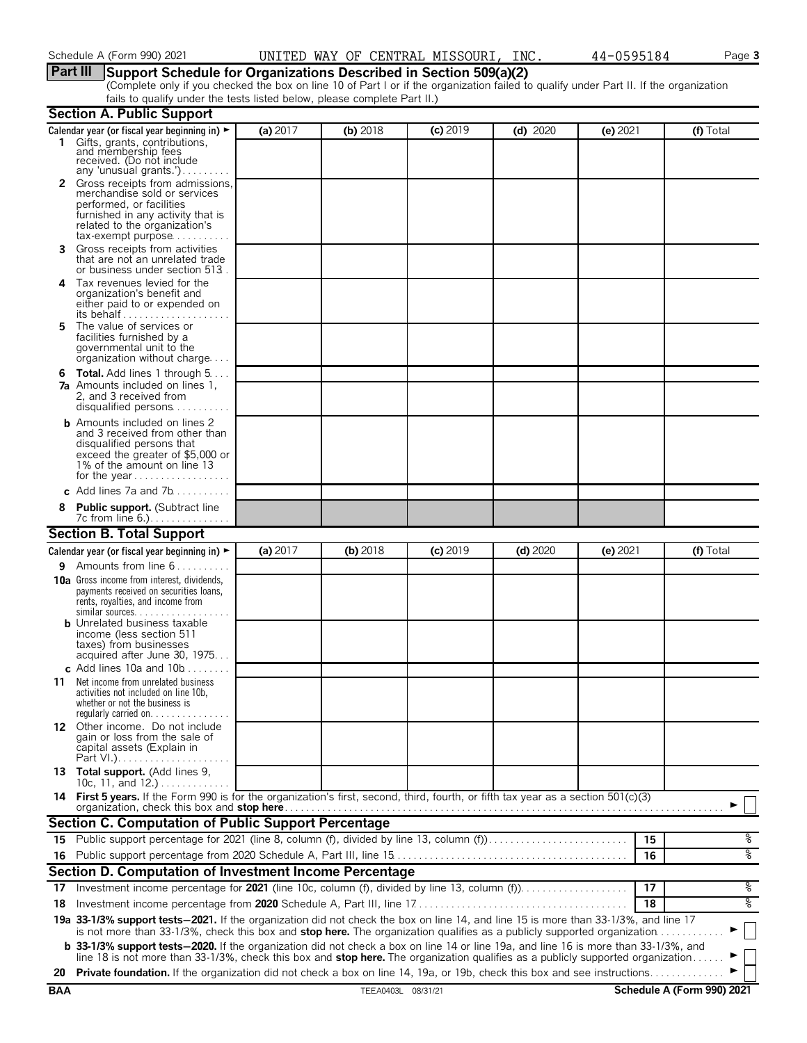### **Part III Support Schedule for Organizations Described in Section 509(a)(2)**

(Complete only if you checked the box on line 10 of Part I or if the organization failed to qualify under Part II. If the organization fails to qualify under the tests listed below, please complete Part II.)

|            | <b>Section A. Public Support</b>                                                                                                                                                                                                                                      |            |                    |            |            |            |    |                            |
|------------|-----------------------------------------------------------------------------------------------------------------------------------------------------------------------------------------------------------------------------------------------------------------------|------------|--------------------|------------|------------|------------|----|----------------------------|
|            | Calendar year (or fiscal year beginning in) $\blacktriangleright$                                                                                                                                                                                                     | (a) 2017   | (b) 2018           | $(c)$ 2019 | $(d)$ 2020 | $(e)$ 2021 |    | (f) Total                  |
|            | 1 Gifts, grants, contributions,<br>and membership fees<br>received. (Do not include<br>any 'unusual grants.')                                                                                                                                                         |            |                    |            |            |            |    |                            |
| 2          | Gross receipts from admissions,                                                                                                                                                                                                                                       |            |                    |            |            |            |    |                            |
|            | merchandise sold or services<br>performed, or facilities<br>furnished in any activity that is<br>related to the organization's<br>$tax\text{-}exempt$ purpose                                                                                                         |            |                    |            |            |            |    |                            |
| 3          | Gross receipts from activities<br>that are not an unrelated trade<br>or business under section 513.                                                                                                                                                                   |            |                    |            |            |            |    |                            |
| 4          | Tax revenues levied for the<br>organization's benefit and<br>either paid to or expended on<br>its behalf $\ldots$ $\ldots$ $\ldots$ $\ldots$ $\ldots$ $\ldots$                                                                                                        |            |                    |            |            |            |    |                            |
| 5          | The value of services or<br>facilities furnished by a<br>governmental unit to the<br>organization without charge                                                                                                                                                      |            |                    |            |            |            |    |                            |
| 6          | Total. Add lines 1 through 5<br><b>7a</b> Amounts included on lines 1.<br>2, and 3 received from<br>disqualified persons                                                                                                                                              |            |                    |            |            |            |    |                            |
|            | <b>b</b> Amounts included on lines 2<br>and 3 received from other than<br>disqualified persons that<br>exceed the greater of \$5,000 or<br>1% of the amount on line 13<br>for the year                                                                                |            |                    |            |            |            |    |                            |
|            | c Add lines 7a and 7b                                                                                                                                                                                                                                                 |            |                    |            |            |            |    |                            |
| 8          | <b>Public support.</b> (Subtract line<br>7c from line 6.).                                                                                                                                                                                                            |            |                    |            |            |            |    |                            |
|            | <b>Section B. Total Support</b>                                                                                                                                                                                                                                       |            |                    |            |            |            |    |                            |
|            | Calendar year (or fiscal year beginning in) $\blacktriangleright$                                                                                                                                                                                                     | (a) $2017$ | (b) 2018           | $(c)$ 2019 | $(d)$ 2020 | $(e)$ 2021 |    | (f) Total                  |
| 9.         | Amounts from line 6                                                                                                                                                                                                                                                   |            |                    |            |            |            |    |                            |
|            | <b>10a</b> Gross income from interest, dividends,<br>payments received on securities loans,<br>rents, royalties, and income from<br>similar sources.<br><b>b</b> Unrelated business taxable                                                                           |            |                    |            |            |            |    |                            |
|            | income (less section 511<br>taxes) from businesses<br>acquired after June 30, 1975                                                                                                                                                                                    |            |                    |            |            |            |    |                            |
| 11         | c Add lines $10a$ and $10b$<br>Net income from unrelated business                                                                                                                                                                                                     |            |                    |            |            |            |    |                            |
|            | activities not included on line 10b,<br>whether or not the business is<br>regularly carried on. $\ldots \ldots$                                                                                                                                                       |            |                    |            |            |            |    |                            |
|            | 12 Other income. Do not include<br>gain or loss from the sale of<br>capital assets (Explain in                                                                                                                                                                        |            |                    |            |            |            |    |                            |
|            | 13 Total support. (Add lines 9,<br>10c. 11. and $12.1$                                                                                                                                                                                                                |            |                    |            |            |            |    |                            |
|            | 14 First 5 years. If the Form 990 is for the organization's first, second, third, fourth, or fifth tax year as a section 501(c)(3)<br>organization, check this box and stop here.                                                                                     |            |                    |            |            |            |    |                            |
|            | Section C. Computation of Public Support Percentage                                                                                                                                                                                                                   |            |                    |            |            |            |    |                            |
| 15         | Public support percentage for 2021 (line 8, column (f), divided by line 13, column (f))                                                                                                                                                                               |            |                    |            |            |            | 15 | နွ                         |
| 16         |                                                                                                                                                                                                                                                                       |            |                    |            |            |            | 16 | oko                        |
|            | Section D. Computation of Investment Income Percentage                                                                                                                                                                                                                |            |                    |            |            |            |    |                            |
| 17         | Investment income percentage for 2021 (line 10c, column (f), divided by line 13, column (f)                                                                                                                                                                           |            |                    |            |            |            | 17 | ್ಗ                         |
| 18         |                                                                                                                                                                                                                                                                       |            |                    |            |            |            | 18 | ०७                         |
|            | 19a 33-1/3% support tests-2021. If the organization did not check the box on line 14, and line 15 is more than 33-1/3%, and line 17                                                                                                                                   |            |                    |            |            |            |    |                            |
|            | is not more than 33-1/3%, check this box and stop here. The organization qualifies as a publicly supported organization<br><b>b</b> 33-1/3% support tests-2020. If the organization did not check a box on line 14 or line 19a, and line 16 is more than 33-1/3%, and |            |                    |            |            |            |    |                            |
| 20         | line 18 is not more than 33-1/3%, check this box and stop here. The organization qualifies as a publicly supported organization.<br>Private foundation. If the organization did not check a box on line 14, 19a, or 19b, check this box and see instructions          |            |                    |            |            |            |    |                            |
| <b>BAA</b> |                                                                                                                                                                                                                                                                       |            | TEEA0403L 08/31/21 |            |            |            |    | Schedule A (Form 990) 2021 |
|            |                                                                                                                                                                                                                                                                       |            |                    |            |            |            |    |                            |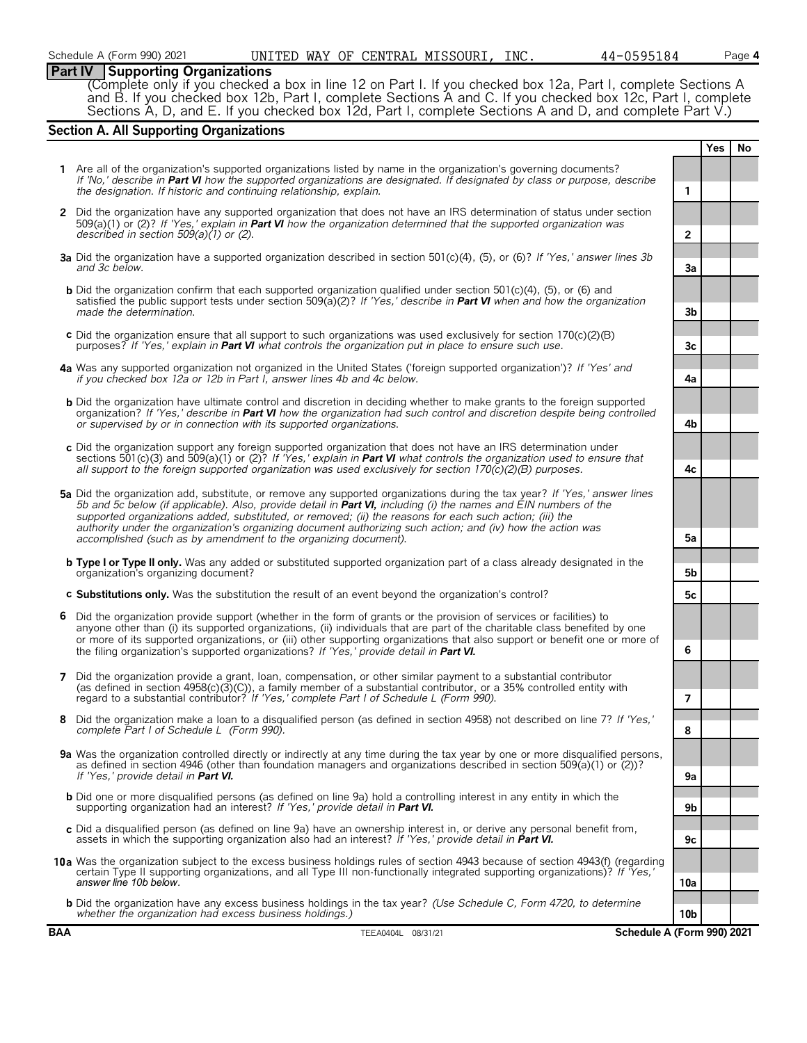### **Part IV Supporting Organizations**

(Complete only if you checked a box in line 12 on Part I. If you checked box 12a, Part I, complete Sections A and B. If you checked box 12b, Part I, complete Sections A and C. If you checked box 12c, Part I, complete Sections A, D, and E. If you checked box 12d, Part I, complete Sections A and D, and complete Part V.)

### **Section A. All Supporting Organizations**

|            |                                                                                                                                                                                                                                                                                                                                                                                                                                                                                                                                              |                | Yes. | No |
|------------|----------------------------------------------------------------------------------------------------------------------------------------------------------------------------------------------------------------------------------------------------------------------------------------------------------------------------------------------------------------------------------------------------------------------------------------------------------------------------------------------------------------------------------------------|----------------|------|----|
|            | Are all of the organization's supported organizations listed by name in the organization's governing documents?<br>If 'No,' describe in Part VI how the supported organizations are designated. If designated by class or purpose, describe<br>the designation. If historic and continuing relationship, explain.                                                                                                                                                                                                                            | 1              |      |    |
|            | 2 Did the organization have any supported organization that does not have an IRS determination of status under section<br>509(a)(1) or (2)? If 'Yes,' explain in <b>Part VI</b> how the organization determined that the supported organization was<br>described in section $509(a)(1)$ or (2).                                                                                                                                                                                                                                              | $\overline{2}$ |      |    |
|            | 3a Did the organization have a supported organization described in section 501(c)(4), (5), or (6)? If 'Yes,' answer lines 3b<br>and 3c below.                                                                                                                                                                                                                                                                                                                                                                                                | 3a             |      |    |
|            | <b>b</b> Did the organization confirm that each supported organization qualified under section $501(c)(4)$ , (5), or (6) and<br>satisfied the public support tests under section 509(a)(2)? If 'Yes,' describe in Part VI when and how the organization<br>made the determination.                                                                                                                                                                                                                                                           | 3 <sub>b</sub> |      |    |
|            | c Did the organization ensure that all support to such organizations was used exclusively for section $170(c)(2)$ (B)<br>purposes? If 'Yes,' explain in <b>Part VI</b> what controls the organization put in place to ensure such use.                                                                                                                                                                                                                                                                                                       | 3 <sub>c</sub> |      |    |
|            | 4a Was any supported organization not organized in the United States ('foreign supported organization')? If 'Yes' and<br>if you checked box 12a or 12b in Part I, answer lines 4b and 4c below.                                                                                                                                                                                                                                                                                                                                              | 4a             |      |    |
|            | <b>b</b> Did the organization have ultimate control and discretion in deciding whether to make grants to the foreign supported<br>organization? If 'Yes,' describe in Part VI how the organization had such control and discretion despite being controlled<br>or supervised by or in connection with its supported organizations.                                                                                                                                                                                                           | 4b             |      |    |
|            | c Did the organization support any foreign supported organization that does not have an IRS determination under<br>sections 501(c)(3) and 509(a)(1) or (2)? If 'Yes,' explain in <b>Part VI</b> what controls the organization used to ensure that<br>all support to the foreign supported organization was used exclusively for section $170(c)(2)(B)$ purposes.                                                                                                                                                                            | 4c             |      |    |
|            | 5a Did the organization add, substitute, or remove any supported organizations during the tax year? If 'Yes,' answer lines<br>5b and 5c below (if applicable). Also, provide detail in Part VI, including (i) the names and EIN numbers of the<br>supported organizations added, substituted, or removed; (ii) the reasons for each such action; (iii) the<br>authority under the organization's organizing document authorizing such action; and (iv) how the action was<br>accomplished (such as by amendment to the organizing document). | 5a             |      |    |
|            | <b>b</b> Type I or Type II only. Was any added or substituted supported organization part of a class already designated in the<br>organization's organizing document?                                                                                                                                                                                                                                                                                                                                                                        | 5b             |      |    |
|            | c Substitutions only. Was the substitution the result of an event beyond the organization's control?                                                                                                                                                                                                                                                                                                                                                                                                                                         | 5c             |      |    |
| 6          | Did the organization provide support (whether in the form of grants or the provision of services or facilities) to<br>anyone other than (i) its supported organizations, (ii) individuals that are part of the charitable class benefited by one<br>or more of its supported organizations, or (iii) other supporting organizations that also support or benefit one or more of<br>the filing organization's supported organizations? If 'Yes,' provide detail in Part VI.                                                                   | 6              |      |    |
| 7          | Did the organization provide a grant, loan, compensation, or other similar payment to a substantial contributor<br>(as defined in section $4958(c)(3)(C)$ ), a family member of a substantial contributor, or a 35% controlled entity with<br>regard to a substantial contributor? If 'Yes,' complete Part I of Schedule L (Form 990).                                                                                                                                                                                                       | $\overline{7}$ |      |    |
| 8          | Did the organization make a loan to a disqualified person (as defined in section 4958) not described on line 7? If 'Yes,'<br>complete Part I of Schedule L (Form 990).                                                                                                                                                                                                                                                                                                                                                                       | 8              |      |    |
|            | 9a Was the organization controlled directly or indirectly at any time during the tax year by one or more disqualified persons,<br>as defined in section 4946 (other than foundation managers and organizations described in section 509(a)(1) or (2))?<br>If 'Yes,' provide detail in <b>Part VI.</b>                                                                                                                                                                                                                                        | 9a             |      |    |
|            | <b>b</b> Did one or more disqualified persons (as defined on line 9a) hold a controlling interest in any entity in which the<br>supporting organization had an interest? If 'Yes,' provide detail in Part VI.                                                                                                                                                                                                                                                                                                                                | 9b             |      |    |
|            | c Did a disqualified person (as defined on line 9a) have an ownership interest in, or derive any personal benefit from,<br>assets in which the supporting organization also had an interest? If 'Yes,' provide detail in Part VI.                                                                                                                                                                                                                                                                                                            | 9c             |      |    |
|            | 10a Was the organization subject to the excess business holdings rules of section 4943 because of section 4943(f) (regarding<br>certain Type II supporting organizations, and all Type III non-functionally integrated supporting organizations)? If 'Yes,'<br>answer line 10b below.                                                                                                                                                                                                                                                        | 10a            |      |    |
|            | <b>b</b> Did the organization have any excess business holdings in the tax year? (Use Schedule C, Form 4720, to determine<br>whether the organization had excess business holdings.)                                                                                                                                                                                                                                                                                                                                                         | 10b            |      |    |
| <b>BAA</b> | Schedule A (Form 990) 2021<br>TEEA0404L 08/31/21                                                                                                                                                                                                                                                                                                                                                                                                                                                                                             |                |      |    |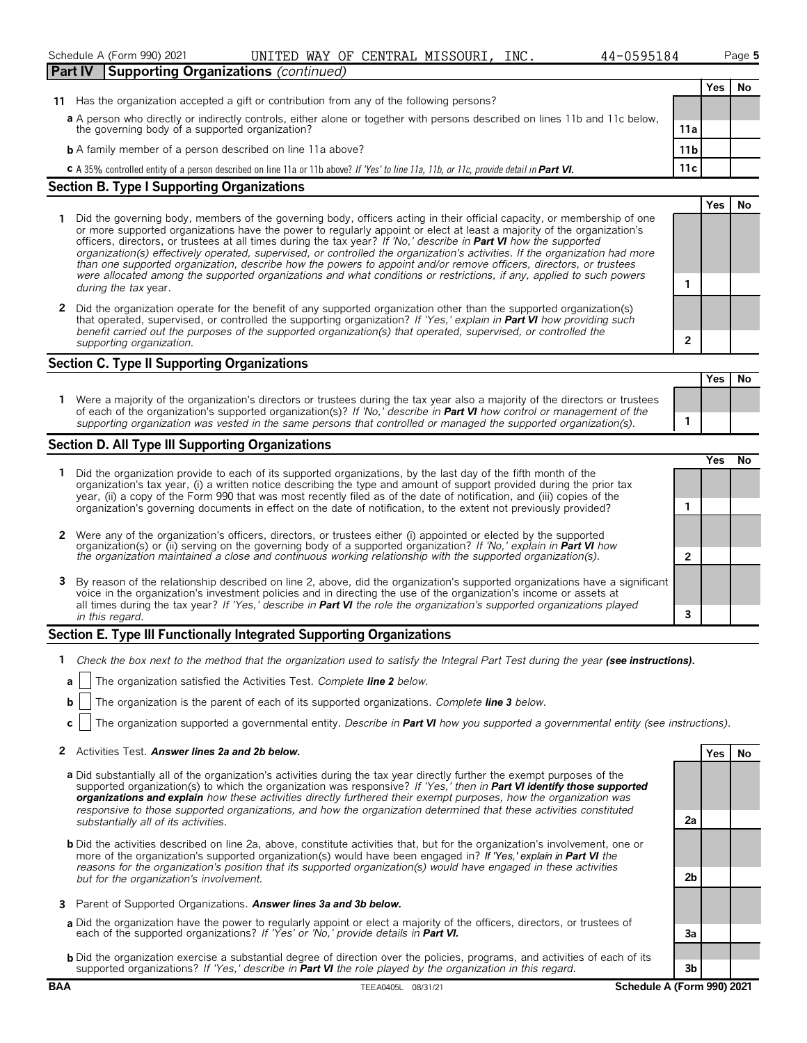|                                                                                                                             | Schedule A (Form 990) 2021                                                                                                                            |  |  |  | UNITED WAY OF CENTRAL MISSOURI, | INC. | 44-0595184 |                  |      | Page 5 |
|-----------------------------------------------------------------------------------------------------------------------------|-------------------------------------------------------------------------------------------------------------------------------------------------------|--|--|--|---------------------------------|------|------------|------------------|------|--------|
| Part IV                                                                                                                     | Supporting Organizations (continued)                                                                                                                  |  |  |  |                                 |      |            |                  |      |        |
|                                                                                                                             |                                                                                                                                                       |  |  |  |                                 |      |            |                  | Yes. | No     |
| Has the organization accepted a gift or contribution from any of the following persons?<br>11                               |                                                                                                                                                       |  |  |  |                                 |      |            |                  |      |        |
| a A person who directly or indirectly controls, either alone or together with persons described on lines 11b and 11c below, |                                                                                                                                                       |  |  |  |                                 |      |            |                  |      |        |
|                                                                                                                             | the governing body of a supported organization?                                                                                                       |  |  |  |                                 |      |            | 11a              |      |        |
|                                                                                                                             | <b>b</b> A family member of a person described on line 11a above?                                                                                     |  |  |  |                                 |      |            | 11b <sub>1</sub> |      |        |
|                                                                                                                             | <b>C</b> A 35% controlled entity of a person described on line 11a or 11b above? If 'Yes' to line 11a, 11b, or 11c, provide detail in <b>Part VI.</b> |  |  |  |                                 |      |            | $11c_1$          |      |        |
|                                                                                                                             |                                                                                                                                                       |  |  |  |                                 |      |            |                  |      |        |

#### **Section B. Type I Supporting Organizations**

- **1** Did the governing body, members of the governing body, officers acting in their official capacity, or membership of one or more supported organizations have the power to regularly appoint or elect at least a majority of the organization's officers, directors, or trustees at all times during the tax year? *If 'No,' describe in Part VI how the supported organization(s) effectively operated, supervised, or controlled the organization's activities. If the organization had more than one supported organization, describe how the powers to appoint and/or remove officers, directors, or trustees were allocated among the supported organizations and what conditions or restrictions, if any, applied to such powers* **<sup>1</sup>** *during the tax* year.
- **2** Did the organization operate for the benefit of any supported organization other than the supported organization(s) that operated, supervised, or controlled the supporting organization? *If 'Yes,' explain in Part VI how providing such benefit carried out the purposes of the supported organization(s) that operated, supervised, or controlled the supporting organization.* **2**

#### **Section C. Type II Supporting Organizations**

**Yes No 1** Were a majority of the organization's directors or trustees during the tax year also a majority of the directors or trustees of each of the organization's supported organization(s)? *If 'No,' describe in Part VI how control or management of the supporting organization was vested in the same persons that controlled or managed the supported organization(s).* **1**

#### **Section D. All Type III Supporting Organizations**

|                                                                                                                                                                                                                                                                                                                                                                                       |   | res) |  |
|---------------------------------------------------------------------------------------------------------------------------------------------------------------------------------------------------------------------------------------------------------------------------------------------------------------------------------------------------------------------------------------|---|------|--|
| Did the organization provide to each of its supported organizations, by the last day of the fifth month of the<br>organization's tax year, (i) a written notice describing the type and amount of support provided during the prior tax<br>year, (ii) a copy of the Form 990 that was most recently filed as of the date of notification, and (iii) copies of the                     |   |      |  |
| organization's governing documents in effect on the date of notification, to the extent not previously provided?                                                                                                                                                                                                                                                                      |   |      |  |
| 2 Were any of the organization's officers, directors, or trustees either (i) appointed or elected by the supported                                                                                                                                                                                                                                                                    |   |      |  |
| organization(s) or (ii) serving on the governing body of a supported organization? If 'No,' explain in <b>Part VI</b> how the organization maintained a close and continuous working relationship with the supported organization(s                                                                                                                                                   | ◠ |      |  |
| 3 By reason of the relationship described on line 2, above, did the organization's supported organizations have a significant<br>voice in the organization's investment policies and in directing the use of the organization's income or assets at<br>all times during the tax year? If 'Yes,' describe in <b>Part VI</b> the role the organization's supported organizations played |   |      |  |
| in this regard.                                                                                                                                                                                                                                                                                                                                                                       |   |      |  |

### **Section E. Type III Functionally Integrated Supporting Organizations**

- **1** *Check the box next to the method that the organization used to satisfy the Integral Part Test during the year (see instructions).*
- **a** The organization satisfied the Activities Test. *Complete line 2 below.*
- **b** The organization is the parent of each of its supported organizations. *Complete line 3 below.*
- **c** The organization supported a governmental entity. *Describe in Part VI how you supported a governmental entity (see instructions).*

#### **2** Activities Test. *Answer lines 2a and 2b below.* **Yes No**

- **a** Did substantially all of the organization's activities during the tax year directly further the exempt purposes of the supported organization(s) to which the organization was responsive? *If 'Yes,' then in Part VI identify those supported organizations and explain how these activities directly furthered their exempt purposes, how the organization was responsive to those supported organizations, and how the organization determined that these activities constituted substantially all of its activities.* **2a**
- **b** Did the activities described on line 2a, above, constitute activities that, but for the organization's involvement, one or more of the organization's supported organization(s) would have been engaged in? *If 'Yes,' explain in Part VI the reasons for the organization's position that its supported organization(s) would have engaged in these activities but for the organization's involvement.* **2b**
- **3** Parent of Supported Organizations. *Answer lines 3a and 3b below.*
- **a** Did the organization have the power to regularly appoint or elect a majority of the officers, directors, or trustees of each of the supported organizations? *If 'Yes' or 'No,' provide details in Part VI.* **3a**
- **b** Did the organization exercise a substantial degree of direction over the policies, programs, and activities of each of its supported organizations? *If 'Yes,' describe in Part VI the role played by the organization in this regard.* **3b**

**Yes No**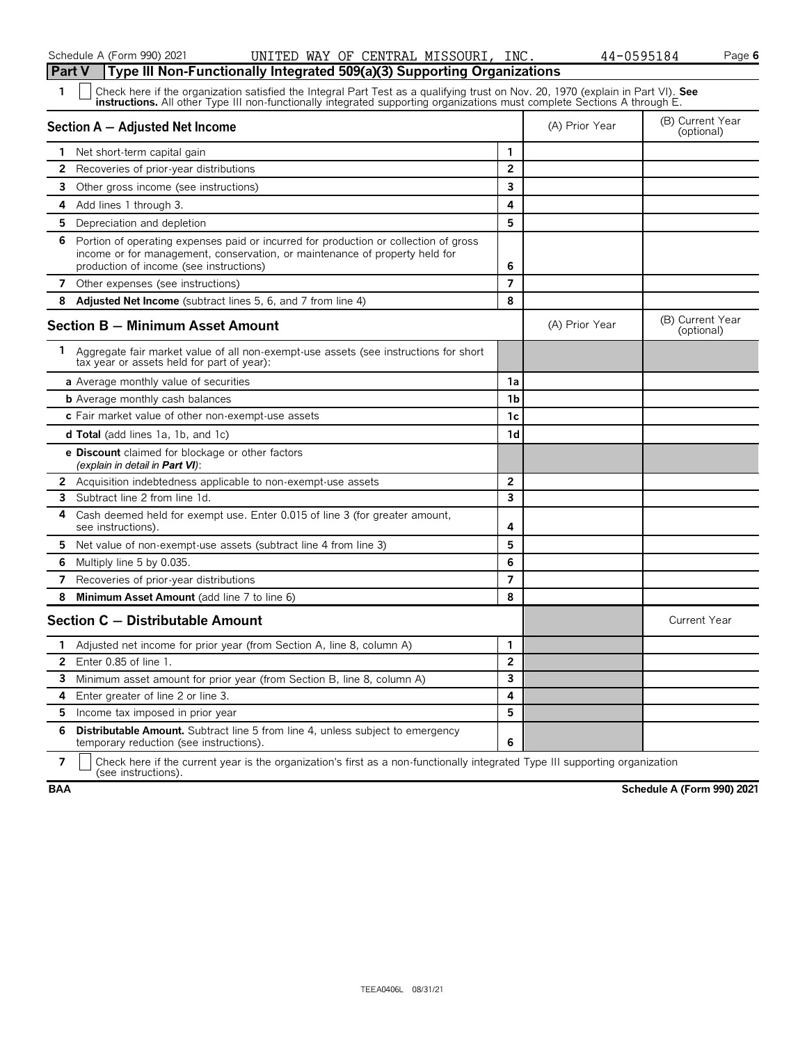#### Schedule A (Form 990) 2021 **DILLER WAY OF CENTRAL MISSOURI, INC.** 44-0595184 Page **6**

**Part V Type III Non-Functionally Integrated 509(a)(3) Supporting Organizations**

| 1<br>Check here if the organization satisfied the Integral Part Test as a qualifying trust on Nov. 20, 1970 (explain in Part VI). See<br><b>instructions.</b> All other Type III non-functionally integrated supporting organizations must complete Sections A through E. |                |                |                                |
|---------------------------------------------------------------------------------------------------------------------------------------------------------------------------------------------------------------------------------------------------------------------------|----------------|----------------|--------------------------------|
| Section A - Adjusted Net Income                                                                                                                                                                                                                                           |                | (A) Prior Year | (B) Current Year<br>(optional) |
| 1 Net short-term capital gain                                                                                                                                                                                                                                             | $\mathbf{1}$   |                |                                |
| 2<br>Recoveries of prior-year distributions                                                                                                                                                                                                                               | $\overline{2}$ |                |                                |
| 3<br>Other gross income (see instructions)                                                                                                                                                                                                                                | 3              |                |                                |
| Add lines 1 through 3.<br>4                                                                                                                                                                                                                                               | 4              |                |                                |
| 5.<br>Depreciation and depletion                                                                                                                                                                                                                                          | 5              |                |                                |
| 6<br>Portion of operating expenses paid or incurred for production or collection of gross<br>income or for management, conservation, or maintenance of property held for<br>production of income (see instructions)                                                       | 6              |                |                                |
| <b>7</b> Other expenses (see instructions)                                                                                                                                                                                                                                | $\overline{7}$ |                |                                |
| <b>Adjusted Net Income</b> (subtract lines 5, 6, and 7 from line 4)<br>8                                                                                                                                                                                                  | 8              |                |                                |
| <b>Section B - Minimum Asset Amount</b>                                                                                                                                                                                                                                   |                | (A) Prior Year | (B) Current Year<br>(optional) |
| 1 Aggregate fair market value of all non-exempt-use assets (see instructions for short<br>tax year or assets held for part of year):                                                                                                                                      |                |                |                                |
| a Average monthly value of securities                                                                                                                                                                                                                                     | 1a             |                |                                |
| <b>b</b> Average monthly cash balances                                                                                                                                                                                                                                    | 1 <sub>b</sub> |                |                                |
| c Fair market value of other non-exempt-use assets                                                                                                                                                                                                                        | 1c             |                |                                |
| <b>d Total</b> (add lines 1a, 1b, and 1c)                                                                                                                                                                                                                                 | 1d             |                |                                |
| e Discount claimed for blockage or other factors<br>(explain in detail in <b>Part VI</b> ):                                                                                                                                                                               |                |                |                                |
| $\mathbf{2}$<br>Acquisition indebtedness applicable to non-exempt-use assets                                                                                                                                                                                              | $\overline{2}$ |                |                                |
| Subtract line 2 from line 1d.<br>3                                                                                                                                                                                                                                        | 3              |                |                                |
| 4<br>Cash deemed held for exempt use. Enter 0.015 of line 3 (for greater amount,<br>see instructions).                                                                                                                                                                    | 4              |                |                                |
| Net value of non-exempt-use assets (subtract line 4 from line 3)<br>5.                                                                                                                                                                                                    | 5              |                |                                |
| 6<br>Multiply line 5 by 0.035.                                                                                                                                                                                                                                            | 6              |                |                                |
| $\overline{7}$<br>Recoveries of prior-year distributions                                                                                                                                                                                                                  | $\overline{7}$ |                |                                |
| Minimum Asset Amount (add line 7 to line 6)<br>8                                                                                                                                                                                                                          | 8              |                |                                |
| Section C - Distributable Amount                                                                                                                                                                                                                                          |                |                | <b>Current Year</b>            |
| Adjusted net income for prior year (from Section A, line 8, column A)<br>1                                                                                                                                                                                                | $\mathbf{1}$   |                |                                |
| <b>2</b> Enter 0.85 of line 1.                                                                                                                                                                                                                                            | $\overline{2}$ |                |                                |
| 3<br>Minimum asset amount for prior year (from Section B, line 8, column A)                                                                                                                                                                                               | 3              |                |                                |
| Enter greater of line 2 or line 3.<br>4                                                                                                                                                                                                                                   | 4              |                |                                |
| 5.<br>Income tax imposed in prior year                                                                                                                                                                                                                                    | 5              |                |                                |
| 6<br><b>Distributable Amount.</b> Subtract line 5 from line 4, unless subject to emergency<br>temporary reduction (see instructions).                                                                                                                                     | 6              |                |                                |

**7**  $\Box$  Check here if the current year is the organization's first as a non-functionally integrated Type III supporting organization (see instructions).

**BAA Schedule A (Form 990) 2021**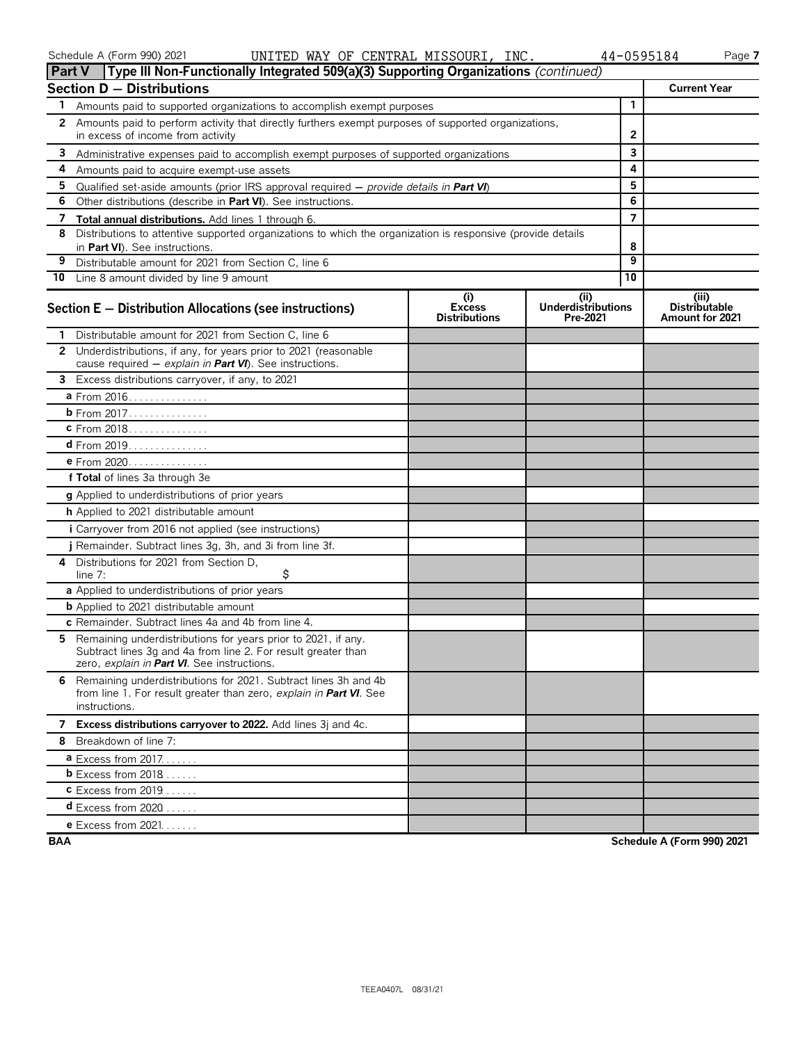|              | Type III Non-Functionally Integrated 509(a)(3) Supporting Organizations (continued)<br><b>Part V</b>                                                                          |                                              |                                       |                |                                                  |
|--------------|-------------------------------------------------------------------------------------------------------------------------------------------------------------------------------|----------------------------------------------|---------------------------------------|----------------|--------------------------------------------------|
|              | Section D - Distributions                                                                                                                                                     |                                              |                                       |                | <b>Current Year</b>                              |
| 1.           | Amounts paid to supported organizations to accomplish exempt purposes                                                                                                         |                                              |                                       | $\mathbf{1}$   |                                                  |
| $\mathbf{2}$ | Amounts paid to perform activity that directly furthers exempt purposes of supported organizations,                                                                           |                                              |                                       |                |                                                  |
|              | in excess of income from activity                                                                                                                                             |                                              | 2                                     |                |                                                  |
| 3            | Administrative expenses paid to accomplish exempt purposes of supported organizations                                                                                         |                                              | 3                                     |                |                                                  |
| 4            | Amounts paid to acquire exempt-use assets                                                                                                                                     |                                              |                                       | 4              |                                                  |
| 5            | Qualified set-aside amounts (prior IRS approval required $-$ provide details in <b>Part VI</b> )                                                                              |                                              |                                       | 5              |                                                  |
| 6            | Other distributions (describe in Part VI). See instructions.                                                                                                                  |                                              |                                       | 6              |                                                  |
| 7            | Total annual distributions. Add lines 1 through 6.                                                                                                                            |                                              |                                       | $\overline{7}$ |                                                  |
| 8            | Distributions to attentive supported organizations to which the organization is responsive (provide details<br>in Part VI). See instructions.                                 |                                              |                                       | 8              |                                                  |
| 9            | Distributable amount for 2021 from Section C, line 6                                                                                                                          |                                              |                                       | 9              |                                                  |
|              | 10 Line 8 amount divided by line 9 amount                                                                                                                                     |                                              |                                       | 10             |                                                  |
|              | Section E - Distribution Allocations (see instructions)                                                                                                                       | (i)<br><b>Excess</b><br><b>Distributions</b> | (i)<br>Underdistributions<br>Pre-2021 |                | (iii)<br><b>Distributable</b><br>Amount for 2021 |
| 1.           | Distributable amount for 2021 from Section C, line 6                                                                                                                          |                                              |                                       |                |                                                  |
|              | 2 Underdistributions, if any, for years prior to 2021 (reasonable<br>cause required - explain in Part VI). See instructions.                                                  |                                              |                                       |                |                                                  |
|              | 3 Excess distributions carryover, if any, to 2021                                                                                                                             |                                              |                                       |                |                                                  |
|              | a From 2016.                                                                                                                                                                  |                                              |                                       |                |                                                  |
|              | <b>b</b> From 2017.                                                                                                                                                           |                                              |                                       |                |                                                  |
|              | c From 2018                                                                                                                                                                   |                                              |                                       |                |                                                  |
|              | <b>d</b> From 2019. <u>.</u>                                                                                                                                                  |                                              |                                       |                |                                                  |
|              | e From 2020                                                                                                                                                                   |                                              |                                       |                |                                                  |
|              | f Total of lines 3a through 3e                                                                                                                                                |                                              |                                       |                |                                                  |
|              | g Applied to underdistributions of prior years                                                                                                                                |                                              |                                       |                |                                                  |
|              | <b>h</b> Applied to 2021 distributable amount                                                                                                                                 |                                              |                                       |                |                                                  |
|              | <i>i</i> Carryover from 2016 not applied (see instructions)                                                                                                                   |                                              |                                       |                |                                                  |
|              | <i>j</i> Remainder. Subtract lines 3g, 3h, and 3i from line 3f.                                                                                                               |                                              |                                       |                |                                                  |
| 4            | Distributions for 2021 from Section D.<br>\$<br>line $7:$                                                                                                                     |                                              |                                       |                |                                                  |
|              | a Applied to underdistributions of prior years                                                                                                                                |                                              |                                       |                |                                                  |
|              | <b>b</b> Applied to 2021 distributable amount                                                                                                                                 |                                              |                                       |                |                                                  |
|              | c Remainder. Subtract lines 4a and 4b from line 4.                                                                                                                            |                                              |                                       |                |                                                  |
| 5.           | Remaining underdistributions for years prior to 2021, if any.<br>Subtract lines 3g and 4a from line 2. For result greater than<br>zero, explain in Part VI. See instructions. |                                              |                                       |                |                                                  |
|              | 6 Remaining underdistributions for 2021. Subtract lines 3h and 4b<br>from line 1. For result greater than zero, explain in Part VI. See<br>instructions.                      |                                              |                                       |                |                                                  |
|              | 7 Excess distributions carryover to 2022. Add lines 3j and 4c.                                                                                                                |                                              |                                       |                |                                                  |
|              | 8 Breakdown of line 7:                                                                                                                                                        |                                              |                                       |                |                                                  |
|              | <b>a</b> Excess from $2017$                                                                                                                                                   |                                              |                                       |                |                                                  |
|              | $b$ Excess from 2018                                                                                                                                                          |                                              |                                       |                |                                                  |
|              | $c$ Excess from 2019                                                                                                                                                          |                                              |                                       |                |                                                  |
|              | <b>d</b> Excess from $2020$                                                                                                                                                   |                                              |                                       |                |                                                  |
|              | e Excess from $2021$                                                                                                                                                          |                                              |                                       |                |                                                  |

**BAA Schedule A (Form 990) 2021**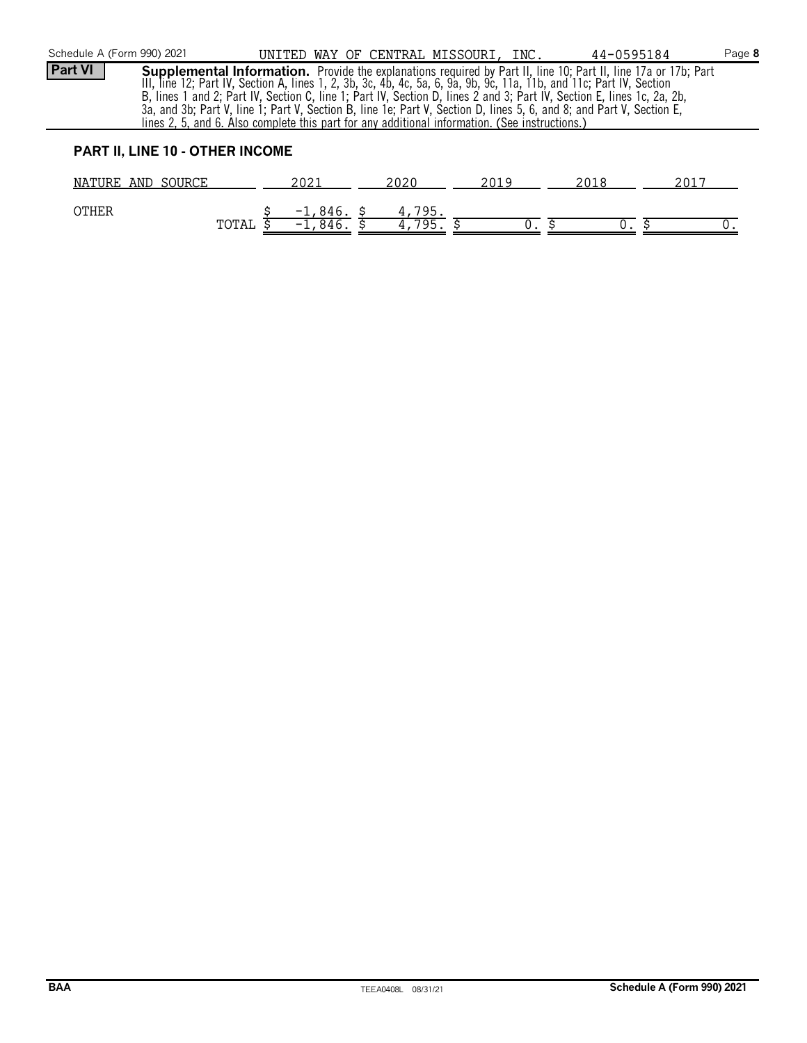| Schedule A (Form 990) 2021                                                                                                                                                                                                                                                                                                                                                                                                                                                                                                                                                                           |                   |      |           |        | UNITED WAY OF CENTRAL MISSOURI, INC. |  | 44-0595184 |      | Page 8 |
|------------------------------------------------------------------------------------------------------------------------------------------------------------------------------------------------------------------------------------------------------------------------------------------------------------------------------------------------------------------------------------------------------------------------------------------------------------------------------------------------------------------------------------------------------------------------------------------------------|-------------------|------|-----------|--------|--------------------------------------|--|------------|------|--------|
| <b>Part VI</b><br>Supplemental Information. Provide the explanations required by Part II, line 10; Part II, line 17a or 17b; Part III, line 12a or 17b; Part III, line 12; Part IV, Section A, lines 1, 2, 3b, 3c, 4b, 4c, 5a, 6, 9a, 9b, 9c, 11<br>B, lines 1 and 2; Part IV, Section C, line 1; Part IV, Section D, lines 2 and 3; Part IV, Section E, lines 1c, 2a, 2b,<br>3a, and 3b; Part V, line 1; Part V, Section B, line 1e; Part V, Section D, lines 5, 6, and 8; and Part V, Section E,<br>lines 2, 5, and 6. Also complete this part for any additional information. (See instructions.) |                   |      |           |        |                                      |  |            |      |        |
| <b>PART II, LINE 10 - OTHER INCOME</b>                                                                                                                                                                                                                                                                                                                                                                                                                                                                                                                                                               |                   |      |           |        |                                      |  |            |      |        |
|                                                                                                                                                                                                                                                                                                                                                                                                                                                                                                                                                                                                      | NATURE AND SOURCE | 2021 |           | 2020   | 2019                                 |  | 2018       | 2017 |        |
| OTHER                                                                                                                                                                                                                                                                                                                                                                                                                                                                                                                                                                                                |                   |      | $-1,846.$ | 4,795. |                                      |  |            |      |        |

TOTAL  $$-1,846.$   $$+4,795.$   $$+6.$   $$+6.$   $$+6.$   $$+6.$   $$+6.$   $$+6.$   $$+6.$   $$+6.$   $$+6.$   $$+6.$   $$+6.$   $$+6.$   $$+6.$   $$+6.$   $$+6.$   $$+6.$   $$+6.$   $$+6.$   $$+6.$   $$+6.$   $$+6.$   $$+6.$   $$+6.$   $$+6.$   $$+6.$   $$+6.$   $$+6.$   $$+6$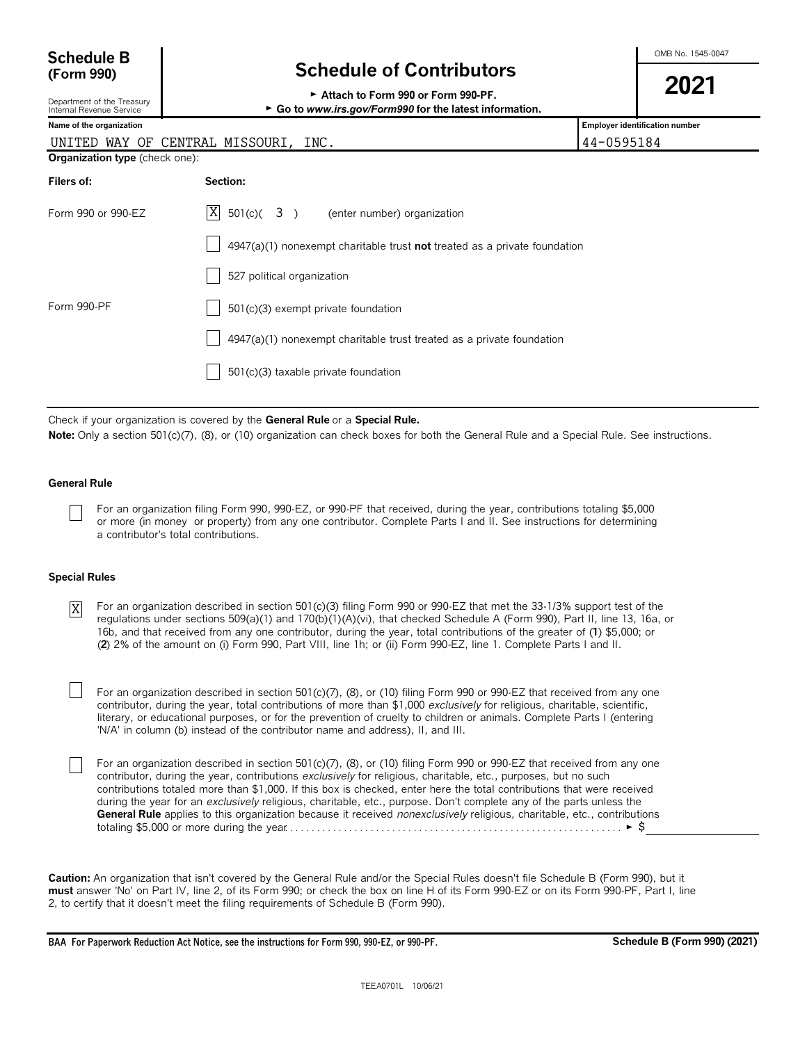# OMB No. 1545-0047 **Schedule B**

| (Form 990)                                             | <b>Schedule of Contributors</b>                                             |                                |
|--------------------------------------------------------|-----------------------------------------------------------------------------|--------------------------------|
| Department of the Treasury<br>Internal Revenue Service | 2021                                                                        |                                |
| Name of the organization                               |                                                                             | Employer identification number |
| UNITED WAY OF                                          | CENTRAL MISSOURI, INC.                                                      | 44-0595184                     |
| <b>Organization type</b> (check one):                  |                                                                             |                                |
| Filers of:                                             | Section:                                                                    |                                |
| Form 990 or 990-EZ                                     | X<br>$501(c)$ ( 3 )<br>(enter number) organization                          |                                |
|                                                        | $4947(a)(1)$ nonexempt charitable trust not treated as a private foundation |                                |
|                                                        | 527 political organization                                                  |                                |
| Form 990-PF                                            | 501(c)(3) exempt private foundation                                         |                                |
|                                                        | $4947(a)(1)$ nonexempt charitable trust treated as a private foundation     |                                |
|                                                        | 501(c)(3) taxable private foundation                                        |                                |

Check if your organization is covered by the **General Rule** or a **Special Rule.**

### Note: Only a section 501(c)(7), (8), or (10) organization can check boxes for both the General Rule and a Special Rule. See instructions.

#### **General Rule**

For an organization filing Form 990, 990-EZ, or 990-PF that received, during the year, contributions totaling \$5,000 or more (in money or property) from any one contributor. Complete Parts I and II. See instructions for determining a contributor's total contributions.

#### **Special Rules**

| $\overline{x}$ For an organization described in section 501(c)(3) filing Form 990 or 990-EZ that met the 33-1/3% support test of the |
|--------------------------------------------------------------------------------------------------------------------------------------|
| regulations under sections $509(a)(1)$ and $170(b)(1)(A)(vi)$ , that checked Schedule A (Form 990), Part II, line 13, 16a, or        |
| 16b, and that received from any one contributor, during the year, total contributions of the greater of (1) \$5,000; or              |
| (2) 2% of the amount on (i) Form 990, Part VIII, line 1h; or (ii) Form 990-EZ, line 1. Complete Parts I and II.                      |

For an organization described in section 501(c)(7), (8), or (10) filing Form 990 or 990-EZ that received from any one contributor, during the year, total contributions of more than \$1,000 *exclusively* for religious, charitable, scientific, literary, or educational purposes, or for the prevention of cruelty to children or animals. Complete Parts I (entering 'N/A' in column (b) instead of the contributor name and address), II, and III.

For an organization described in section 501(c)(7), (8), or (10) filing Form 990 or 990-EZ that received from any one contributor, during the year, contributions *exclusively* for religious, charitable, etc., purposes, but no such contributions totaled more than \$1,000. If this box is checked, enter here the total contributions that were received during the year for an *exclusively* religious, charitable, etc., purpose. Don't complete any of the parts unless the **General Rule** applies to this organization because it received *nonexclusively* religious, charitable, etc., contributions totaling \$5,000 or more during the year. . . . . . . . . . . . . . . . . . . . . . . . . . . . . . . . . . . . . . . . . . . . . . . . . . . . . . . . . . . . . . . G \$

**Caution:** An organization that isn't covered by the General Rule and/or the Special Rules doesn't file Schedule B (Form 990), but it **must** answer 'No' on Part IV, line 2, of its Form 990; or check the box on line H of its Form 990-EZ or on its Form 990-PF, Part I, line 2, to certify that it doesn't meet the filing requirements of Schedule B (Form 990).

BAA For Paperwork Reduction Act Notice, see the instructions for Form 990, 990-EZ, or 990-PF. **Schedule B (Form 990) (2021)**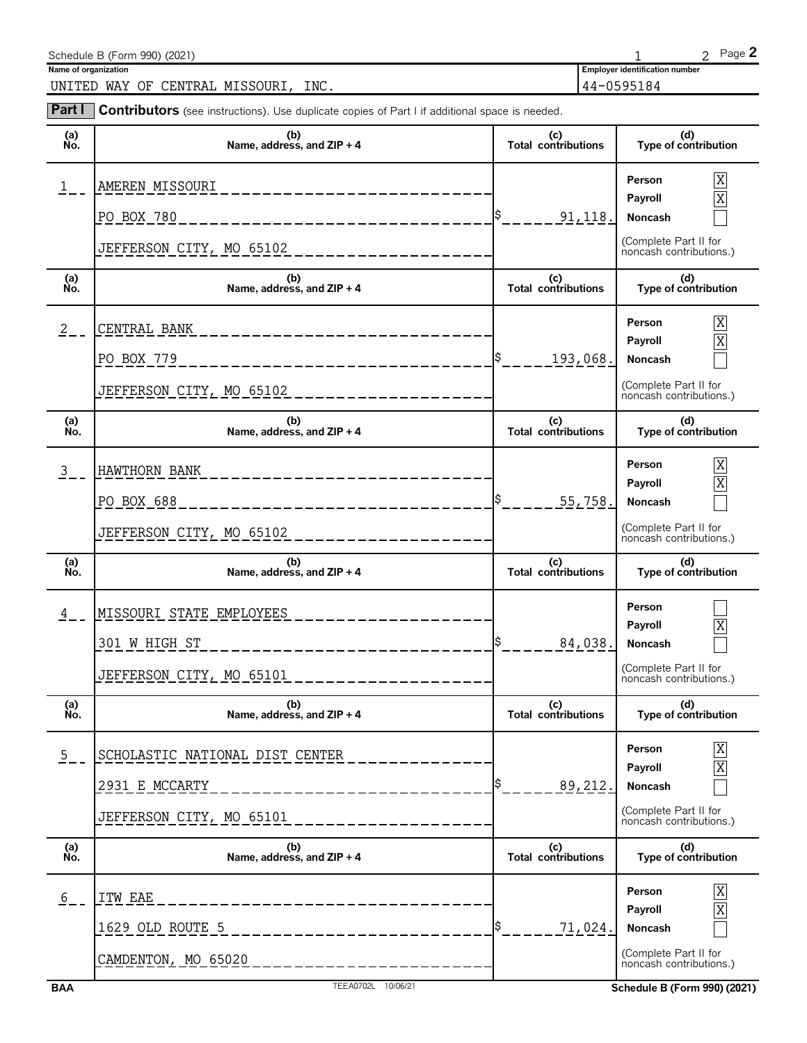| Schedule B (Form 990) (2021)                                                                                 |                                       | Page $2$ |
|--------------------------------------------------------------------------------------------------------------|---------------------------------------|----------|
| Name of organization                                                                                         | <b>Employer identification number</b> |          |
| UNITED WAY OF CENTRAL MISSOURI,<br>INC.                                                                      | 44-0595184                            |          |
| <b>Part I</b> Contributors (see instructions). Use duplicate copies of Part I if additional space is needed. |                                       |          |

| (a)<br>No.        | (b)<br>Name, address, and ZIP + 4                                                                                           | (c)<br><b>Total contributions</b> | (d)<br>Type of contribution                                                                                                |  |  |
|-------------------|-----------------------------------------------------------------------------------------------------------------------------|-----------------------------------|----------------------------------------------------------------------------------------------------------------------------|--|--|
| $\perp$           | AMEREN MISSOURI<br>PO BOX 780<br>JEFFERSON CITY, MO 65102<br>____________________                                           | 91, 118.                          | X<br>Person<br>Χ<br>Payroll<br>Noncash<br>(Complete Part II for<br>noncash contributions.)                                 |  |  |
| (a)<br>No.        | (b)<br>Name, address, and ZIP + 4                                                                                           | (c)<br>Total contributions        | (d)<br>Type of contribution                                                                                                |  |  |
| $2$ <sub>-</sub>  | CENTRAL BANK<br>PO BOX 779<br>_________________<br>JEFFERSON CITY, MO 65102 ____________________                            | 193,068.                          | Χ<br>Person<br>$\overline{\text{X}}$<br>Payroll<br>Noncash<br>(Complete Part II for<br>noncash contributions.)             |  |  |
| (a)<br>No.        | (b)<br>Name, address, and ZIP + 4                                                                                           | (c)<br>Total contributions        | (d)<br>Type of contribution                                                                                                |  |  |
| $\frac{3}{2}$ – – | HAWTHORN BANK<br>PO BOX 688<br>JEFFERSON CITY, MO 65102 ___________________                                                 | 55,758.                           | Χ<br>Person<br>Χ<br>Payroll<br>Noncash<br>(Complete Part II for<br>noncash contributions.)                                 |  |  |
| (a)<br>No.        | (b)<br>Name, address, and ZIP + 4                                                                                           | (c)<br>Total contributions        | (d)<br>Type of contribution                                                                                                |  |  |
| $\frac{4}{ }$     | MISSOURI STATE EMPLOYEES<br>301 W HIGH ST<br>JEFFERSON CITY, MO 65101                                                       | 84,038.                           | Person<br>Payroll<br>Noncash<br>(Complete Part II for<br>noncash contributions.)                                           |  |  |
| (a)<br>NO.        | (b)<br>Name, address, and $ZIP + 4$                                                                                         | (c)<br>Total contributions        | (d)<br>Type of contribution                                                                                                |  |  |
| $\overline{5}$    | SCHOLASTIC NATIONAL DIST CENTER<br>2931 E MCCARTY<br>______________<br>JEFFERSON CITY, MO 65101<br>__________________       | 89,212.                           | X<br>Person<br>X<br>Payroll<br>Noncash<br>(Complete Part II for<br>noncash contributions.)                                 |  |  |
| (a)<br>No.        | (b)<br>Name, address, and ZIP + 4                                                                                           | (c)<br>Total contributions        | (d)<br>Type of contribution                                                                                                |  |  |
| 6<br><b>BAA</b>   | ITW EAE<br>________________________<br>1629 OLD ROUTE 5<br>-------------------<br>CAMDENTON, MO 65020<br>TEEA0702L 10/06/21 | 71,024.                           | X<br>Person<br>Χ<br>Payroll<br>Noncash<br>(Complete Part II for<br>noncash contributions.)<br>Schedule B (Form 990) (2021) |  |  |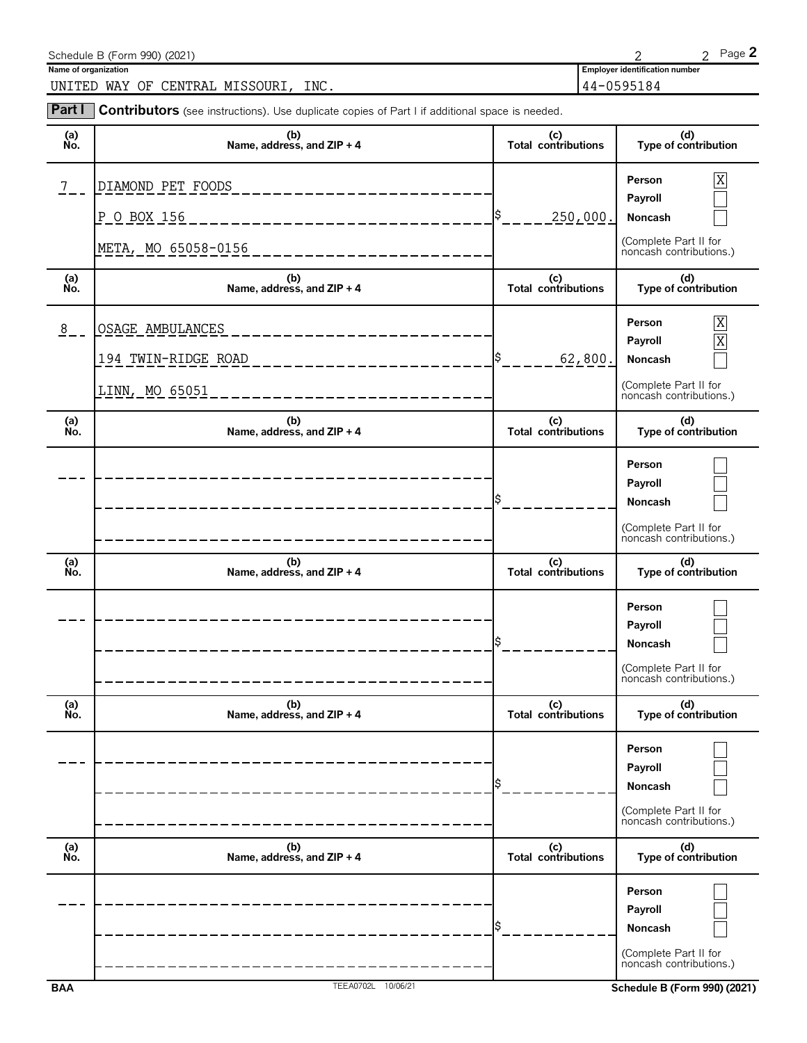| Schedule B (Form 990) (2021)                                                                                 |                                       | Page 2 |
|--------------------------------------------------------------------------------------------------------------|---------------------------------------|--------|
| Name of organization                                                                                         | <b>Employer identification number</b> |        |
| UNITED WAY OF CENTRAL MISSOURI, INC.                                                                         | 44-0595184                            |        |
| <b>Part I</b> Contributors (see instructions). Use duplicate copies of Part I if additional space is needed. |                                       |        |

| (a)<br>No.      | (b)<br>Name, address, and ZIP + 4                         | (c)<br>Total contributions        | (d)<br>Type of contribution                                                                                    |
|-----------------|-----------------------------------------------------------|-----------------------------------|----------------------------------------------------------------------------------------------------------------|
| $7\overline{ }$ | DIAMOND PET FOODS<br>P O BOX 156<br>META, MO 65058-0156   | $250,000$ .                       | Χ<br>Person<br>Payroll<br>Noncash<br>(Complete Part II for<br>noncash contributions.)                          |
| (a)<br>No.      | (b)<br>Name, address, and ZIP + 4                         | (c)<br>Total contributions        | (d)<br>Type of contribution                                                                                    |
| $\frac{8}{2}$   | OSAGE AMBULANCES<br>194 TWIN-RIDGE ROAD<br>LINN, MO 65051 | 62,800.                           | Person<br>Χ<br>$\overline{\text{X}}$<br>Payroll<br>Noncash<br>(Complete Part II for<br>noncash contributions.) |
| (a)<br>No.      | (b)<br>Name, address, and ZIP + 4                         | (c)<br>Total contributions        | (d)<br>Type of contribution                                                                                    |
|                 |                                                           |                                   | Person<br>Payroll<br>Noncash<br>(Complete Part II for<br>noncash contributions.)                               |
| (a)<br>No.      | (b)<br>Name, address, and ZIP + 4                         | (c)<br>Total contributions        | (d)<br>Type of contribution                                                                                    |
|                 |                                                           |                                   | Person<br>Payroll<br>Noncash<br>(Complete Part II for<br>noncash contributions.)                               |
| (a)<br>Ňó.      | (b)<br>Name, address, and ZIP + 4                         | (c)<br><b>Total contributions</b> | (d)<br>Type of contribution                                                                                    |
|                 |                                                           |                                   | Person<br>Payroll<br>Noncash<br>(Complete Part II for<br>noncash contributions.)                               |
| (a)<br>No.      | (b)<br>Name, address, and ZIP + 4                         | (c)<br>Total contributions        | (d)<br>Type of contribution                                                                                    |
|                 |                                                           |                                   | Person<br>Payroll<br>Noncash<br>(Complete Part II for<br>noncash contributions.)                               |
| <b>BAA</b>      | TEEA0702L 10/06/21                                        |                                   | Schedule B (Form 990) (2021)                                                                                   |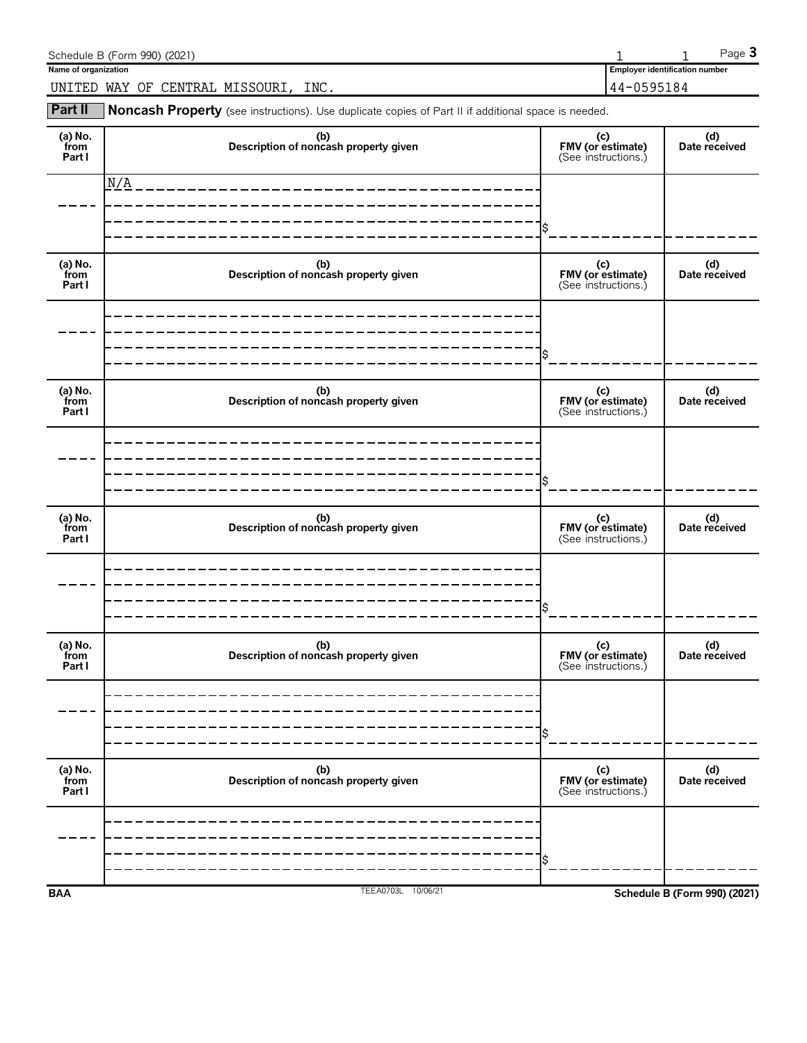| Schedule B (Form 990) (2021)                       |                                       | Page 5 |
|----------------------------------------------------|---------------------------------------|--------|
| Name of organization                               | <b>Employer identification number</b> |        |
| INC.<br>MISSOURI<br>ОF<br>CENTRAL<br>WAY<br>UNITEL | 44-0595184                            |        |

**Part II** Noncash Property (see instructions). Use duplicate copies of Part II if additional space is needed.

| $(a)$ No.<br>from<br>Part I | (b)<br>Description of noncash property given | (c)<br>FMV (or estimate)<br>(See instructions.) | (d)<br>Date received                |
|-----------------------------|----------------------------------------------|-------------------------------------------------|-------------------------------------|
|                             | N/A                                          |                                                 |                                     |
| (a) No.<br>from<br>Part I   | (b)<br>Description of noncash property given | (c)<br>FMV (or estimate)<br>(See instructions.) | (d)<br>Date received                |
|                             |                                              |                                                 |                                     |
| (a) No.<br>from<br>Part I   | (b)<br>Description of noncash property given | (c)<br>FMV (or estimate)<br>(See instructions.) | (d)<br>Date received                |
|                             |                                              |                                                 |                                     |
| (a) No.<br>from<br>Part I   | (b)<br>Description of noncash property given | (c)<br>FMV (or estimate)<br>(See instructions.) | (d)<br>Date received                |
|                             |                                              |                                                 |                                     |
| (a) No.<br>from<br>Part I   | (b)<br>Description of noncash property given | (c)<br>FMV (or estimate)<br>(See instructions.) | (d)<br>Date received                |
|                             |                                              |                                                 |                                     |
| $(a)$ No.<br>from<br>Part I | (b)<br>Description of noncash property given | (c)<br>FMV (or estimate)<br>(See instructions.) | (d)<br>Date received                |
|                             |                                              |                                                 |                                     |
| <b>BAA</b>                  | TEEA0703L 10/06/21                           |                                                 | <b>Schedule B (Form 990) (2021)</b> |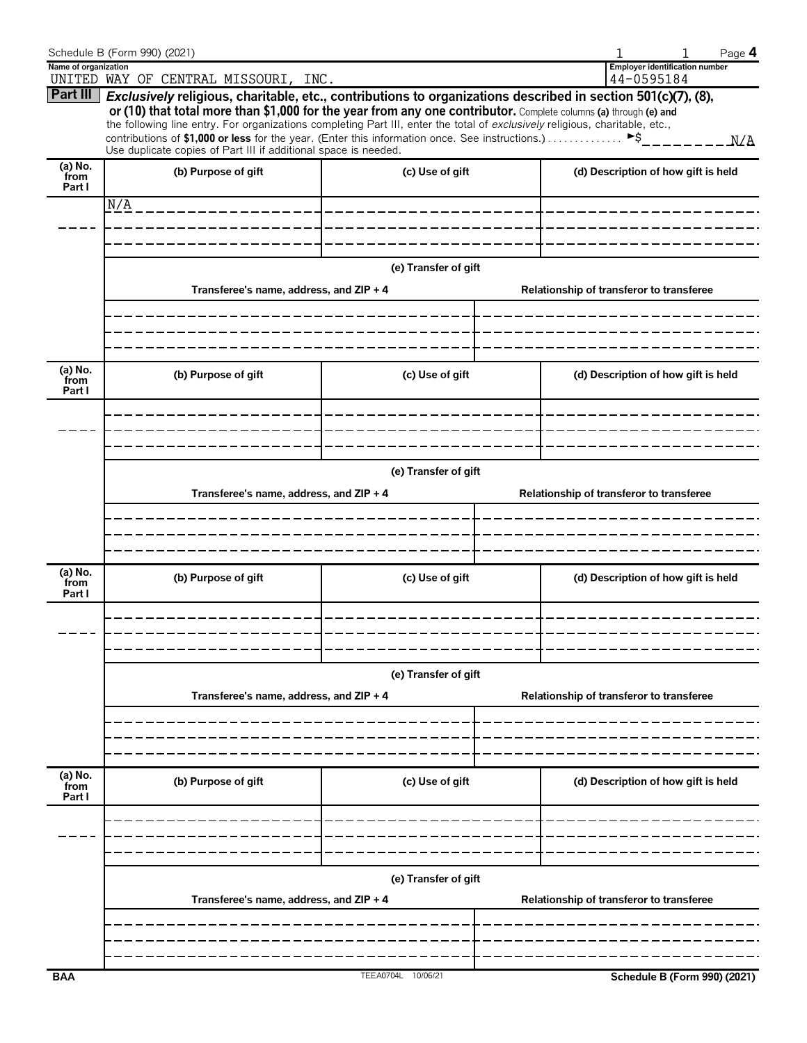|                           | Schedule B (Form 990) (2021)                                                                                                                                                                                                                                                                                                                                                                                                        |                      |                                          | Page 4                                              |  |  |  |  |  |  |
|---------------------------|-------------------------------------------------------------------------------------------------------------------------------------------------------------------------------------------------------------------------------------------------------------------------------------------------------------------------------------------------------------------------------------------------------------------------------------|----------------------|------------------------------------------|-----------------------------------------------------|--|--|--|--|--|--|
| Name of organization      | UNITED WAY OF CENTRAL MISSOURI, INC.                                                                                                                                                                                                                                                                                                                                                                                                |                      |                                          | <b>Employer identification number</b><br>44-0595184 |  |  |  |  |  |  |
| <b>Part III</b>           | Exclusively religious, charitable, etc., contributions to organizations described in section 501(c)(7), (8),<br>or (10) that total more than \$1,000 for the year from any one contributor. Complete columns (a) through (e) and<br>the following line entry. For organizations completing Part III, enter the total of exclusively religious, charitable, etc.,<br>Use duplicate copies of Part III if additional space is needed. |                      |                                          | N/A                                                 |  |  |  |  |  |  |
| (a) No.<br>from<br>Part I | (b) Purpose of gift                                                                                                                                                                                                                                                                                                                                                                                                                 | (c) Use of gift      |                                          | (d) Description of how gift is held                 |  |  |  |  |  |  |
|                           | N/A                                                                                                                                                                                                                                                                                                                                                                                                                                 | ____________________ |                                          |                                                     |  |  |  |  |  |  |
|                           |                                                                                                                                                                                                                                                                                                                                                                                                                                     |                      |                                          |                                                     |  |  |  |  |  |  |
|                           | Transferee's name, address, and ZIP + 4                                                                                                                                                                                                                                                                                                                                                                                             | (e) Transfer of gift |                                          | Relationship of transferor to transferee            |  |  |  |  |  |  |
|                           |                                                                                                                                                                                                                                                                                                                                                                                                                                     |                      |                                          |                                                     |  |  |  |  |  |  |
| (a) No.<br>from<br>Part I | (b) Purpose of gift                                                                                                                                                                                                                                                                                                                                                                                                                 | (c) Use of gift      |                                          | (d) Description of how gift is held                 |  |  |  |  |  |  |
|                           |                                                                                                                                                                                                                                                                                                                                                                                                                                     |                      |                                          |                                                     |  |  |  |  |  |  |
|                           | (e) Transfer of gift                                                                                                                                                                                                                                                                                                                                                                                                                |                      |                                          |                                                     |  |  |  |  |  |  |
|                           | Transferee's name, address, and ZIP + 4                                                                                                                                                                                                                                                                                                                                                                                             |                      | Relationship of transferor to transferee |                                                     |  |  |  |  |  |  |
|                           |                                                                                                                                                                                                                                                                                                                                                                                                                                     |                      |                                          |                                                     |  |  |  |  |  |  |
| (a) No.<br>from<br>Part I | (b) Purpose of gift                                                                                                                                                                                                                                                                                                                                                                                                                 | (c) Use of gift      |                                          | (d) Description of how gift is held                 |  |  |  |  |  |  |
|                           |                                                                                                                                                                                                                                                                                                                                                                                                                                     |                      |                                          |                                                     |  |  |  |  |  |  |
|                           | (e) Transfer of gift                                                                                                                                                                                                                                                                                                                                                                                                                |                      |                                          |                                                     |  |  |  |  |  |  |
|                           | Transferee's name, address, and ZIP + 4                                                                                                                                                                                                                                                                                                                                                                                             |                      |                                          | Relationship of transferor to transferee            |  |  |  |  |  |  |
|                           |                                                                                                                                                                                                                                                                                                                                                                                                                                     |                      |                                          |                                                     |  |  |  |  |  |  |
| (a) No.<br>from<br>Part I | (b) Purpose of gift                                                                                                                                                                                                                                                                                                                                                                                                                 | (c) Use of gift      |                                          | (d) Description of how gift is held                 |  |  |  |  |  |  |
|                           |                                                                                                                                                                                                                                                                                                                                                                                                                                     |                      |                                          |                                                     |  |  |  |  |  |  |
|                           |                                                                                                                                                                                                                                                                                                                                                                                                                                     | (e) Transfer of gift |                                          |                                                     |  |  |  |  |  |  |
|                           | Transferee's name, address, and ZIP + 4                                                                                                                                                                                                                                                                                                                                                                                             |                      |                                          | Relationship of transferor to transferee            |  |  |  |  |  |  |
|                           |                                                                                                                                                                                                                                                                                                                                                                                                                                     |                      |                                          |                                                     |  |  |  |  |  |  |
| <b>BAA</b>                |                                                                                                                                                                                                                                                                                                                                                                                                                                     | TEEA0704L 10/06/21   |                                          | Schedule B (Form 990) (2021)                        |  |  |  |  |  |  |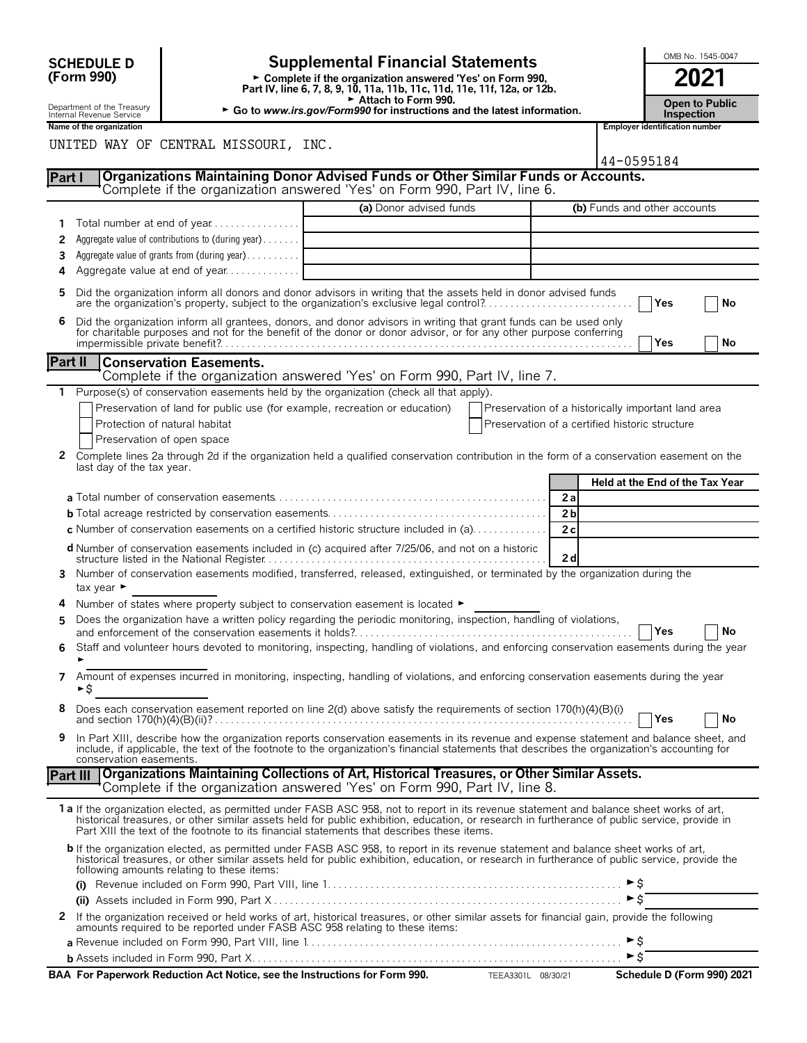|              | (Form 990)<br>Department of the Treasury<br>Internal Revenue Service |                                                                                                   | <b>Supplemental Financial Statements</b><br>► Complete if the organization answered 'Yes' on Form 990,<br>Part IV, line 6, 7, 8, 9, 10, 11a, 11b, 11c, 11d, 11e, 11f, 12a, or 12b.<br>Attach to Form 990.<br>► Go to www.irs.gov/Form990 for instructions and the latest information.                                                                                                  | OMB No. 1545-0047<br>2021<br><b>Open to Public</b><br><b>Inspection</b> |                                                    |            |                                       |                            |
|--------------|----------------------------------------------------------------------|---------------------------------------------------------------------------------------------------|----------------------------------------------------------------------------------------------------------------------------------------------------------------------------------------------------------------------------------------------------------------------------------------------------------------------------------------------------------------------------------------|-------------------------------------------------------------------------|----------------------------------------------------|------------|---------------------------------------|----------------------------|
|              | Name of the organization                                             |                                                                                                   |                                                                                                                                                                                                                                                                                                                                                                                        |                                                                         |                                                    |            | <b>Employer identification number</b> |                            |
|              |                                                                      | UNITED WAY OF CENTRAL MISSOURI, INC.                                                              |                                                                                                                                                                                                                                                                                                                                                                                        |                                                                         |                                                    | 44-0595184 |                                       |                            |
| Part I       |                                                                      |                                                                                                   | Organizations Maintaining Donor Advised Funds or Other Similar Funds or Accounts.<br>Complete if the organization answered 'Yes' on Form 990, Part IV, line 6.                                                                                                                                                                                                                         |                                                                         |                                                    |            |                                       |                            |
|              |                                                                      |                                                                                                   | (a) Donor advised funds                                                                                                                                                                                                                                                                                                                                                                |                                                                         |                                                    |            | (b) Funds and other accounts          |                            |
| 1            |                                                                      | Total number at end of year                                                                       |                                                                                                                                                                                                                                                                                                                                                                                        |                                                                         |                                                    |            |                                       |                            |
| 2<br>3       |                                                                      | Aggregate value of contributions to (during year)<br>Aggregate value of grants from (during year) |                                                                                                                                                                                                                                                                                                                                                                                        |                                                                         |                                                    |            |                                       |                            |
| 4            |                                                                      | Aggregate value at end of year                                                                    |                                                                                                                                                                                                                                                                                                                                                                                        |                                                                         |                                                    |            |                                       |                            |
| 5            |                                                                      |                                                                                                   | Did the organization inform all donors and donor advisors in writing that the assets held in donor advised funds<br>are the organization's property, subject to the organization's exclusive legal control?                                                                                                                                                                            |                                                                         |                                                    |            | Yes                                   | No                         |
| 6            |                                                                      |                                                                                                   | Did the organization inform all grantees, donors, and donor advisors in writing that grant funds can be used only<br>for charitable purposes and not for the benefit of the donor or donor advisor, or for any other purpose conferring                                                                                                                                                |                                                                         |                                                    |            |                                       |                            |
|              |                                                                      |                                                                                                   |                                                                                                                                                                                                                                                                                                                                                                                        |                                                                         |                                                    |            | Yes                                   | No                         |
| Part II      |                                                                      | <b>Conservation Easements.</b>                                                                    | Complete if the organization answered 'Yes' on Form 990, Part IV, line 7.                                                                                                                                                                                                                                                                                                              |                                                                         |                                                    |            |                                       |                            |
|              |                                                                      |                                                                                                   | Purpose(s) of conservation easements held by the organization (check all that apply).                                                                                                                                                                                                                                                                                                  |                                                                         |                                                    |            |                                       |                            |
|              |                                                                      |                                                                                                   | Preservation of land for public use (for example, recreation or education)                                                                                                                                                                                                                                                                                                             |                                                                         | Preservation of a historically important land area |            |                                       |                            |
|              |                                                                      | Protection of natural habitat                                                                     |                                                                                                                                                                                                                                                                                                                                                                                        |                                                                         | Preservation of a certified historic structure     |            |                                       |                            |
|              |                                                                      | Preservation of open space                                                                        |                                                                                                                                                                                                                                                                                                                                                                                        |                                                                         |                                                    |            |                                       |                            |
| $\mathbf{2}$ | last day of the tax year.                                            |                                                                                                   | Complete lines 2a through 2d if the organization held a qualified conservation contribution in the form of a conservation easement on the                                                                                                                                                                                                                                              |                                                                         |                                                    |            | Held at the End of the Tax Year       |                            |
|              |                                                                      |                                                                                                   |                                                                                                                                                                                                                                                                                                                                                                                        |                                                                         | 2a                                                 |            |                                       |                            |
|              |                                                                      |                                                                                                   |                                                                                                                                                                                                                                                                                                                                                                                        |                                                                         | 2 <sub>b</sub>                                     |            |                                       |                            |
|              |                                                                      |                                                                                                   | <b>c</b> Number of conservation easements on a certified historic structure included in (a)                                                                                                                                                                                                                                                                                            |                                                                         | 2c                                                 |            |                                       |                            |
|              |                                                                      |                                                                                                   | d Number of conservation easements included in (c) acquired after 7/25/06, and not on a historic                                                                                                                                                                                                                                                                                       |                                                                         | 2d                                                 |            |                                       |                            |
| 3            | tax year ►                                                           |                                                                                                   | Number of conservation easements modified, transferred, released, extinguished, or terminated by the organization during the                                                                                                                                                                                                                                                           |                                                                         |                                                    |            |                                       |                            |
|              |                                                                      |                                                                                                   | Number of states where property subject to conservation easement is located $\blacktriangleright$                                                                                                                                                                                                                                                                                      |                                                                         |                                                    |            |                                       |                            |
| 5            |                                                                      |                                                                                                   | Does the organization have a written policy regarding the periodic monitoring, inspection, handling of violations,                                                                                                                                                                                                                                                                     |                                                                         |                                                    |            | <b>T</b> Yes                          | <b>No</b>                  |
| 6            |                                                                      |                                                                                                   | Staff and volunteer hours devoted to monitoring, inspecting, handling of violations, and enforcing conservation easements during the year                                                                                                                                                                                                                                              |                                                                         |                                                    |            |                                       |                            |
| 7            | ►\$                                                                  |                                                                                                   | Amount of expenses incurred in monitoring, inspecting, handling of violations, and enforcing conservation easements during the year                                                                                                                                                                                                                                                    |                                                                         |                                                    |            |                                       |                            |
| 8            |                                                                      |                                                                                                   | Does each conservation easement reported on line $2(d)$ above satisfy the requirements of section 170(h)(4)(B)(i)                                                                                                                                                                                                                                                                      |                                                                         |                                                    |            | Yes                                   | No                         |
| 9            | conservation easements.                                              |                                                                                                   | In Part XIII, describe how the organization reports conservation easements in its revenue and expense statement and balance sheet, and<br>include, if applicable, the text of the footnote to the organization's financial statements that describes the organization's accounting for                                                                                                 |                                                                         |                                                    |            |                                       |                            |
|              |                                                                      |                                                                                                   | Part III   Organizations Maintaining Collections of Art, Historical Treasures, or Other Similar Assets.<br>Complete if the organization answered 'Yes' on Form 990, Part IV, line 8.                                                                                                                                                                                                   |                                                                         |                                                    |            |                                       |                            |
|              |                                                                      |                                                                                                   | 1a If the organization elected, as permitted under FASB ASC 958, not to report in its revenue statement and balance sheet works of art,<br>historical treasures, or other similar assets held for public exhibition, education, or research in furtherance of public service, provide in<br>Part XIII the text of the footnote to its financial statements that describes these items. |                                                                         |                                                    |            |                                       |                            |
|              |                                                                      | following amounts relating to these items:                                                        | <b>b</b> If the organization elected, as permitted under FASB ASC 958, to report in its revenue statement and balance sheet works of art, historical treasures, or other similar assets held for public exhibition, education, or r                                                                                                                                                    |                                                                         |                                                    |            |                                       |                            |
|              |                                                                      |                                                                                                   |                                                                                                                                                                                                                                                                                                                                                                                        |                                                                         |                                                    | ►s         |                                       |                            |
|              |                                                                      |                                                                                                   |                                                                                                                                                                                                                                                                                                                                                                                        |                                                                         |                                                    | ►Ś         |                                       |                            |
| 2            |                                                                      |                                                                                                   | If the organization received or held works of art, historical treasures, or other similar assets for financial gain, provide the following<br>amounts required to be reported under FASB ASC 958 relating to these items:                                                                                                                                                              |                                                                         |                                                    |            |                                       |                            |
|              |                                                                      |                                                                                                   |                                                                                                                                                                                                                                                                                                                                                                                        |                                                                         |                                                    |            |                                       |                            |
|              |                                                                      | BAA For Paperwork Reduction Act Notice, see the Instructions for Form 990.                        |                                                                                                                                                                                                                                                                                                                                                                                        | TEEA3301L 08/30/21                                                      |                                                    |            |                                       | Schedule D (Form 990) 2021 |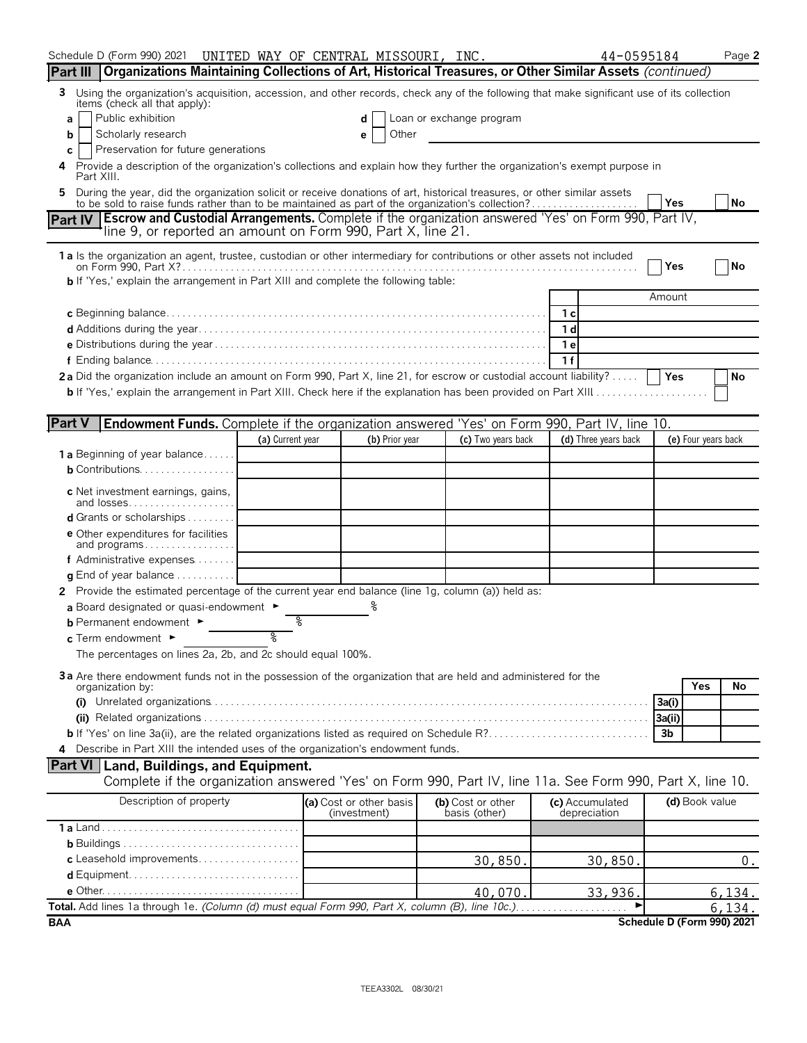| Schedule D (Form 990) 2021                                                                                                                                                               | UNITED WAY OF CENTRAL MISSOURI, INC. |                                         |                |                                    | 44-0595184                      |        |                     | Page 2                     |
|------------------------------------------------------------------------------------------------------------------------------------------------------------------------------------------|--------------------------------------|-----------------------------------------|----------------|------------------------------------|---------------------------------|--------|---------------------|----------------------------|
| Part III Organizations Maintaining Collections of Art, Historical Treasures, or Other Similar Assets (continued)                                                                         |                                      |                                         |                |                                    |                                 |        |                     |                            |
| Using the organization's acquisition, accession, and other records, check any of the following that make significant use of its collection<br>3<br>items (check all that apply):         |                                      |                                         |                |                                    |                                 |        |                     |                            |
| Public exhibition<br>а                                                                                                                                                                   |                                      |                                         |                | Loan or exchange program           |                                 |        |                     |                            |
| Scholarly research<br>b                                                                                                                                                                  |                                      | е                                       | Other          |                                    |                                 |        |                     |                            |
| Preservation for future generations<br>c<br>Provide a description of the organization's collections and explain how they further the organization's exempt purpose in<br>4<br>Part XIII. |                                      |                                         |                |                                    |                                 |        |                     |                            |
| During the year, did the organization solicit or receive donations of art, historical treasures, or other similar assets<br>5                                                            |                                      |                                         |                |                                    |                                 |        |                     |                            |
| to be sold to raise funds rather than to be maintained as part of the organization's collection?                                                                                         |                                      |                                         |                |                                    |                                 | Yes    |                     | No                         |
| Escrow and Custodial Arrangements. Complete if the organization answered 'Yes' on Form 990, Part IV,<br><b>Part IV</b><br>line 9, or reported an amount on Form 990, Part X, line 21.    |                                      |                                         |                |                                    |                                 |        |                     |                            |
| 1 a Is the organization an agent, trustee, custodian or other intermediary for contributions or other assets not included                                                                |                                      |                                         |                |                                    |                                 | Yes    |                     | No                         |
| b If 'Yes,' explain the arrangement in Part XIII and complete the following table:                                                                                                       |                                      |                                         |                |                                    |                                 |        |                     |                            |
|                                                                                                                                                                                          |                                      |                                         |                |                                    |                                 | Amount |                     |                            |
|                                                                                                                                                                                          |                                      |                                         |                |                                    | 1 <sub>c</sub>                  |        |                     |                            |
|                                                                                                                                                                                          |                                      |                                         |                |                                    | 1 d                             |        |                     |                            |
|                                                                                                                                                                                          |                                      |                                         |                |                                    | 1 e                             |        |                     |                            |
|                                                                                                                                                                                          |                                      |                                         |                |                                    | 1 f                             |        |                     |                            |
| 2a Did the organization include an amount on Form 990, Part X, line 21, for escrow or custodial account liability?                                                                       |                                      |                                         |                |                                    |                                 | Yes    |                     | No                         |
| b If 'Yes,' explain the arrangement in Part XIII. Check here if the explanation has been provided on Part XIII                                                                           |                                      |                                         |                |                                    |                                 |        |                     |                            |
|                                                                                                                                                                                          |                                      |                                         |                |                                    |                                 |        |                     |                            |
| <b>Part V</b><br><b>Endowment Funds.</b> Complete if the organization answered 'Yes' on Form 990, Part IV, line 10.                                                                      |                                      |                                         |                |                                    |                                 |        |                     |                            |
|                                                                                                                                                                                          | (a) Current year                     |                                         | (b) Prior year | (c) Two years back                 | (d) Three years back            |        | (e) Four years back |                            |
| 1a Beginning of year balance                                                                                                                                                             |                                      |                                         |                |                                    |                                 |        |                     |                            |
| <b>b</b> Contributions. $\ldots \ldots \ldots \ldots \ldots$                                                                                                                             |                                      |                                         |                |                                    |                                 |        |                     |                            |
| <b>c</b> Net investment earnings, gains,<br>and losses                                                                                                                                   |                                      |                                         |                |                                    |                                 |        |                     |                            |
| <b>d</b> Grants or scholarships $\ldots \ldots$                                                                                                                                          |                                      |                                         |                |                                    |                                 |        |                     |                            |
| <b>e</b> Other expenditures for facilities<br>and programs                                                                                                                               |                                      |                                         |                |                                    |                                 |        |                     |                            |
| f Administrative expenses $\dots \dots$                                                                                                                                                  |                                      |                                         |                |                                    |                                 |        |                     |                            |
| $q$ End of year balance $\ldots \ldots \ldots$                                                                                                                                           |                                      |                                         |                |                                    |                                 |        |                     |                            |
| 2 Provide the estimated percentage of the current year end balance (line 1g, column (a)) held as:<br>a Board designated or quasi-endowment $\blacktriangleright$                         |                                      |                                         |                |                                    |                                 |        |                     |                            |
| <b>b</b> Permanent endowment ►                                                                                                                                                           | %                                    |                                         |                |                                    |                                 |        |                     |                            |
| $\mathsf{c}$ Term endowment $\;\blacktriangleright\;$                                                                                                                                    | န့                                   |                                         |                |                                    |                                 |        |                     |                            |
| The percentages on lines 2a, 2b, and 2c should equal 100%.                                                                                                                               |                                      |                                         |                |                                    |                                 |        |                     |                            |
|                                                                                                                                                                                          |                                      |                                         |                |                                    |                                 |        |                     |                            |
| 3a Are there endowment funds not in the possession of the organization that are held and administered for the<br>organization by:                                                        |                                      |                                         |                |                                    |                                 |        | Yes                 | No                         |
| (i)                                                                                                                                                                                      |                                      |                                         |                |                                    |                                 | 3a(i)  |                     |                            |
|                                                                                                                                                                                          |                                      |                                         |                |                                    |                                 | 3a(ii) |                     |                            |
|                                                                                                                                                                                          |                                      |                                         |                |                                    |                                 | 3b     |                     |                            |
| Describe in Part XIII the intended uses of the organization's endowment funds.                                                                                                           |                                      |                                         |                |                                    |                                 |        |                     |                            |
| Part VI   Land, Buildings, and Equipment.                                                                                                                                                |                                      |                                         |                |                                    |                                 |        |                     |                            |
| Complete if the organization answered 'Yes' on Form 990, Part IV, line 11a. See Form 990, Part X, line 10.                                                                               |                                      |                                         |                |                                    |                                 |        |                     |                            |
| Description of property                                                                                                                                                                  |                                      | (a) Cost or other basis<br>(investment) |                | (b) Cost or other<br>basis (other) | (c) Accumulated<br>depreciation |        | (d) Book value      |                            |
|                                                                                                                                                                                          |                                      |                                         |                |                                    |                                 |        |                     |                            |
|                                                                                                                                                                                          |                                      |                                         |                |                                    |                                 |        |                     |                            |
| c Leasehold improvements                                                                                                                                                                 |                                      |                                         |                | 30,850                             | 30,850.                         |        |                     | 0.                         |
|                                                                                                                                                                                          |                                      |                                         |                |                                    |                                 |        |                     |                            |
|                                                                                                                                                                                          |                                      |                                         |                | 40,070.                            | 33,936.                         |        |                     | 6,134.                     |
| Total. Add lines 1a through 1e. (Column (d) must equal Form 990, Part X, column (B), line 10c.)                                                                                          |                                      |                                         |                |                                    |                                 |        |                     | 6,134.                     |
| <b>BAA</b>                                                                                                                                                                               |                                      |                                         |                |                                    |                                 |        |                     | Schedule D (Form 990) 2021 |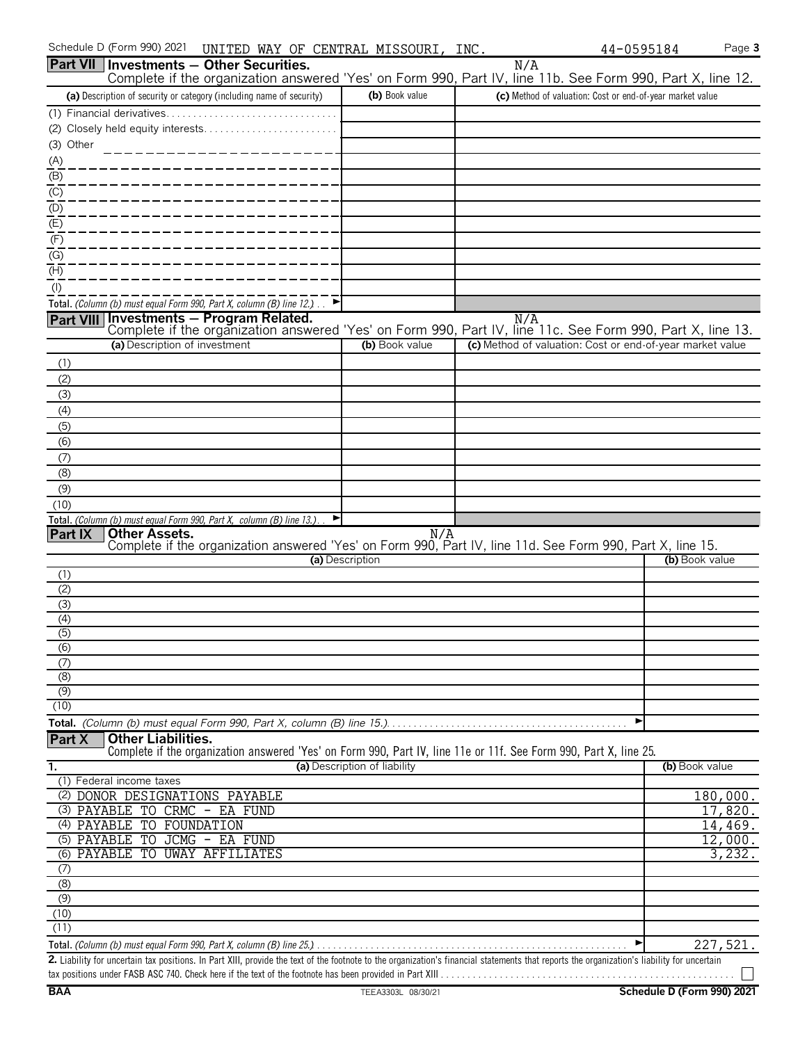| Schedule D (Form 990) 2021<br>UNITED WAY OF CENTRAL MISSOURI, INC.                                                                                            |                              | 44-0595184                                                | Page 3             |
|---------------------------------------------------------------------------------------------------------------------------------------------------------------|------------------------------|-----------------------------------------------------------|--------------------|
| <b>Part VII Investments - Other Securities.</b>                                                                                                               |                              | N/A                                                       |                    |
| Complete if the organization answered 'Yes' on Form 990, Part IV, line 11b. See Form 990, Part X, line 12.                                                    |                              |                                                           |                    |
| (a) Description of security or category (including name of security)                                                                                          | (b) Book value               | (c) Method of valuation: Cost or end-of-year market value |                    |
| (2) Closely held equity interests                                                                                                                             |                              |                                                           |                    |
| (3) Other                                                                                                                                                     |                              |                                                           |                    |
| (A)                                                                                                                                                           |                              |                                                           |                    |
| (B)                                                                                                                                                           |                              |                                                           |                    |
| (C)                                                                                                                                                           |                              |                                                           |                    |
| (D)                                                                                                                                                           |                              |                                                           |                    |
| (E)                                                                                                                                                           |                              |                                                           |                    |
| (F)<br>(G)                                                                                                                                                    |                              |                                                           |                    |
| (H)                                                                                                                                                           |                              |                                                           |                    |
| $($ l $)$                                                                                                                                                     |                              |                                                           |                    |
| Total. (Column (b) must equal Form 990, Part X, column (B) line 12.)                                                                                          |                              |                                                           |                    |
| <b>Part VIII</b> Investments – Program Related.<br>Complete if the organization answered 'Yes' on Form 990, Part IV, line 11c. See Form 990, Part X, line 13. |                              |                                                           |                    |
| (a) Description of investment                                                                                                                                 | (b) Book value               | (c) Method of valuation: Cost or end-of-year market value |                    |
| (1)                                                                                                                                                           |                              |                                                           |                    |
| (2)                                                                                                                                                           |                              |                                                           |                    |
| (3)                                                                                                                                                           |                              |                                                           |                    |
| (4)                                                                                                                                                           |                              |                                                           |                    |
| (5)                                                                                                                                                           |                              |                                                           |                    |
| (6)<br>(7)                                                                                                                                                    |                              |                                                           |                    |
| (8)                                                                                                                                                           |                              |                                                           |                    |
| (9)                                                                                                                                                           |                              |                                                           |                    |
| (10)                                                                                                                                                          |                              |                                                           |                    |
| Total. (Column (b) must equal Form 990, Part X, column (B) line 13.).<br>▶<br>Part IX                                                                         | N/A                          |                                                           |                    |
| <b>Other Assets.</b><br>Complete if the organization answered 'Yes' on Form 990, Part IV, line 11d. See Form 990, Part X, line 15.                            |                              |                                                           |                    |
|                                                                                                                                                               | (a) Description              |                                                           | (b) Book value     |
| (1)                                                                                                                                                           |                              |                                                           |                    |
| (2)<br>(3)                                                                                                                                                    |                              |                                                           |                    |
| (4)                                                                                                                                                           |                              |                                                           |                    |
| (5)                                                                                                                                                           |                              |                                                           |                    |
| (6)                                                                                                                                                           |                              |                                                           |                    |
| (7)<br>(8)                                                                                                                                                    |                              |                                                           |                    |
| (9)                                                                                                                                                           |                              |                                                           |                    |
| (10)                                                                                                                                                          |                              |                                                           |                    |
|                                                                                                                                                               |                              | ▶                                                         |                    |
| Part X<br><b>Other Liabilities.</b><br>Complete if the organization answered 'Yes' on Form 990, Part IV, line 11e or 11f. See Form 990, Part X, line 25.      |                              |                                                           |                    |
| 1.                                                                                                                                                            | (a) Description of liability |                                                           | (b) Book value     |
| (1) Federal income taxes                                                                                                                                      |                              |                                                           |                    |
| (2) DONOR DESIGNATIONS PAYABLE                                                                                                                                |                              |                                                           | 180,000.           |
| (3) PAYABLE TO CRMC - EA FUND<br>(4) PAYABLE<br>TO FOUNDATION                                                                                                 |                              |                                                           | 17,820.<br>14,469. |
| (5) PAYABLE<br>TO JCMG - EA FUND                                                                                                                              |                              |                                                           | 12,000.            |
| (6) PAYABLE TO UWAY AFFILIATES                                                                                                                                |                              |                                                           | 3,232.             |
| (7)                                                                                                                                                           |                              |                                                           |                    |
| (8)<br>(9)                                                                                                                                                    |                              |                                                           |                    |
| (10)                                                                                                                                                          |                              |                                                           |                    |
| (11)                                                                                                                                                          |                              |                                                           |                    |
|                                                                                                                                                               |                              |                                                           | 227,521.           |

**2.** Liability for uncertain tax positions. In Part XIII, provide the text of the footnote to the organization's financial statements that reports the organization's liability for uncertain tax positions under FASB ASC 740. Check here if the text of the footnote has been provided in Part XIII . . . . . . . . . . . . . . . . . . . . . . . . . . . . . . . . . . . . . . . . . . . . . . . . . . . . . . .

 $\Box$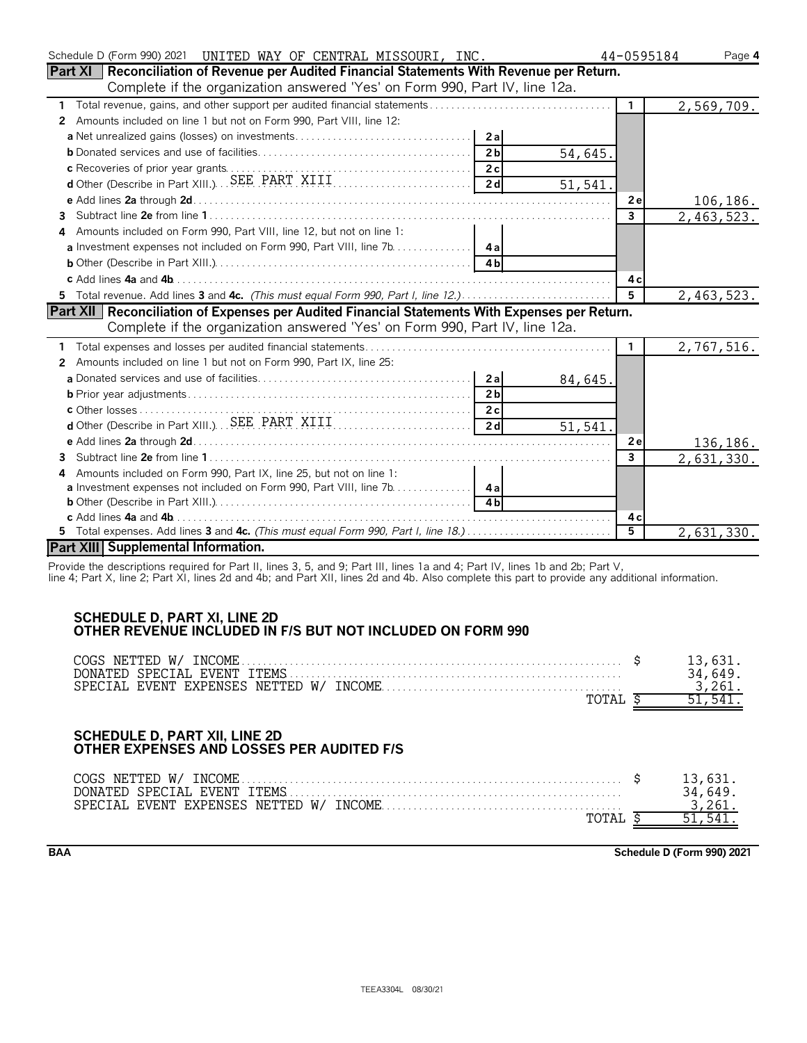| UNITED WAY OF CENTRAL MISSOURI, INC.<br>Schedule D (Form 990) 2021                               | 44-0595184 | Page 4     |
|--------------------------------------------------------------------------------------------------|------------|------------|
| Part XI   Reconciliation of Revenue per Audited Financial Statements With Revenue per Return.    |            |            |
| Complete if the organization answered 'Yes' on Form 990, Part IV, line 12a.                      |            |            |
| $\mathbf{1}$                                                                                     | 1.         | 2,569,709. |
| Amounts included on line 1 but not on Form 990, Part VIII, line 12:<br>2                         |            |            |
| 2a                                                                                               |            |            |
| 2 <sub>b</sub><br>54,645.                                                                        |            |            |
| 2c                                                                                               |            |            |
| 51, 541.                                                                                         |            |            |
|                                                                                                  | 2e         | 106, 186.  |
| 3.                                                                                               | 3          | 2,463,523. |
| Amounts included on Form 990, Part VIII, line 12, but not on line 1:<br>4                        |            |            |
| a Investment expenses not included on Form 990, Part VIII, line 7b. 4a                           |            |            |
|                                                                                                  |            |            |
|                                                                                                  | 4 c        |            |
| 5 Total revenue. Add lines 3 and 4c. (This must equal Form 990, Part I, line 12.)                | 5          | 2,463,523. |
| Part XII   Reconciliation of Expenses per Audited Financial Statements With Expenses per Return. |            |            |
| Complete if the organization answered 'Yes' on Form 990, Part IV, line 12a.                      |            |            |
|                                                                                                  |            | 2,767,516. |
| Amounts included on line 1 but not on Form 990, Part IX, line 25:<br>2                           |            |            |
| 84,645.                                                                                          |            |            |
| 2 <sub>b</sub>                                                                                   |            |            |
| 2c                                                                                               |            |            |
| 2d<br>51,541.                                                                                    |            |            |
|                                                                                                  | 2e         | 136,186.   |
| 3                                                                                                | 3          | 2,631,330. |
| Amounts included on Form 990, Part IX, line 25, but not on line 1:<br>4                          |            |            |
| a Investment expenses not included on Form 990, Part VIII, line 7b. 4a                           |            |            |
|                                                                                                  |            |            |
|                                                                                                  | 4c         |            |
|                                                                                                  | 5          | 2,631,330. |
| Part XIII Supplemental Information.                                                              |            |            |

Provide the descriptions required for Part II, lines 3, 5, and 9; Part III, lines 1a and 4; Part IV, lines 1b and 2b; Part V,

#### line 4; Part X, line 2; Part XI, lines 2d and 4b; and Part XII, lines 2d and 4b. Also complete this part to provide any additional information.

### **SCHEDULE D, PART XI, LINE 2D OTHER REVENUE INCLUDED IN F/S BUT NOT INCLUDED ON FORM 990**

|  | 13,631<br>34,649. |
|--|-------------------|
|  |                   |
|  |                   |

### **SCHEDULE D, PART XII, LINE 2D OTHER EXPENSES AND LOSSES PER AUDITED F/S**

|  | 34,649 |
|--|--------|
|  |        |
|  |        |

**BAA Schedule D (Form 990) 2021**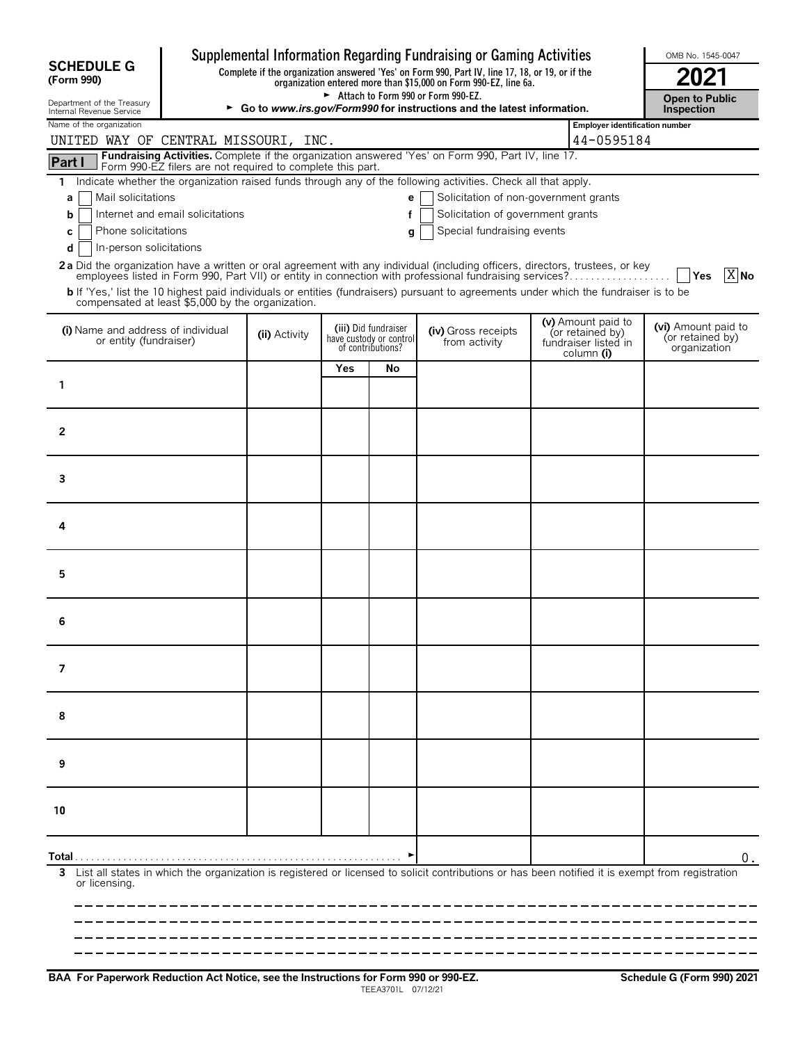|                                                                  |                                                                                                                |               |            |                                                                      | Supplemental Information Regarding Fundraising or Gaming Activities                                                                                                                                                                      |  |                                                                              | OMB No. 1545-0047                                       |
|------------------------------------------------------------------|----------------------------------------------------------------------------------------------------------------|---------------|------------|----------------------------------------------------------------------|------------------------------------------------------------------------------------------------------------------------------------------------------------------------------------------------------------------------------------------|--|------------------------------------------------------------------------------|---------------------------------------------------------|
| <b>SCHEDULE G</b><br>(Form 990)                                  |                                                                                                                |               |            |                                                                      | Complete if the organization answered 'Yes' on Form 990, Part IV, line 17, 18, or 19, or if the<br>organization entered more than \$15,000 on Form 990-EZ, line 6a.                                                                      |  |                                                                              |                                                         |
| Department of the Treasury<br>Internal Revenue Service           | Attach to Form 990 or Form 990-EZ.<br>► Go to www.irs.gov/Form990 for instructions and the latest information. |               |            |                                                                      |                                                                                                                                                                                                                                          |  |                                                                              | <b>Open to Public</b><br><b>Inspection</b>              |
| Name of the organization<br>UNITED WAY OF CENTRAL MISSOURI, INC. |                                                                                                                |               |            |                                                                      |                                                                                                                                                                                                                                          |  | <b>Employer identification number</b><br>44-0595184                          |                                                         |
| Part I                                                           | Form 990-EZ filers are not required to complete this part.                                                     |               |            |                                                                      | Fundraising Activities. Complete if the organization answered 'Yes' on Form 990, Part IV, line 17.                                                                                                                                       |  |                                                                              |                                                         |
| 1                                                                |                                                                                                                |               |            |                                                                      | Indicate whether the organization raised funds through any of the following activities. Check all that apply.                                                                                                                            |  |                                                                              |                                                         |
| Mail solicitations<br>a                                          | Internet and email solicitations                                                                               |               |            | $\mathbf{e}$<br>f                                                    | Solicitation of non-government grants<br>Solicitation of government grants                                                                                                                                                               |  |                                                                              |                                                         |
| b<br>Phone solicitations<br>с                                    |                                                                                                                |               |            | q                                                                    | Special fundraising events                                                                                                                                                                                                               |  |                                                                              |                                                         |
| In-person solicitations<br>d                                     |                                                                                                                |               |            |                                                                      |                                                                                                                                                                                                                                          |  |                                                                              |                                                         |
|                                                                  |                                                                                                                |               |            |                                                                      | 2a Did the organization have a written or oral agreement with any individual (including officers, directors, trustees, or key<br>employees listed in Form 990, Part VII) or entity in connection with professional fundraising services? |  |                                                                              | $\overline{X}$ No<br><b>Yes</b>                         |
| compensated at least \$5,000 by the organization.                |                                                                                                                |               |            |                                                                      | b If 'Yes,' list the 10 highest paid individuals or entities (fundraisers) pursuant to agreements under which the fundraiser is to be                                                                                                    |  |                                                                              |                                                         |
| (i) Name and address of individual<br>or entity (fundraiser)     |                                                                                                                | (ii) Activity |            | (iii) Did fundraiser<br>have custody or control<br>of contributions? | (iv) Gross receipts<br>from activity                                                                                                                                                                                                     |  | (v) Amount paid to<br>(or retained by)<br>fundraiser listed in<br>column (i) | (vi) Amount paid to<br>(or retained by)<br>organization |
|                                                                  |                                                                                                                |               | <b>Yes</b> | No                                                                   |                                                                                                                                                                                                                                          |  |                                                                              |                                                         |
| 1                                                                |                                                                                                                |               |            |                                                                      |                                                                                                                                                                                                                                          |  |                                                                              |                                                         |
|                                                                  |                                                                                                                |               |            |                                                                      |                                                                                                                                                                                                                                          |  |                                                                              |                                                         |
| 2                                                                |                                                                                                                |               |            |                                                                      |                                                                                                                                                                                                                                          |  |                                                                              |                                                         |
|                                                                  |                                                                                                                |               |            |                                                                      |                                                                                                                                                                                                                                          |  |                                                                              |                                                         |
| 3                                                                |                                                                                                                |               |            |                                                                      |                                                                                                                                                                                                                                          |  |                                                                              |                                                         |
|                                                                  |                                                                                                                |               |            |                                                                      |                                                                                                                                                                                                                                          |  |                                                                              |                                                         |
| 4                                                                |                                                                                                                |               |            |                                                                      |                                                                                                                                                                                                                                          |  |                                                                              |                                                         |
|                                                                  |                                                                                                                |               |            |                                                                      |                                                                                                                                                                                                                                          |  |                                                                              |                                                         |
| 5                                                                |                                                                                                                |               |            |                                                                      |                                                                                                                                                                                                                                          |  |                                                                              |                                                         |
|                                                                  |                                                                                                                |               |            |                                                                      |                                                                                                                                                                                                                                          |  |                                                                              |                                                         |
| 6                                                                |                                                                                                                |               |            |                                                                      |                                                                                                                                                                                                                                          |  |                                                                              |                                                         |
| 7                                                                |                                                                                                                |               |            |                                                                      |                                                                                                                                                                                                                                          |  |                                                                              |                                                         |
|                                                                  |                                                                                                                |               |            |                                                                      |                                                                                                                                                                                                                                          |  |                                                                              |                                                         |
| 8                                                                |                                                                                                                |               |            |                                                                      |                                                                                                                                                                                                                                          |  |                                                                              |                                                         |
|                                                                  |                                                                                                                |               |            |                                                                      |                                                                                                                                                                                                                                          |  |                                                                              |                                                         |
| 9                                                                |                                                                                                                |               |            |                                                                      |                                                                                                                                                                                                                                          |  |                                                                              |                                                         |
|                                                                  |                                                                                                                |               |            |                                                                      |                                                                                                                                                                                                                                          |  |                                                                              |                                                         |
| 10                                                               |                                                                                                                |               |            |                                                                      |                                                                                                                                                                                                                                          |  |                                                                              |                                                         |
|                                                                  |                                                                                                                |               |            |                                                                      |                                                                                                                                                                                                                                          |  |                                                                              |                                                         |
| Total                                                            |                                                                                                                |               |            |                                                                      |                                                                                                                                                                                                                                          |  |                                                                              | 0.                                                      |
| 3<br>or licensing.                                               |                                                                                                                |               |            |                                                                      | List all states in which the organization is registered or licensed to solicit contributions or has been notified it is exempt from registration                                                                                         |  |                                                                              |                                                         |
|                                                                  |                                                                                                                |               |            |                                                                      |                                                                                                                                                                                                                                          |  |                                                                              |                                                         |
|                                                                  |                                                                                                                |               |            |                                                                      |                                                                                                                                                                                                                                          |  |                                                                              |                                                         |
|                                                                  |                                                                                                                |               |            |                                                                      |                                                                                                                                                                                                                                          |  |                                                                              |                                                         |
|                                                                  |                                                                                                                |               |            |                                                                      |                                                                                                                                                                                                                                          |  |                                                                              |                                                         |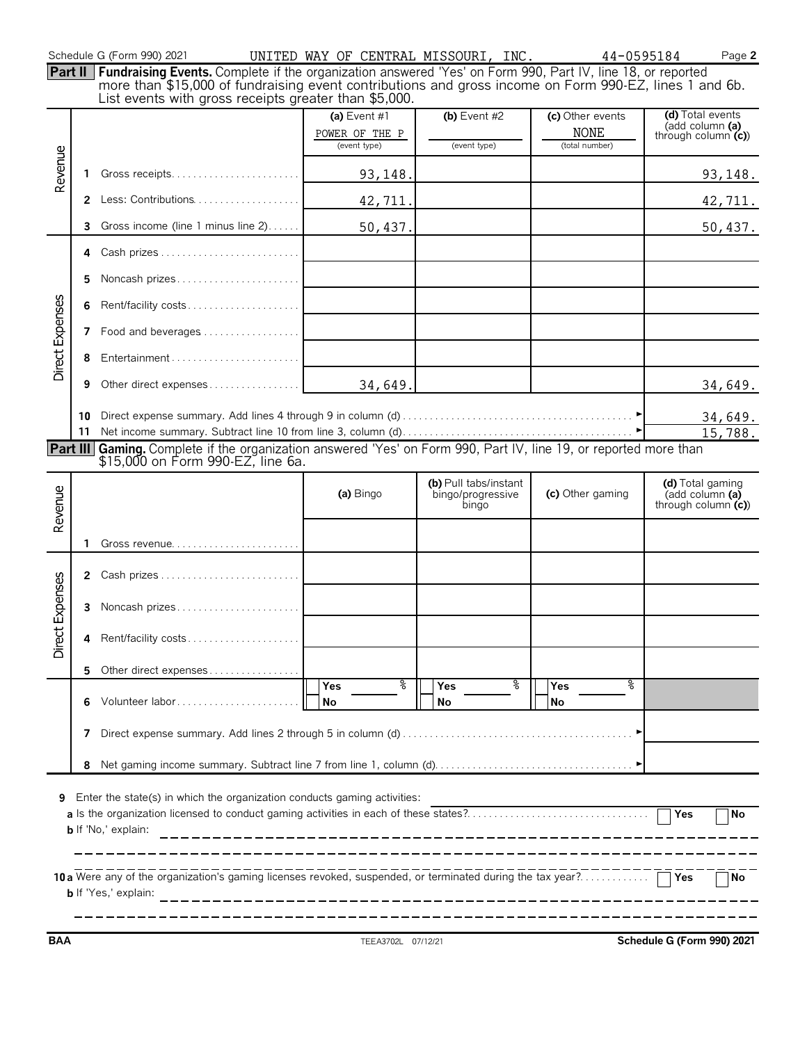|                 |          | Schedule G (Form 990) 2021                                                                                                                                                                                                                                                            |                                                  | UNITED WAY OF CENTRAL MISSOURI, INC.                | 44-0595184                                 | Page 2                                                        |
|-----------------|----------|---------------------------------------------------------------------------------------------------------------------------------------------------------------------------------------------------------------------------------------------------------------------------------------|--------------------------------------------------|-----------------------------------------------------|--------------------------------------------|---------------------------------------------------------------|
|                 |          | Part II Fundraising Events. Complete if the organization answered 'Yes' on Form 990, Part IV, line 18, or reported<br>more than \$15,000 of fundraising event contributions and gross income on Form 990-EZ, lines 1 and 6b.<br>List events with gross receipts greater than \$5,000. |                                                  |                                                     |                                            |                                                               |
|                 |          |                                                                                                                                                                                                                                                                                       | (a) Event $#1$<br>POWER OF THE P<br>(event type) | (b) Event $#2$<br>(event type)                      | (c) Other events<br>NONE<br>(total number) | (d) Total events<br>(add column (a)<br>through column $(c)$   |
| Revenue         | 1.       | Gross receipts                                                                                                                                                                                                                                                                        | 93,148.                                          |                                                     |                                            | 93,148.                                                       |
|                 |          | 2 Less: Contributions                                                                                                                                                                                                                                                                 | 42,711.                                          |                                                     |                                            | 42,711.                                                       |
|                 | 3        | Gross income (line 1 minus line 2)                                                                                                                                                                                                                                                    | 50,437.                                          |                                                     |                                            | 50,437.                                                       |
|                 | 4        |                                                                                                                                                                                                                                                                                       |                                                  |                                                     |                                            |                                                               |
|                 | 5        | Noncash prizes                                                                                                                                                                                                                                                                        |                                                  |                                                     |                                            |                                                               |
|                 | 6        | Rent/facility costs                                                                                                                                                                                                                                                                   |                                                  |                                                     |                                            |                                                               |
| Direct Expenses |          | 7 Food and beverages                                                                                                                                                                                                                                                                  |                                                  |                                                     |                                            |                                                               |
|                 | 8        |                                                                                                                                                                                                                                                                                       |                                                  |                                                     |                                            |                                                               |
|                 | 9        | Other direct expenses                                                                                                                                                                                                                                                                 | 34,649.                                          |                                                     |                                            | 34,649.                                                       |
|                 | 10<br>11 |                                                                                                                                                                                                                                                                                       |                                                  |                                                     |                                            | 34,649.<br>15,788.                                            |
|                 |          | Part III Gaming. Complete if the organization answered 'Yes' on Form 990, Part IV, line 19, or reported more than<br>\$15,000 on Form 990-EZ, line 6a.                                                                                                                                |                                                  |                                                     |                                            |                                                               |
| Revenue         |          |                                                                                                                                                                                                                                                                                       | (a) Bingo                                        | (b) Pull tabs/instant<br>bingo/progressive<br>bingo | (c) Other gaming                           | (d) Total gaming<br>(add column $(a)$<br>through column $(c)$ |
|                 | 1        | Gross revenue                                                                                                                                                                                                                                                                         |                                                  |                                                     |                                            |                                                               |
|                 | 2        |                                                                                                                                                                                                                                                                                       |                                                  |                                                     |                                            |                                                               |
| ect Expenses    | 3        | Noncash prizes                                                                                                                                                                                                                                                                        |                                                  |                                                     |                                            |                                                               |
| ā               |          | 4 Rent/facility costs                                                                                                                                                                                                                                                                 |                                                  |                                                     |                                            |                                                               |
|                 | 5        | Other direct expenses                                                                                                                                                                                                                                                                 | နွ                                               |                                                     |                                            |                                                               |
|                 | 6        | Volunteer labor                                                                                                                                                                                                                                                                       | <b>Yes</b><br>No                                 | ႜ<br>Yes<br>No                                      | ⊱<br>Yes<br>No                             |                                                               |
|                 | 7        |                                                                                                                                                                                                                                                                                       |                                                  |                                                     |                                            |                                                               |
|                 | 8        |                                                                                                                                                                                                                                                                                       |                                                  |                                                     |                                            |                                                               |
| 9               |          | Enter the state(s) in which the organization conducts gaming activities:<br><b>b</b> If 'No,' explain:                                                                                                                                                                                |                                                  |                                                     |                                            | Yes<br><b>No</b>                                              |
|                 |          | <b>b</b> If 'Yes,' explain:                                                                                                                                                                                                                                                           |                                                  |                                                     |                                            | No                                                            |

**BAA** TEEA3702L 07/12/21 **Schedule G (Form 990) 2021**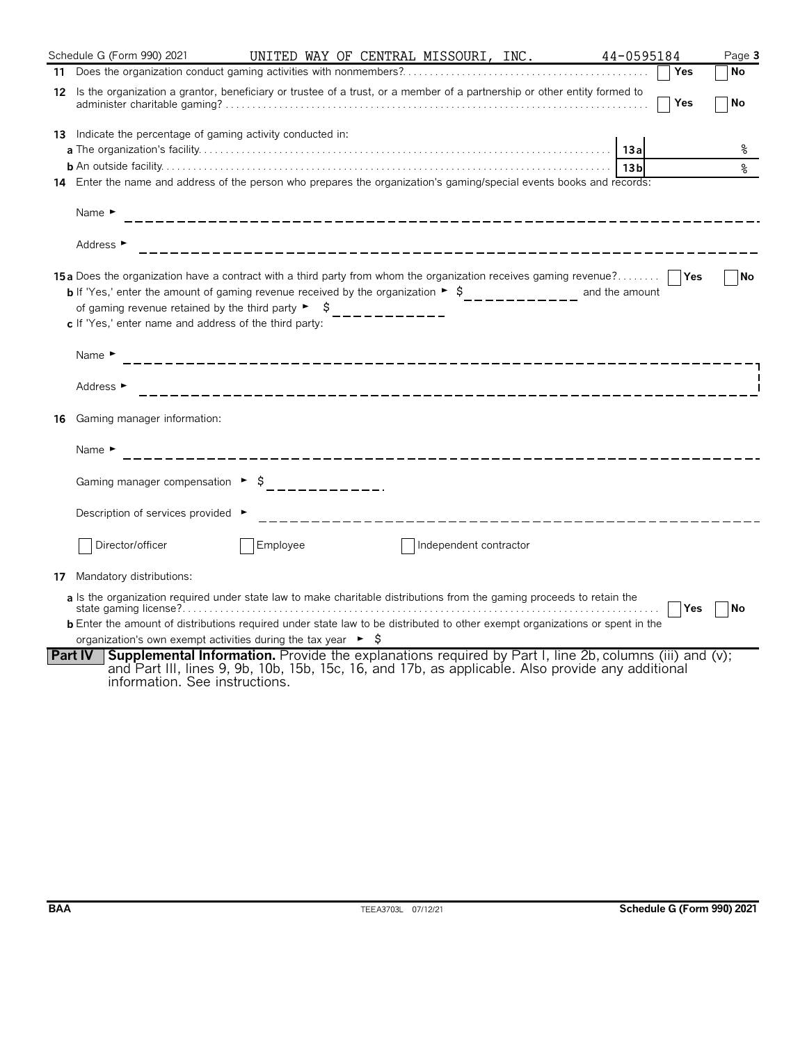| Schedule G (Form 990) 2021                                                                                                                                                                                                                                                                                                                                                                                          |                                        | UNITED WAY OF CENTRAL MISSOURI, INC. |                        | 44-0595184      |     | Page 3    |
|---------------------------------------------------------------------------------------------------------------------------------------------------------------------------------------------------------------------------------------------------------------------------------------------------------------------------------------------------------------------------------------------------------------------|----------------------------------------|--------------------------------------|------------------------|-----------------|-----|-----------|
|                                                                                                                                                                                                                                                                                                                                                                                                                     |                                        |                                      |                        |                 | Yes | No        |
| 12 Is the organization a grantor, beneficiary or trustee of a trust, or a member of a partnership or other entity formed to                                                                                                                                                                                                                                                                                         |                                        |                                      |                        |                 | Yes | <b>No</b> |
| <b>13</b> Indicate the percentage of gaming activity conducted in:                                                                                                                                                                                                                                                                                                                                                  |                                        |                                      |                        |                 |     |           |
|                                                                                                                                                                                                                                                                                                                                                                                                                     |                                        |                                      |                        | 13a             |     | န့        |
| 14 Enter the name and address of the person who prepares the organization's gaming/special events books and records:                                                                                                                                                                                                                                                                                                |                                        |                                      |                        | 13 <sub>b</sub> |     | နွ        |
|                                                                                                                                                                                                                                                                                                                                                                                                                     |                                        |                                      |                        |                 |     |           |
| Name $\blacktriangleright$                                                                                                                                                                                                                                                                                                                                                                                          | -------------------------------------- |                                      |                        |                 |     |           |
| Address ►                                                                                                                                                                                                                                                                                                                                                                                                           | -----------------------------          |                                      |                        |                 |     |           |
| <b>15a</b> Does the organization have a contract with a third party from whom the organization receives gaming revenue?<br><b>b</b> If 'Yes,' enter the amount of gaming revenue received by the organization $\triangleright$ \$___________<br>of gaming revenue retained by the third party $\blacktriangleright$ $\blacktriangleright$ $\blacklozenge$<br>c If 'Yes,' enter name and address of the third party: |                                        |                                      |                        | and the amount  |     | No        |
|                                                                                                                                                                                                                                                                                                                                                                                                                     |                                        |                                      |                        |                 |     |           |
| Name $\blacktriangleright$                                                                                                                                                                                                                                                                                                                                                                                          |                                        |                                      |                        |                 |     |           |
| Address ►                                                                                                                                                                                                                                                                                                                                                                                                           |                                        |                                      |                        |                 |     |           |
| Gaming manager information:<br>16                                                                                                                                                                                                                                                                                                                                                                                   |                                        |                                      |                        |                 |     |           |
| Name $\blacktriangleright$                                                                                                                                                                                                                                                                                                                                                                                          |                                        |                                      |                        |                 |     |           |
| Gaming manager compensation $\rightarrow$ $\dot{S}$ ______________                                                                                                                                                                                                                                                                                                                                                  |                                        |                                      |                        |                 |     |           |
| Description of services provided ▶                                                                                                                                                                                                                                                                                                                                                                                  |                                        |                                      |                        |                 |     |           |
| Director/officer                                                                                                                                                                                                                                                                                                                                                                                                    | Employee                               |                                      | Independent contractor |                 |     |           |
| Mandatory distributions:<br>17                                                                                                                                                                                                                                                                                                                                                                                      |                                        |                                      |                        |                 |     |           |
| a Is the organization required under state law to make charitable distributions from the gaming proceeds to retain the<br><b>b</b> Enter the amount of distributions required under state law to be distributed to other exempt organizations or spent in the<br>organization's own exempt activities during the tax year $\triangleright$ $\sharp$                                                                 |                                        |                                      |                        |                 | Yes | <b>No</b> |
| <b>Supplemental Information.</b> Provide the explanations required by Part I, line 2b, columns (iii) and (v);<br><b>Part IV</b><br>and Part III, lines 9, 9b, 10b, 15b, 15c, 16, and 17b, as applicable. Also provide any additional<br>information. See instructions.                                                                                                                                              |                                        |                                      |                        |                 |     |           |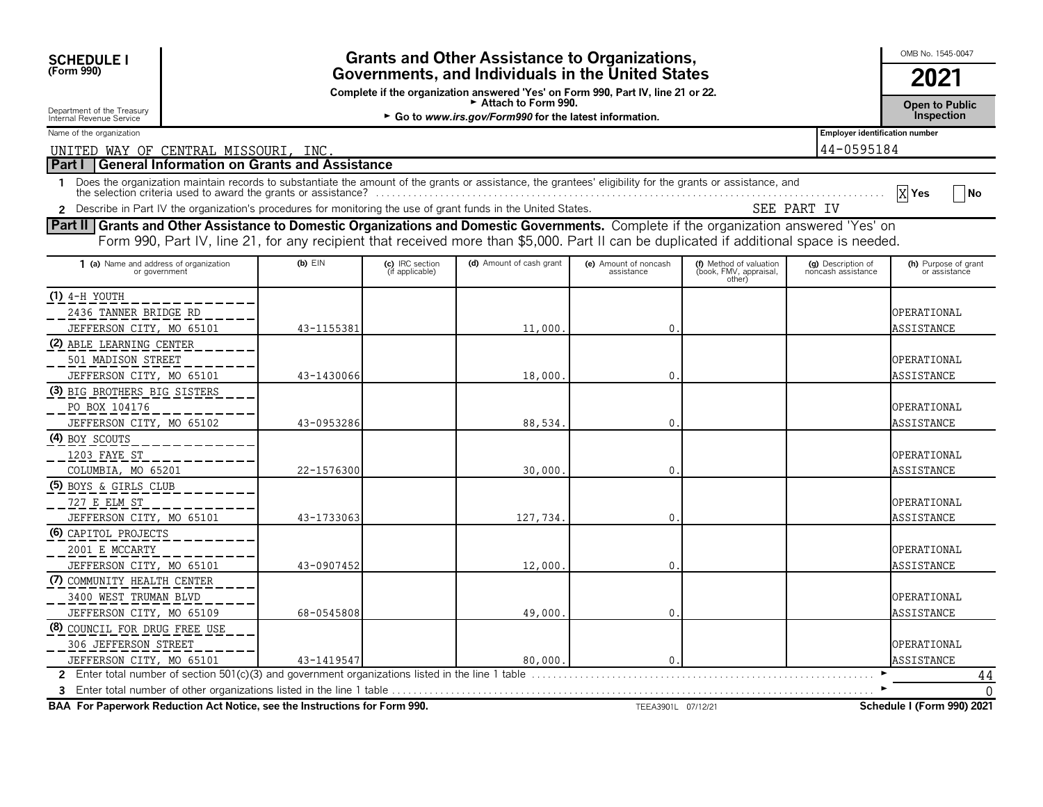| <b>SCHEDULE I</b><br>(Form 990)                                                                                                               |                                                                               |                                    | <b>Grants and Other Assistance to Organizations,</b><br>Governments, and Individuals in the United States<br>Complete if the organization answered 'Yes' on Form 990, Part IV, line 21 or 22.                                                                                                                                                     |                                     |                                                             |                                          | OMB No. 1545-0047<br>2021             |
|-----------------------------------------------------------------------------------------------------------------------------------------------|-------------------------------------------------------------------------------|------------------------------------|---------------------------------------------------------------------------------------------------------------------------------------------------------------------------------------------------------------------------------------------------------------------------------------------------------------------------------------------------|-------------------------------------|-------------------------------------------------------------|------------------------------------------|---------------------------------------|
| Department of the Treasury<br>Internal Revenue Service                                                                                        |                                                                               |                                    | Attach to Form 990.<br>► Go to www.irs.gov/Form990 for the latest information.                                                                                                                                                                                                                                                                    |                                     |                                                             |                                          | <b>Open to Public</b><br>Inspection   |
| Name of the organization                                                                                                                      |                                                                               |                                    |                                                                                                                                                                                                                                                                                                                                                   |                                     |                                                             | <b>Employer identification number</b>    |                                       |
| UNITED WAY OF CENTRAL MISSOURI, INC                                                                                                           |                                                                               |                                    |                                                                                                                                                                                                                                                                                                                                                   |                                     |                                                             | 44-0595184                               |                                       |
| Part I                                                                                                                                        | <b>General Information on Grants and Assistance</b>                           |                                    |                                                                                                                                                                                                                                                                                                                                                   |                                     |                                                             |                                          |                                       |
|                                                                                                                                               |                                                                               |                                    | 1 Does the organization maintain records to substantiate the amount of the grants or assistance, the grantees' eligibility for the grants or assistance, and<br>the selection criteria used to award the grants or assistance?<br>2 Describe in Part IV the organization's procedures for monitoring the use of grant funds in the United States. |                                     |                                                             | SEE PART IV                              | X <sub>Yes</sub><br> No               |
| <b>Part II Grants and Other Assistance to Domestic Organizations and Domestic Governments.</b> Complete if the organization answered 'Yes' on |                                                                               |                                    |                                                                                                                                                                                                                                                                                                                                                   |                                     |                                                             |                                          |                                       |
|                                                                                                                                               |                                                                               |                                    | Form 990, Part IV, line 21, for any recipient that received more than \$5,000. Part II can be duplicated if additional space is needed.                                                                                                                                                                                                           |                                     |                                                             |                                          |                                       |
|                                                                                                                                               |                                                                               |                                    |                                                                                                                                                                                                                                                                                                                                                   |                                     |                                                             |                                          |                                       |
| 1 (a) Name and address of organization<br>or government                                                                                       | $(b)$ $EIN$                                                                   | (c) IRC section<br>(if applicable) | (d) Amount of cash grant                                                                                                                                                                                                                                                                                                                          | (e) Amount of noncash<br>assistance | (f) Method of valuation<br>(book, FMV, appraisal,<br>other) | (g) Description of<br>noncash assistance | (h) Purpose of grant<br>or assistance |
| $(1)$ 4-H YOUTH<br>2436 TANNER BRIDGE RD                                                                                                      |                                                                               |                                    |                                                                                                                                                                                                                                                                                                                                                   |                                     |                                                             |                                          | OPERATIONAL                           |
| JEFFERSON CITY, MO 65101                                                                                                                      | 43-1155381                                                                    |                                    | 11,000                                                                                                                                                                                                                                                                                                                                            | $\mathbf{0}$ .                      |                                                             |                                          | ASSISTANCE                            |
| (2) ABLE LEARNING CENTER                                                                                                                      |                                                                               |                                    |                                                                                                                                                                                                                                                                                                                                                   |                                     |                                                             |                                          |                                       |
| 501 MADISON STREET                                                                                                                            |                                                                               |                                    |                                                                                                                                                                                                                                                                                                                                                   |                                     |                                                             |                                          | OPERATIONAL                           |
| JEFFERSON CITY, MO 65101                                                                                                                      | 43-1430066                                                                    |                                    | 18,000                                                                                                                                                                                                                                                                                                                                            | $\mathbf{0}$                        |                                                             |                                          | ASSISTANCE                            |
| (3) BIG BROTHERS BIG SISTERS                                                                                                                  |                                                                               |                                    |                                                                                                                                                                                                                                                                                                                                                   |                                     |                                                             |                                          |                                       |
| PO BOX 104176                                                                                                                                 | 43-0953286                                                                    |                                    |                                                                                                                                                                                                                                                                                                                                                   | 0.                                  |                                                             |                                          | OPERATIONAL<br>ASSISTANCE             |
| JEFFERSON CITY, MO 65102<br>(4) BOY SCOUTS                                                                                                    |                                                                               |                                    | 88,534                                                                                                                                                                                                                                                                                                                                            |                                     |                                                             |                                          |                                       |
| 1203 FAYE ST<br>COLUMBIA, MO 65201                                                                                                            | 22-1576300                                                                    |                                    | 30,000                                                                                                                                                                                                                                                                                                                                            | $\mathbf 0$                         |                                                             |                                          | OPERATIONAL<br>ASSISTANCE             |
| (5) BOYS & GIRLS CLUB                                                                                                                         |                                                                               |                                    |                                                                                                                                                                                                                                                                                                                                                   |                                     |                                                             |                                          |                                       |
| 727 E ELM ST                                                                                                                                  |                                                                               |                                    |                                                                                                                                                                                                                                                                                                                                                   |                                     |                                                             |                                          | OPERATIONAL                           |
| JEFFERSON CITY, MO 65101                                                                                                                      | 43-1733063                                                                    |                                    | 127,734                                                                                                                                                                                                                                                                                                                                           | $\mathbf{0}$ .                      |                                                             |                                          | ASSISTANCE                            |
| (6) CAPITOL PROJECTS                                                                                                                          |                                                                               |                                    |                                                                                                                                                                                                                                                                                                                                                   |                                     |                                                             |                                          |                                       |
| 2001 E MCCARTY                                                                                                                                |                                                                               |                                    |                                                                                                                                                                                                                                                                                                                                                   |                                     |                                                             |                                          | OPERATIONAL                           |
| JEFFERSON CITY, MO 65101                                                                                                                      | 43-0907452                                                                    |                                    | 12,000                                                                                                                                                                                                                                                                                                                                            | $\mathbf{0}$                        |                                                             |                                          | ASSISTANCE                            |
| (7) COMMUNITY HEALTH CENTER                                                                                                                   |                                                                               |                                    |                                                                                                                                                                                                                                                                                                                                                   |                                     |                                                             |                                          |                                       |
| 3400 WEST TRUMAN BLVD                                                                                                                         |                                                                               |                                    |                                                                                                                                                                                                                                                                                                                                                   |                                     |                                                             |                                          | OPERATIONAL                           |
| JEFFERSON CITY, MO 65109                                                                                                                      | 68-0545808                                                                    |                                    | 49,000                                                                                                                                                                                                                                                                                                                                            | $\mathbf{0}$ .                      |                                                             |                                          | ASSISTANCE                            |
| (8) COUNCIL FOR DRUG FREE USE                                                                                                                 |                                                                               |                                    |                                                                                                                                                                                                                                                                                                                                                   |                                     |                                                             |                                          |                                       |
| 306 JEFFERSON STREET                                                                                                                          |                                                                               |                                    |                                                                                                                                                                                                                                                                                                                                                   |                                     |                                                             |                                          | OPERATIONAL                           |
| JEFFERSON CITY, MO 65101                                                                                                                      | 43-1419547                                                                    |                                    | 80,000.                                                                                                                                                                                                                                                                                                                                           | $\mathbf 0$ .                       |                                                             |                                          | ASSISTANCE                            |
|                                                                                                                                               |                                                                               |                                    |                                                                                                                                                                                                                                                                                                                                                   |                                     |                                                             |                                          | 44                                    |
|                                                                                                                                               | <b>3</b> Enter total number of other organizations listed in the line 1 table |                                    |                                                                                                                                                                                                                                                                                                                                                   |                                     |                                                             |                                          | $\Omega$                              |

**BAA For Paperwork Reduction Act Notice, see the Instructions for Form 990.** TEEA3901L **TEEA3901L** 07/12/21 Schedule I (Form 990) 2021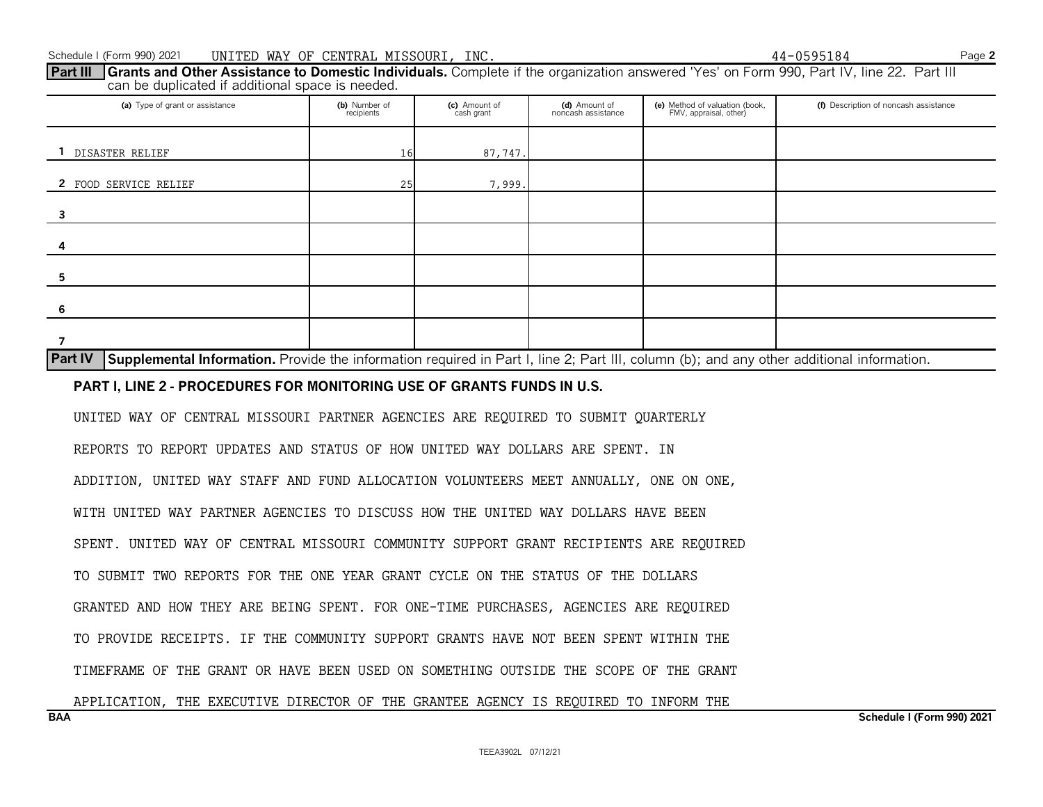**Part III Grants and Other Assistance to Domestic Individuals.** Complete if the organization answered 'Yes' on Form 990, Part IV, line 22. Part III can be duplicated if additional space is needed.

| (a) Type of grant or assistance                                                                                                                  | (b) Number of<br>recipients | (c) Amount of<br>cash grant | (d) Amount of<br>noncash assistance | (e) Method of valuation (book,<br>FMV, appraisal, other) | (f) Description of noncash assistance |
|--------------------------------------------------------------------------------------------------------------------------------------------------|-----------------------------|-----------------------------|-------------------------------------|----------------------------------------------------------|---------------------------------------|
| DISASTER RELIEF                                                                                                                                  | 16                          | 87,747.                     |                                     |                                                          |                                       |
| 2 FOOD SERVICE RELIEF                                                                                                                            | 25                          | 7,999.                      |                                     |                                                          |                                       |
|                                                                                                                                                  |                             |                             |                                     |                                                          |                                       |
|                                                                                                                                                  |                             |                             |                                     |                                                          |                                       |
| 5                                                                                                                                                |                             |                             |                                     |                                                          |                                       |
| 6                                                                                                                                                |                             |                             |                                     |                                                          |                                       |
| Deut IV Complemental Information, Dravida the information required in Deut Hine O. Deut III, achieve (b), and any other caldificate information. |                             |                             |                                     |                                                          |                                       |

**Part IV Supplemental Information.** Provide the information required in Part I, line 2; Part III, column (b); and any other additional information.

#### **PART I, LINE 2 - PROCEDURES FOR MONITORING USE OF GRANTS FUNDS IN U.S.**

UNITED WAY OF CENTRAL MISSOURI PARTNER AGENCIES ARE REQUIRED TO SUBMIT QUARTERLY REPORTS TO REPORT UPDATES AND STATUS OF HOW UNITED WAY DOLLARS ARE SPENT. IN ADDITION, UNITED WAY STAFF AND FUND ALLOCATION VOLUNTEERS MEET ANNUALLY, ONE ON ONE, WITH UNITED WAY PARTNER AGENCIES TO DISCUSS HOW THE UNITED WAY DOLLARS HAVE BEEN SPENT. UNITED WAY OF CENTRAL MISSOURI COMMUNITY SUPPORT GRANT RECIPIENTS ARE REQUIRED TO SUBMIT TWO REPORTS FOR THE ONE YEAR GRANT CYCLE ON THE STATUS OF THE DOLLARS GRANTED AND HOW THEY ARE BEING SPENT. FOR ONE-TIME PURCHASES, AGENCIES ARE REQUIRED TO PROVIDE RECEIPTS. IF THE COMMUNITY SUPPORT GRANTS HAVE NOT BEEN SPENT WITHIN THE TIMEFRAME OF THE GRANT OR HAVE BEEN USED ON SOMETHING OUTSIDE THE SCOPE OF THE GRANT APPLICATION, THE EXECUTIVE DIRECTOR OF THE GRANTEE AGENCY IS REQUIRED TO INFORM THE

#### **BAA Schedule I (Form 990) 2021**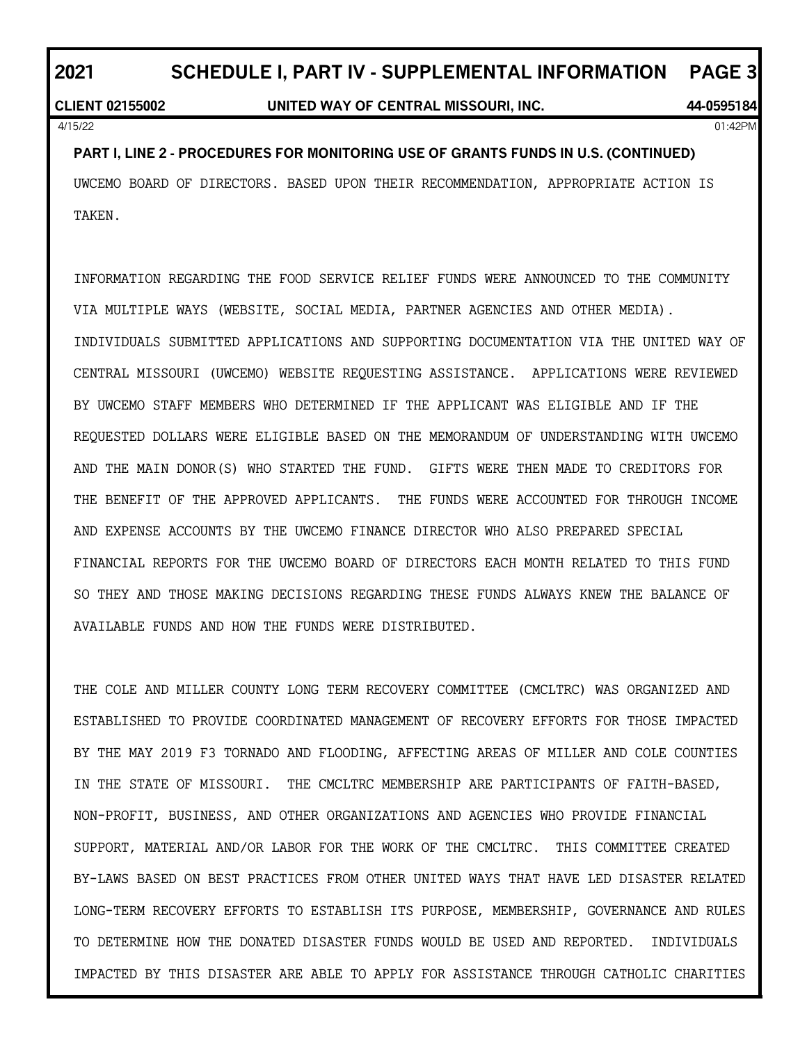## **2021 SCHEDULE I, PART IV - SUPPLEMENTAL INFORMATION PAGE 3**

#### **CLIENT 02155002 UNITED WAY OF CENTRAL MISSOURI, INC. 44-0595184**

## 4/15/22 01:42PM

**PART I, LINE 2 - PROCEDURES FOR MONITORING USE OF GRANTS FUNDS IN U.S. (CONTINUED)** UWCEMO BOARD OF DIRECTORS. BASED UPON THEIR RECOMMENDATION, APPROPRIATE ACTION IS TAKEN.

INFORMATION REGARDING THE FOOD SERVICE RELIEF FUNDS WERE ANNOUNCED TO THE COMMUNITY VIA MULTIPLE WAYS (WEBSITE, SOCIAL MEDIA, PARTNER AGENCIES AND OTHER MEDIA). INDIVIDUALS SUBMITTED APPLICATIONS AND SUPPORTING DOCUMENTATION VIA THE UNITED WAY OF CENTRAL MISSOURI (UWCEMO) WEBSITE REQUESTING ASSISTANCE. APPLICATIONS WERE REVIEWED BY UWCEMO STAFF MEMBERS WHO DETERMINED IF THE APPLICANT WAS ELIGIBLE AND IF THE REQUESTED DOLLARS WERE ELIGIBLE BASED ON THE MEMORANDUM OF UNDERSTANDING WITH UWCEMO AND THE MAIN DONOR(S) WHO STARTED THE FUND. GIFTS WERE THEN MADE TO CREDITORS FOR THE BENEFIT OF THE APPROVED APPLICANTS. THE FUNDS WERE ACCOUNTED FOR THROUGH INCOME AND EXPENSE ACCOUNTS BY THE UWCEMO FINANCE DIRECTOR WHO ALSO PREPARED SPECIAL FINANCIAL REPORTS FOR THE UWCEMO BOARD OF DIRECTORS EACH MONTH RELATED TO THIS FUND SO THEY AND THOSE MAKING DECISIONS REGARDING THESE FUNDS ALWAYS KNEW THE BALANCE OF AVAILABLE FUNDS AND HOW THE FUNDS WERE DISTRIBUTED.

THE COLE AND MILLER COUNTY LONG TERM RECOVERY COMMITTEE (CMCLTRC) WAS ORGANIZED AND ESTABLISHED TO PROVIDE COORDINATED MANAGEMENT OF RECOVERY EFFORTS FOR THOSE IMPACTED BY THE MAY 2019 F3 TORNADO AND FLOODING, AFFECTING AREAS OF MILLER AND COLE COUNTIES IN THE STATE OF MISSOURI. THE CMCLTRC MEMBERSHIP ARE PARTICIPANTS OF FAITH-BASED, NON-PROFIT, BUSINESS, AND OTHER ORGANIZATIONS AND AGENCIES WHO PROVIDE FINANCIAL SUPPORT, MATERIAL AND/OR LABOR FOR THE WORK OF THE CMCLTRC. THIS COMMITTEE CREATED BY-LAWS BASED ON BEST PRACTICES FROM OTHER UNITED WAYS THAT HAVE LED DISASTER RELATED LONG-TERM RECOVERY EFFORTS TO ESTABLISH ITS PURPOSE, MEMBERSHIP, GOVERNANCE AND RULES TO DETERMINE HOW THE DONATED DISASTER FUNDS WOULD BE USED AND REPORTED. INDIVIDUALS IMPACTED BY THIS DISASTER ARE ABLE TO APPLY FOR ASSISTANCE THROUGH CATHOLIC CHARITIES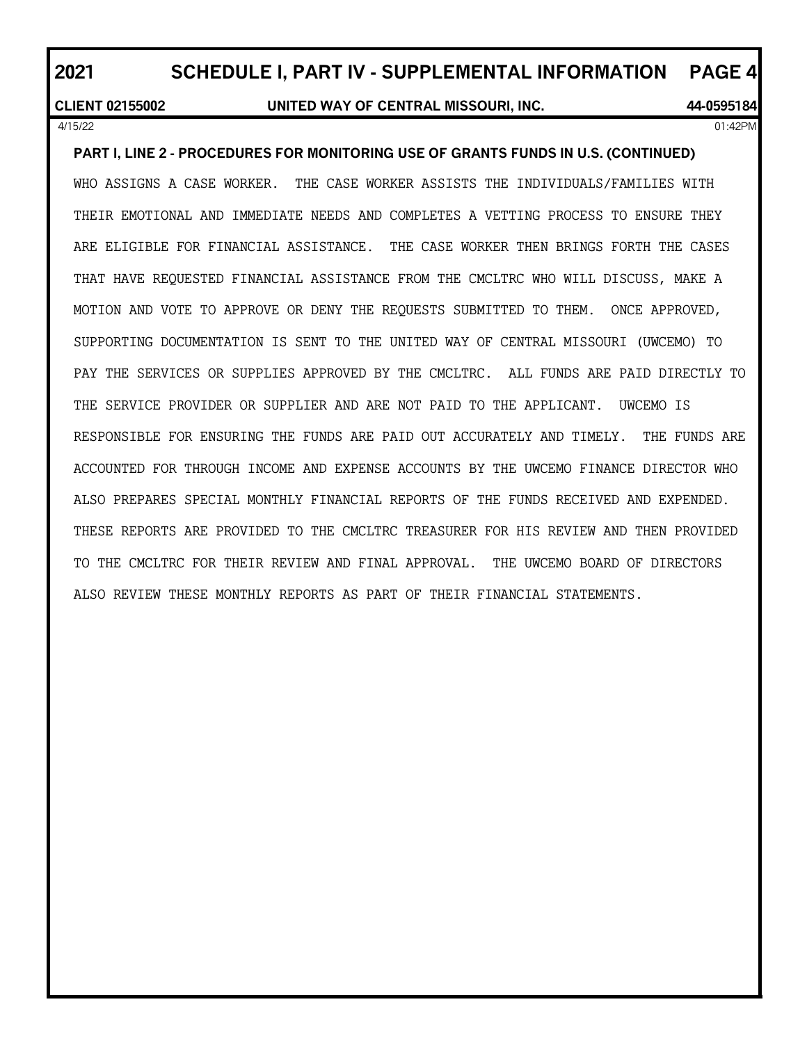## **2021 SCHEDULE I, PART IV - SUPPLEMENTAL INFORMATION PAGE 4**

#### **CLIENT 02155002 UNITED WAY OF CENTRAL MISSOURI, INC. 44-0595184**

4/15/22 01:42PM

## **PART I, LINE 2 - PROCEDURES FOR MONITORING USE OF GRANTS FUNDS IN U.S. (CONTINUED)**

WHO ASSIGNS A CASE WORKER. THE CASE WORKER ASSISTS THE INDIVIDUALS/FAMILIES WITH THEIR EMOTIONAL AND IMMEDIATE NEEDS AND COMPLETES A VETTING PROCESS TO ENSURE THEY ARE ELIGIBLE FOR FINANCIAL ASSISTANCE. THE CASE WORKER THEN BRINGS FORTH THE CASES THAT HAVE REQUESTED FINANCIAL ASSISTANCE FROM THE CMCLTRC WHO WILL DISCUSS, MAKE A MOTION AND VOTE TO APPROVE OR DENY THE REQUESTS SUBMITTED TO THEM. ONCE APPROVED, SUPPORTING DOCUMENTATION IS SENT TO THE UNITED WAY OF CENTRAL MISSOURI (UWCEMO) TO PAY THE SERVICES OR SUPPLIES APPROVED BY THE CMCLTRC. ALL FUNDS ARE PAID DIRECTLY TO THE SERVICE PROVIDER OR SUPPLIER AND ARE NOT PAID TO THE APPLICANT. UWCEMO IS RESPONSIBLE FOR ENSURING THE FUNDS ARE PAID OUT ACCURATELY AND TIMELY. THE FUNDS ARE ACCOUNTED FOR THROUGH INCOME AND EXPENSE ACCOUNTS BY THE UWCEMO FINANCE DIRECTOR WHO ALSO PREPARES SPECIAL MONTHLY FINANCIAL REPORTS OF THE FUNDS RECEIVED AND EXPENDED. THESE REPORTS ARE PROVIDED TO THE CMCLTRC TREASURER FOR HIS REVIEW AND THEN PROVIDED TO THE CMCLTRC FOR THEIR REVIEW AND FINAL APPROVAL. THE UWCEMO BOARD OF DIRECTORS ALSO REVIEW THESE MONTHLY REPORTS AS PART OF THEIR FINANCIAL STATEMENTS.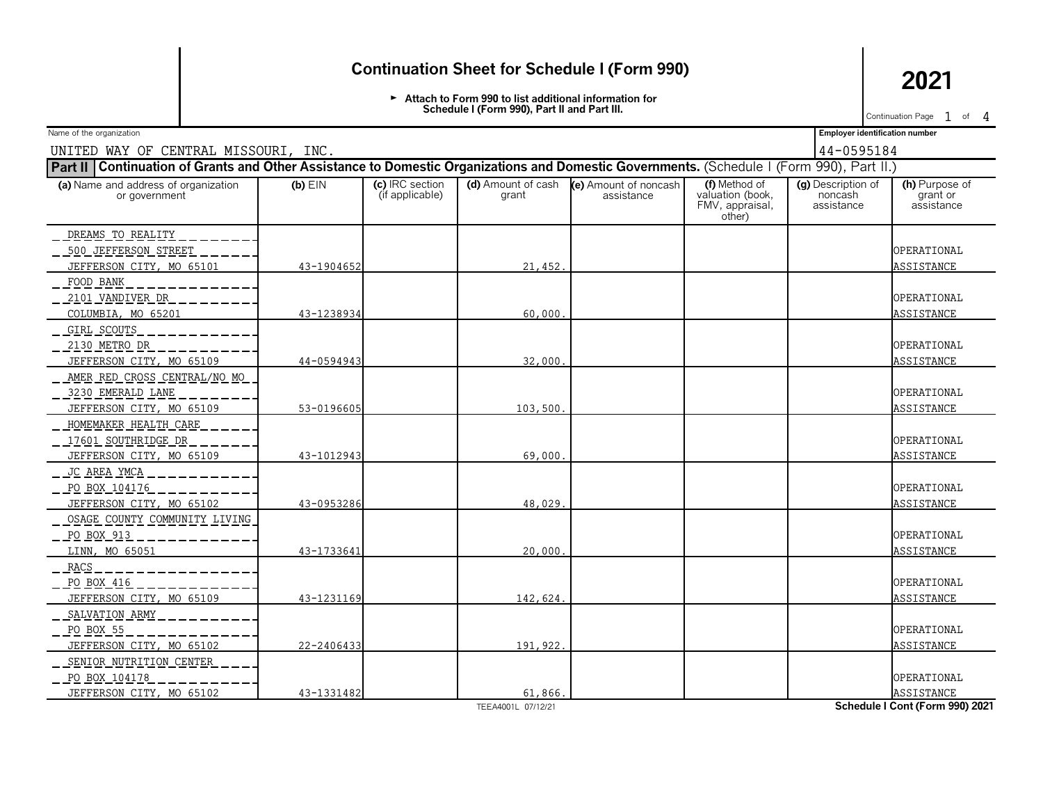Attach to Form 990 to list additional information for **Schedule I (Form 990), Part II and Part III. Continuation Page 1 and Part III.** Continuation Page 1 of

Continuation Page 1 of 4

Name of the organization **Employer identification number** 

| 44-0595184<br>UNITED WAY OF CENTRAL MISSOURI, INC.                                                                                        |            |                                    |                             |                                     |                                                                |                                             |                                          |
|-------------------------------------------------------------------------------------------------------------------------------------------|------------|------------------------------------|-----------------------------|-------------------------------------|----------------------------------------------------------------|---------------------------------------------|------------------------------------------|
| Part II Continuation of Grants and Other Assistance to Domestic Organizations and Domestic Governments. (Schedule I (Form 990), Part II.) |            |                                    |                             |                                     |                                                                |                                             |                                          |
| (a) Name and address of organization<br>or government                                                                                     | $(b)$ EIN  | (c) IRC section<br>(if applicable) | (d) Amount of cash<br>grant | (e) Amount of noncash<br>assistance | (f) Method of<br>valuation (book,<br>FMV, appraisal,<br>other) | (g) Description of<br>noncash<br>assistance | (h) Purpose of<br>grant or<br>assistance |
| DREAMS TO REALITY<br>500 JEFFERSON STREET<br>JEFFERSON CITY, MO 65101                                                                     | 43-1904652 |                                    | 21.452.                     |                                     |                                                                |                                             | OPERATIONAL<br><b>ASSISTANCE</b>         |
| FOOD BANK<br>2101 VANDIVER DR<br>COLUMBIA, MO 65201                                                                                       | 43-1238934 |                                    | 60,000                      |                                     |                                                                |                                             | OPERATIONAL<br><b>ASSISTANCE</b>         |
| GIRL SCOUTS<br>2130 METRO DR<br>JEFFERSON CITY, MO 65109                                                                                  | 44-0594943 |                                    | 32,000                      |                                     |                                                                |                                             | OPERATIONAL<br><b>ASSISTANCE</b>         |
| AMER RED CROSS CENTRAL/NO MO<br>3230 EMERALD LANE<br>JEFFERSON CITY, MO 65109                                                             | 53-0196605 |                                    | 103,500                     |                                     |                                                                |                                             | OPERATIONAL<br><b>ASSISTANCE</b>         |
| HOMEMAKER HEALTH CARE<br>17601 SOUTHRIDGE DR<br>JEFFERSON CITY, MO 65109                                                                  | 43-1012943 |                                    | 69,000                      |                                     |                                                                |                                             | OPERATIONAL<br><b>ASSISTANCE</b>         |
| JC AREA YMCA<br>PO BOX 104176<br>JEFFERSON CITY, MO 65102                                                                                 | 43-0953286 |                                    | 48,029                      |                                     |                                                                |                                             | OPERATIONAL<br><b>ASSISTANCE</b>         |
| OSAGE COUNTY COMMUNITY LIVING<br>PO BOX 913<br>LINN, MO 65051                                                                             | 43-1733641 |                                    | 20,000                      |                                     |                                                                |                                             | OPERATIONAL<br><b>ASSISTANCE</b>         |
| RACS<br>PO BOX 416<br>JEFFERSON CITY, MO 65109                                                                                            | 43-1231169 |                                    | 142,624                     |                                     |                                                                |                                             | OPERATIONAL<br><b>ASSISTANCE</b>         |
| SALVATION ARMY<br>PO BOX 55<br>JEFFERSON CITY, MO 65102                                                                                   | 22-2406433 |                                    | 191, 922.                   |                                     |                                                                |                                             | OPERATIONAL<br><b>ASSISTANCE</b>         |
| SENIOR NUTRITION CENTER<br>PO BOX 104178<br>JEFFERSON CITY, MO 65102                                                                      | 43-1331482 |                                    | 61,866.                     |                                     |                                                                |                                             | OPERATIONAL<br>ASSISTANCE                |

TEEA4001L 07/12/21 **Schedule I Cont (Form 990) 2021**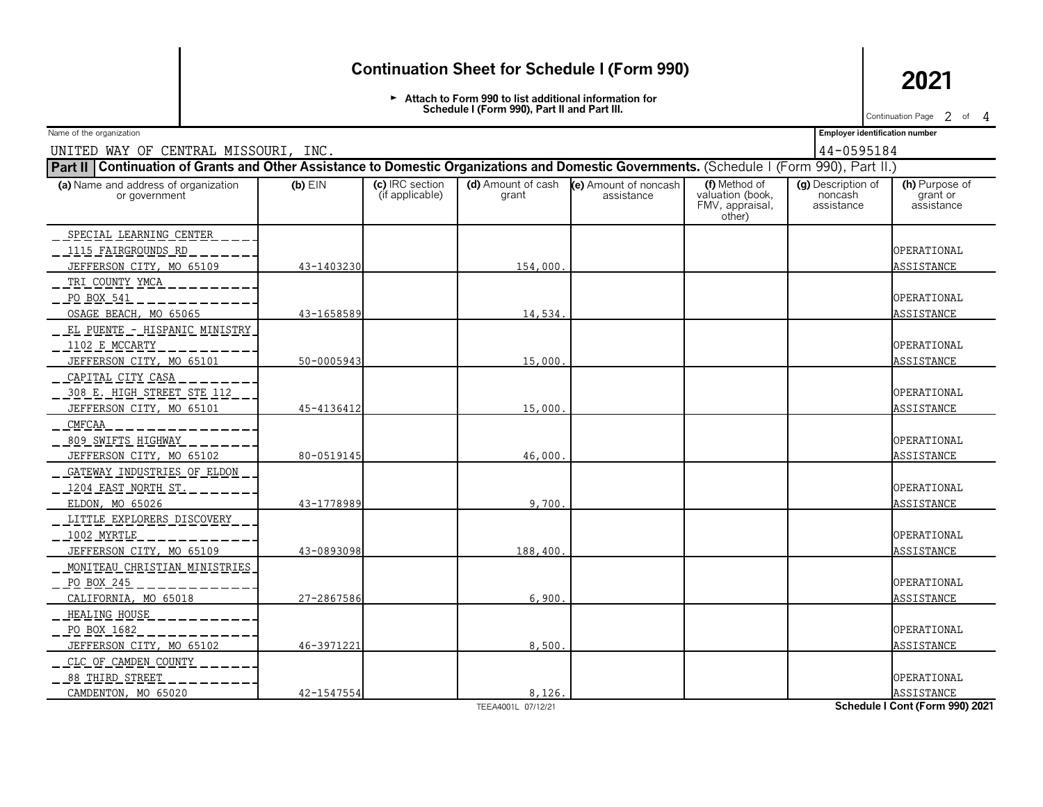Attach to Form 990 to list additional information for **Schedule I (Form 990), Part II and Part III. Continuation Page 2 of Schedule I (Form Page 2 of Schedule I Continuation Page 2 of Schedule I Continuation Page 2 of Schedule I Continuation Page 2 of Schedule I Continuatio** 

Continuation Page 2 of 4

Name of the organization **Employer identification number** 

| 44-0595184<br>UNITED WAY OF CENTRAL MISSOURI, INC.                           |                                                                                                                                           |                                    |                             |                                     |                                                                |                                             |                                          |  |
|------------------------------------------------------------------------------|-------------------------------------------------------------------------------------------------------------------------------------------|------------------------------------|-----------------------------|-------------------------------------|----------------------------------------------------------------|---------------------------------------------|------------------------------------------|--|
|                                                                              | Part II Continuation of Grants and Other Assistance to Domestic Organizations and Domestic Governments. (Schedule I (Form 990), Part II.) |                                    |                             |                                     |                                                                |                                             |                                          |  |
| (a) Name and address of organization<br>or government                        | $(b)$ EIN                                                                                                                                 | (c) IRC section<br>(if applicable) | (d) Amount of cash<br>grant | (e) Amount of noncash<br>assistance | (f) Method of<br>valuation (book,<br>FMV, appraisal,<br>other) | (g) Description of<br>noncash<br>assistance | (h) Purpose of<br>grant or<br>assistance |  |
| SPECIAL LEARNING CENTER<br>1115 FAIRGROUNDS RD<br>JEFFERSON CITY, MO 65109   | 43-1403230                                                                                                                                |                                    | 154,000                     |                                     |                                                                |                                             | OPERATIONAL<br><b>ASSISTANCE</b>         |  |
| TRI COUNTY YMCA<br>PO BOX 541<br>OSAGE BEACH, MO 65065                       | 43-1658589                                                                                                                                |                                    | 14,534                      |                                     |                                                                |                                             | OPERATIONAL<br><b>ASSISTANCE</b>         |  |
| EL PUENTE - HISPANIC MINISTRY<br>1102 E MCCARTY<br>JEFFERSON CITY, MO 65101  | 50-0005943                                                                                                                                |                                    | 15,000                      |                                     |                                                                |                                             | OPERATIONAL<br><b>ASSISTANCE</b>         |  |
| CAPITAL CITY CASA<br>308 E. HIGH STREET STE 112<br>JEFFERSON CITY, MO 65101  | 45-4136412                                                                                                                                |                                    | 15,000                      |                                     |                                                                |                                             | OPERATIONAL<br><b>ASSISTANCE</b>         |  |
| CMFCAA<br>809 SWIFTS HIGHWAY<br>JEFFERSON CITY, MO 65102                     | 80-0519145                                                                                                                                |                                    | 46,000                      |                                     |                                                                |                                             | OPERATIONAL<br>ASSISTANCE                |  |
| <b>GATEWAY INDUSTRIES OF ELDON</b><br>1204 EAST NORTH ST.<br>ELDON, MO 65026 | 43-1778989                                                                                                                                |                                    | 9,700.                      |                                     |                                                                |                                             | OPERATIONAL<br><b>ASSISTANCE</b>         |  |
| LITTLE EXPLORERS DISCOVERY<br>1002 MYRTLE<br>JEFFERSON CITY, MO 65109        | 43-0893098                                                                                                                                |                                    | 188,400                     |                                     |                                                                |                                             | OPERATIONAL<br><b>ASSISTANCE</b>         |  |
| MONITEAU CHRISTIAN MINISTRIES<br>PO BOX 245<br>CALIFORNIA, MO 65018          | 27-2867586                                                                                                                                |                                    | 6,900                       |                                     |                                                                |                                             | OPERATIONAL<br><b>ASSISTANCE</b>         |  |
| HEALING HOUSE<br>PO BOX 1682<br>JEFFERSON CITY, MO 65102                     | 46-3971221                                                                                                                                |                                    | 8,500.                      |                                     |                                                                |                                             | OPERATIONAL<br><b>ASSISTANCE</b>         |  |
| CLC OF CAMDEN COUNTY<br>88 THIRD STREET<br>CAMDENTON, MO 65020               | 42-1547554                                                                                                                                |                                    | 8,126.                      |                                     |                                                                |                                             | OPERATIONAL<br><b>ASSISTANCE</b>         |  |

TEEA4001L 07/12/21 **Schedule I Cont (Form 990) 2021**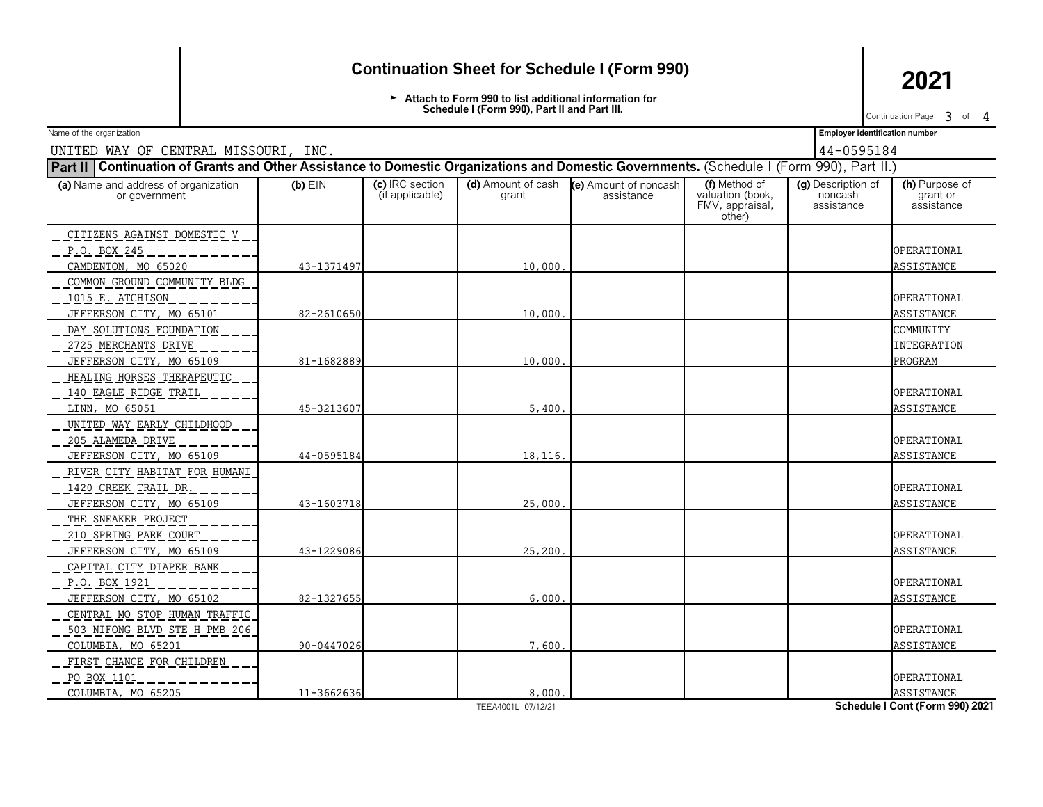Attach to Form 990 to list additional information for **Schedule I (Form 990), Part II and Part III. Continuation Page 3 of Schedule I (Form 990), Part II and Part III.** 

Continuation Page 3 of 4

Name of the organization **Employer identification number** 

| 44-0595184<br>UNITED WAY OF CENTRAL MISSOURI, INC.                                                                                        |            |                                    |                             |                                     |                                                                |                                             |                                          |
|-------------------------------------------------------------------------------------------------------------------------------------------|------------|------------------------------------|-----------------------------|-------------------------------------|----------------------------------------------------------------|---------------------------------------------|------------------------------------------|
| Part II Continuation of Grants and Other Assistance to Domestic Organizations and Domestic Governments. (Schedule I (Form 990), Part II.) |            |                                    |                             |                                     |                                                                |                                             |                                          |
| (a) Name and address of organization<br>or government                                                                                     | $(b)$ EIN  | (c) IRC section<br>(if applicable) | (d) Amount of cash<br>grant | (e) Amount of noncash<br>assistance | (f) Method of<br>valuation (book,<br>FMV, appraisal,<br>other) | (g) Description of<br>noncash<br>assistance | (h) Purpose of<br>grant or<br>assistance |
| CITIZENS AGAINST DOMESTIC V                                                                                                               |            |                                    |                             |                                     |                                                                |                                             |                                          |
| P.O. BOX 245                                                                                                                              |            |                                    |                             |                                     |                                                                |                                             | OPERATIONAL                              |
| CAMDENTON, MO 65020                                                                                                                       | 43-1371497 |                                    | 10,000                      |                                     |                                                                |                                             | ASSISTANCE                               |
| COMMON GROUND COMMUNITY BLDG<br>1015 E. ATCHISON<br>JEFFERSON CITY, MO 65101                                                              | 82-2610650 |                                    | 10,000                      |                                     |                                                                |                                             | OPERATIONAL<br><b>ASSISTANCE</b>         |
| DAY SOLUTIONS FOUNDATION<br>2725 MERCHANTS DRIVE<br>JEFFERSON CITY, MO 65109                                                              | 81-1682889 |                                    | 10,000                      |                                     |                                                                |                                             | COMMUNITY<br>INTEGRATION<br>PROGRAM      |
| HEALING HORSES THERAPEUTIC<br>140 EAGLE RIDGE TRAIL<br>LINN, MO 65051                                                                     | 45-3213607 |                                    | 5,400                       |                                     |                                                                |                                             | OPERATIONAL<br><b>ASSISTANCE</b>         |
| UNITED WAY EARLY CHILDHOOD<br>205 ALAMEDA DRIVE<br>JEFFERSON CITY, MO 65109                                                               | 44-0595184 |                                    | 18,116                      |                                     |                                                                |                                             | OPERATIONAL<br>ASSISTANCE                |
| RIVER CITY HABITAT FOR HUMANI<br>1420 CREEK TRAIL DR.<br>JEFFERSON CITY, MO 65109                                                         | 43-1603718 |                                    | 25,000                      |                                     |                                                                |                                             | OPERATIONAL<br><b>ASSISTANCE</b>         |
| THE SNEAKER PROJECT<br>210 SPRING PARK COURT<br>JEFFERSON CITY, MO 65109                                                                  | 43-1229086 |                                    | 25,200                      |                                     |                                                                |                                             | OPERATIONAL<br><b>ASSISTANCE</b>         |
| CAPITAL CITY DIAPER BANK<br>P.O. BOX 1921<br>JEFFERSON CITY, MO 65102                                                                     | 82-1327655 |                                    | 6,000                       |                                     |                                                                |                                             | OPERATIONAL<br><b>ASSISTANCE</b>         |
| CENTRAL MO STOP HUMAN TRAFFIC<br>503 NIFONG BLVD STE H PMB 206<br>COLUMBIA, MO 65201                                                      | 90-0447026 |                                    | 7,600                       |                                     |                                                                |                                             | OPERATIONAL<br><b>ASSISTANCE</b>         |
| FIRST CHANCE FOR CHILDREN<br>PO BOX 1101<br>COLUMBIA, MO 65205                                                                            | 11-3662636 |                                    | 8,000.                      |                                     |                                                                |                                             | OPERATIONAL<br><b>ASSISTANCE</b>         |

TEEA4001L 07/12/21 **Schedule I Cont (Form 990) 2021**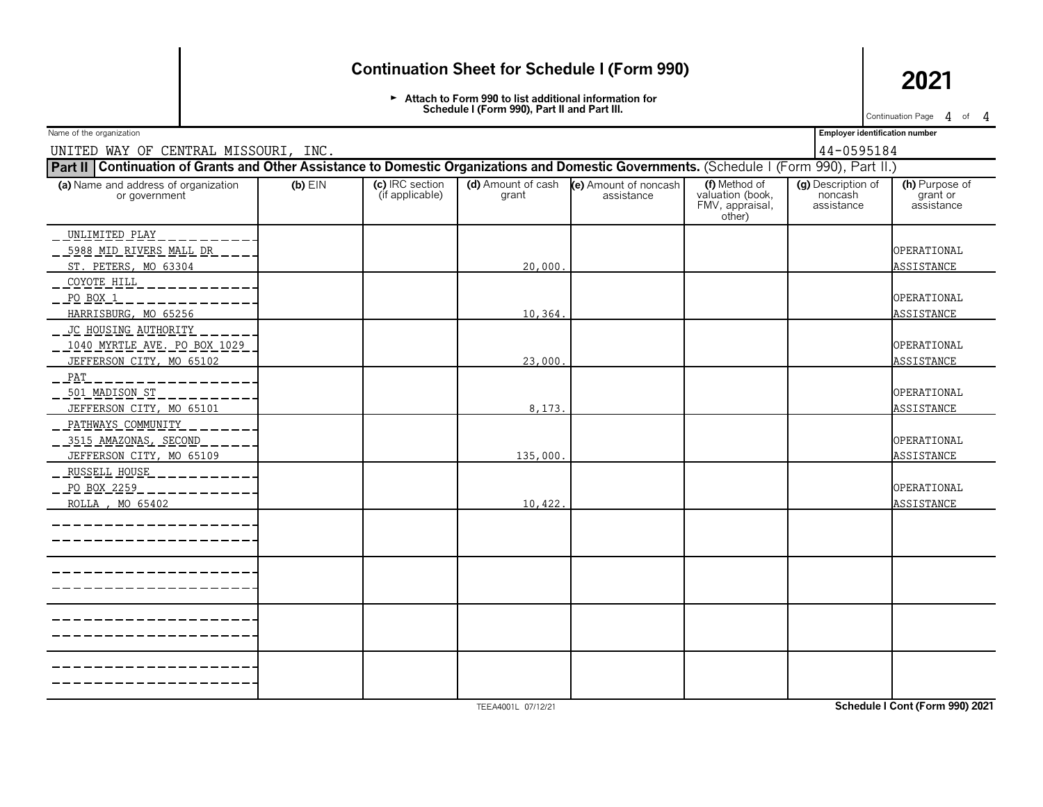Attach to Form 990 to list additional information for **Schedule I (Form 990), Part II and Part III. Continuation Page 4 of Schedule I (Form 990), Part II and Part III.** 

Continuation Page 4 of 4

Name of the organization **Employer identification number Employer identification number** 

| 44-0595184<br>UNITED WAY OF CENTRAL MISSOURI, INC.                                                                                        |           |                                    |                             |                                     |                                                                |                                             |                                          |  |
|-------------------------------------------------------------------------------------------------------------------------------------------|-----------|------------------------------------|-----------------------------|-------------------------------------|----------------------------------------------------------------|---------------------------------------------|------------------------------------------|--|
| Part II Continuation of Grants and Other Assistance to Domestic Organizations and Domestic Governments. (Schedule I (Form 990), Part II.) |           |                                    |                             |                                     |                                                                |                                             |                                          |  |
| (a) Name and address of organization<br>or government                                                                                     | $(b)$ EIN | (c) IRC section<br>(if applicable) | (d) Amount of cash<br>grant | (e) Amount of noncash<br>assistance | (f) Method of<br>valuation (book,<br>FMV, appraisal,<br>other) | (g) Description of<br>noncash<br>assistance | (h) Purpose of<br>grant or<br>assistance |  |
| UNLIMITED PLAY<br>5988 MID RIVERS MALL DR<br>ST. PETERS, MO 63304                                                                         |           |                                    | 20,000                      |                                     |                                                                |                                             | OPERATIONAL<br><b>ASSISTANCE</b>         |  |
| $COYOTE$ $HILL$ $    -$<br>PO BOX 1<br>HARRISBURG, MO 65256                                                                               |           |                                    | 10,364                      |                                     |                                                                |                                             | OPERATIONAL<br><b>ASSISTANCE</b>         |  |
| _ JC HOUSING AUTHORITY<br>_ 1040 MYRTLE AVE. PO BOX 1029<br>JEFFERSON CITY, MO 65102                                                      |           |                                    | 23,000                      |                                     |                                                                |                                             | OPERATIONAL<br><b>ASSISTANCE</b>         |  |
| $ PAT$ $-$<br>__________<br>501 MADISON ST<br>JEFFERSON CITY, MO 65101                                                                    |           |                                    | 8.173                       |                                     |                                                                |                                             | OPERATIONAL<br>ASSISTANCE                |  |
| PATHWAYS COMMUNITY<br>3515 AMAZONAS, SECOND<br>JEFFERSON CITY, MO 65109                                                                   |           |                                    | 135,000                     |                                     |                                                                |                                             | OPERATIONAL<br><b>ASSISTANCE</b>         |  |
| RUSSELL HOUSE<br>PO BOX 2259<br>ROLLA, MO 65402                                                                                           |           |                                    | 10,422                      |                                     |                                                                |                                             | OPERATIONAL<br><b>ASSISTANCE</b>         |  |
|                                                                                                                                           |           |                                    |                             |                                     |                                                                |                                             |                                          |  |
|                                                                                                                                           |           |                                    |                             |                                     |                                                                |                                             |                                          |  |
|                                                                                                                                           |           |                                    |                             |                                     |                                                                |                                             |                                          |  |
|                                                                                                                                           |           |                                    |                             |                                     |                                                                |                                             |                                          |  |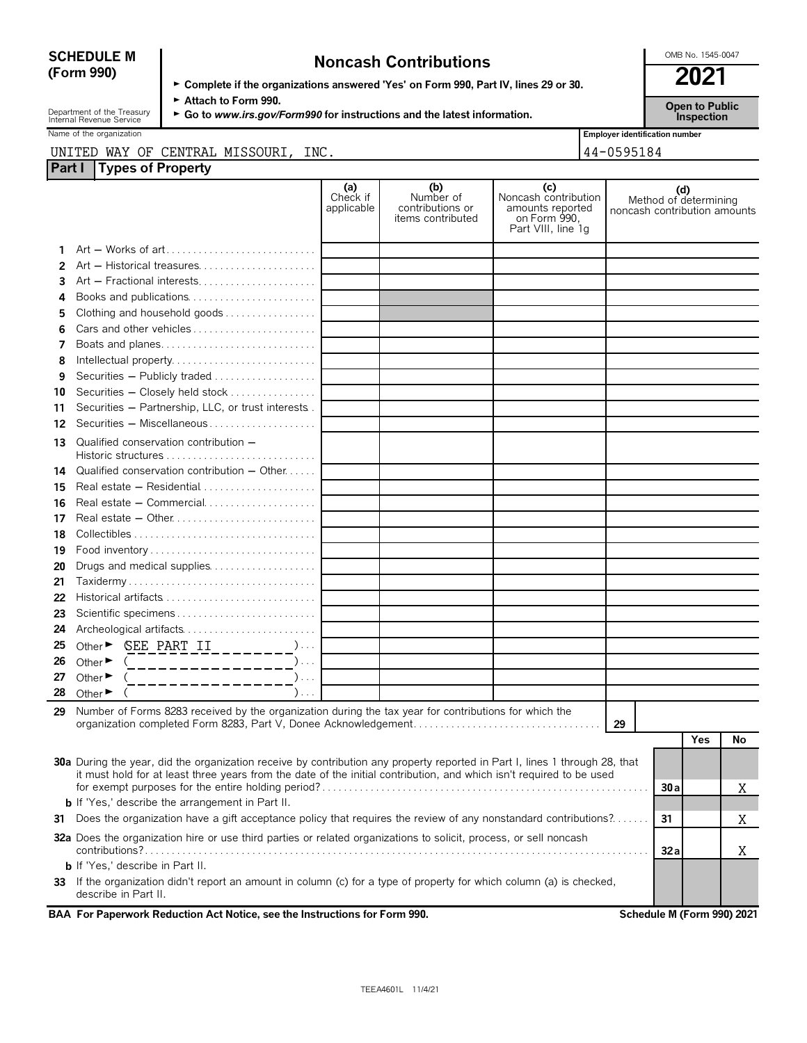| <b>SCHEDULE M</b> | <b>Noncash Contributions</b>                                                         | OMB No. 1545-0047 |
|-------------------|--------------------------------------------------------------------------------------|-------------------|
| (Form 990)        | ► Complete if the organizations answered 'Yes' on Form 990, Part IV, lines 29 or 30. | 2021              |

Department of the Treasury **Comment of the Treasury Comment of the Treasury <b>Comment of the Treasury Comment Comment Comment Comment Comment Comment Comment Comment Comment Comment Comment Comment Comment Comment Comment C** 

Name of the organization **Employer identification number Employer identification number** 

#### UNITED WAY OF CENTRAL MISSOURI, INC. 44-0595184

| $A A = A E A E A Q A$ |
|-----------------------|

| Part I | <b>Types of Property</b>                                                                                                    |                               |                                                           |                                                                                       |                              |     |                       |    |
|--------|-----------------------------------------------------------------------------------------------------------------------------|-------------------------------|-----------------------------------------------------------|---------------------------------------------------------------------------------------|------------------------------|-----|-----------------------|----|
|        |                                                                                                                             | (a)<br>Check if<br>applicable | (b)<br>Number of<br>contributions or<br>items contributed | (c)<br>Noncash contribution<br>amounts reported<br>on Form 990,<br>Part VIII, line 1g | noncash contribution amounts | (d) | Method of determining |    |
| 1.     |                                                                                                                             |                               |                                                           |                                                                                       |                              |     |                       |    |
| 2      | Art - Historical treasures                                                                                                  |                               |                                                           |                                                                                       |                              |     |                       |    |
| 3      | $Art - Fractional$ interests                                                                                                |                               |                                                           |                                                                                       |                              |     |                       |    |
| 4      | Books and publications                                                                                                      |                               |                                                           |                                                                                       |                              |     |                       |    |
| 5      | Clothing and household goods                                                                                                |                               |                                                           |                                                                                       |                              |     |                       |    |
| 6      | Cars and other vehicles                                                                                                     |                               |                                                           |                                                                                       |                              |     |                       |    |
| 7      | Boats and planes                                                                                                            |                               |                                                           |                                                                                       |                              |     |                       |    |
| 8      | Intellectual property                                                                                                       |                               |                                                           |                                                                                       |                              |     |                       |    |
| 9      | Securities - Publicly traded                                                                                                |                               |                                                           |                                                                                       |                              |     |                       |    |
| 10     | Securities - Closely held stock                                                                                             |                               |                                                           |                                                                                       |                              |     |                       |    |
| 11     | Securities - Partnership, LLC, or trust interests.                                                                          |                               |                                                           |                                                                                       |                              |     |                       |    |
| 12     | Securities - Miscellaneous                                                                                                  |                               |                                                           |                                                                                       |                              |     |                       |    |
| 13     | Qualified conservation contribution -                                                                                       |                               |                                                           |                                                                                       |                              |     |                       |    |
| 14     | Qualified conservation contribution - Other                                                                                 |                               |                                                           |                                                                                       |                              |     |                       |    |
| 15     | Real estate - Residential                                                                                                   |                               |                                                           |                                                                                       |                              |     |                       |    |
| 16     | Real estate $-$ Commercial                                                                                                  |                               |                                                           |                                                                                       |                              |     |                       |    |
| 17     |                                                                                                                             |                               |                                                           |                                                                                       |                              |     |                       |    |
|        |                                                                                                                             |                               |                                                           |                                                                                       |                              |     |                       |    |
| 18     |                                                                                                                             |                               |                                                           |                                                                                       |                              |     |                       |    |
| 19     |                                                                                                                             |                               |                                                           |                                                                                       |                              |     |                       |    |
| 20     | Drugs and medical supplies                                                                                                  |                               |                                                           |                                                                                       |                              |     |                       |    |
| 21     |                                                                                                                             |                               |                                                           |                                                                                       |                              |     |                       |    |
| 22     |                                                                                                                             |                               |                                                           |                                                                                       |                              |     |                       |    |
| 23     | Scientific specimens                                                                                                        |                               |                                                           |                                                                                       |                              |     |                       |    |
| 24     | Archeological artifacts                                                                                                     |                               |                                                           |                                                                                       |                              |     |                       |    |
| 25     | Other $\triangleright$ <b>SEE</b> PART II _________)                                                                        |                               |                                                           |                                                                                       |                              |     |                       |    |
| 26     | Other $\blacktriangleright$<br>(_________________<br>$\cdot$                                                                |                               |                                                           |                                                                                       |                              |     |                       |    |
| 27     | Other $\blacktriangleright$<br>$\left($<br>$\sum_{i=1}^{n}$<br>______________                                               |                               |                                                           |                                                                                       |                              |     |                       |    |
| 28     | Other $\blacktriangleright$<br>).                                                                                           |                               |                                                           |                                                                                       |                              |     |                       |    |
| 29     | Number of Forms 8283 received by the organization during the tax year for contributions for which the                       |                               |                                                           |                                                                                       | 29                           |     |                       |    |
|        |                                                                                                                             |                               |                                                           |                                                                                       |                              |     | Yes                   | No |
|        |                                                                                                                             |                               |                                                           |                                                                                       |                              |     |                       |    |
|        | 30a During the year, did the organization receive by contribution any property reported in Part I, lines 1 through 28, that |                               |                                                           |                                                                                       |                              |     |                       |    |
|        | it must hold for at least three years from the date of the initial contribution, and which isn't required to be used        |                               |                                                           |                                                                                       |                              |     |                       |    |
|        |                                                                                                                             |                               |                                                           |                                                                                       |                              | 30a |                       | Χ  |
|        | <b>b</b> If 'Yes,' describe the arrangement in Part II.                                                                     |                               |                                                           |                                                                                       |                              |     |                       |    |
| 31     | Does the organization have a gift acceptance policy that requires the review of any nonstandard contributions?              |                               |                                                           |                                                                                       |                              | 31  |                       | X  |
|        | 32a Does the organization hire or use third parties or related organizations to solicit, process, or sell noncash           |                               |                                                           |                                                                                       |                              | 32a |                       | Χ  |
|        | <b>b</b> If 'Yes,' describe in Part II.                                                                                     |                               |                                                           |                                                                                       |                              |     |                       |    |
|        | 33 If the organization didn't report an amount in column (c) for a type of property for which column (a) is checked,        |                               |                                                           |                                                                                       |                              |     |                       |    |

describe in Part II.

**BAA For Paperwork Reduction Act Notice, see the Instructions for Form 990. Schedule M (Form 990) 2021**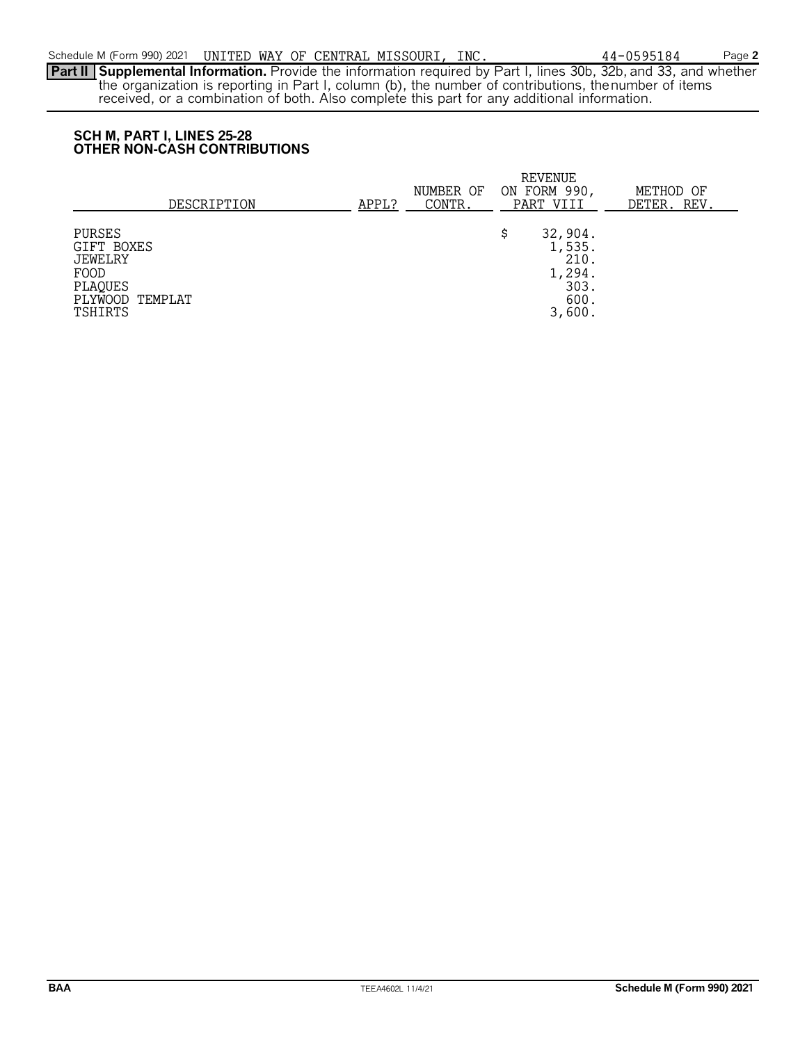**Part II Supplemental Information.** Provide the information required by Part I, lines 30b, 32b, and 33, and whether the organization is reporting in Part I, column (b), the number of contributions, thenumber of items received, or a combination of both. Also complete this part for any additional information.

#### **SCH M, PART I, LINES 25-28 OTHER NON-CASH CONTRIBUTIONS**

| DESCRIPTION                                                                             | APPL? | NUMBER OF<br>CONTR. | <b>REVENUE</b><br>ON FORM 990,<br>PART VIII                         | METHOD OF<br>DETER. REV |
|-----------------------------------------------------------------------------------------|-------|---------------------|---------------------------------------------------------------------|-------------------------|
| PURSES<br>GIFT BOXES<br>JEWELRY<br><b>FOOD</b><br>PLAQUES<br>PLYWOOD TEMPLAT<br>TSHIRTS |       |                     | \$<br>32,904.<br>1,535.<br>210.<br>1,294.<br>303.<br>600.<br>3,600. |                         |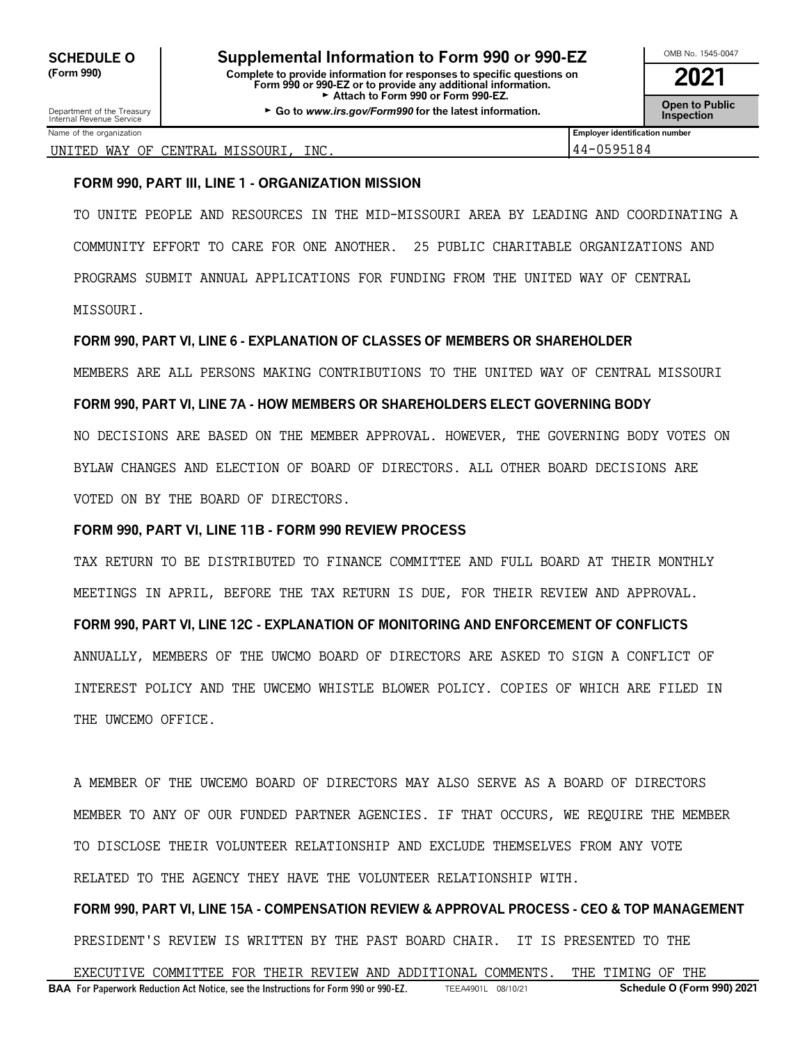|  | 2021              |  |
|--|-------------------|--|
|  | OMB NO. 1545-0047 |  |

| <b>Employer identification number</b> |  |
|---------------------------------------|--|
| 44-0595184                            |  |

# UNITED WAY OF CENTRAL MISSOURI, INC.

### **FORM 990, PART III, LINE 1 - ORGANIZATION MISSION**

TO UNITE PEOPLE AND RESOURCES IN THE MID-MISSOURI AREA BY LEADING AND COORDINATING A COMMUNITY EFFORT TO CARE FOR ONE ANOTHER. 25 PUBLIC CHARITABLE ORGANIZATIONS AND PROGRAMS SUBMIT ANNUAL APPLICATIONS FOR FUNDING FROM THE UNITED WAY OF CENTRAL MISSOURI.

### **FORM 990, PART VI, LINE 6 - EXPLANATION OF CLASSES OF MEMBERS OR SHAREHOLDER**

MEMBERS ARE ALL PERSONS MAKING CONTRIBUTIONS TO THE UNITED WAY OF CENTRAL MISSOURI

### **FORM 990, PART VI, LINE 7A - HOW MEMBERS OR SHAREHOLDERS ELECT GOVERNING BODY**

NO DECISIONS ARE BASED ON THE MEMBER APPROVAL. HOWEVER, THE GOVERNING BODY VOTES ON BYLAW CHANGES AND ELECTION OF BOARD OF DIRECTORS. ALL OTHER BOARD DECISIONS ARE VOTED ON BY THE BOARD OF DIRECTORS.

### **FORM 990, PART VI, LINE 11B - FORM 990 REVIEW PROCESS**

TAX RETURN TO BE DISTRIBUTED TO FINANCE COMMITTEE AND FULL BOARD AT THEIR MONTHLY MEETINGS IN APRIL, BEFORE THE TAX RETURN IS DUE, FOR THEIR REVIEW AND APPROVAL.

**FORM 990, PART VI, LINE 12C - EXPLANATION OF MONITORING AND ENFORCEMENT OF CONFLICTS** ANNUALLY, MEMBERS OF THE UWCMO BOARD OF DIRECTORS ARE ASKED TO SIGN A CONFLICT OF INTEREST POLICY AND THE UWCEMO WHISTLE BLOWER POLICY. COPIES OF WHICH ARE FILED IN THE UWCEMO OFFICE.

A MEMBER OF THE UWCEMO BOARD OF DIRECTORS MAY ALSO SERVE AS A BOARD OF DIRECTORS MEMBER TO ANY OF OUR FUNDED PARTNER AGENCIES. IF THAT OCCURS, WE REQUIRE THE MEMBER TO DISCLOSE THEIR VOLUNTEER RELATIONSHIP AND EXCLUDE THEMSELVES FROM ANY VOTE RELATED TO THE AGENCY THEY HAVE THE VOLUNTEER RELATIONSHIP WITH.

**FORM 990, PART VI, LINE 15A - COMPENSATION REVIEW & APPROVAL PROCESS - CEO & TOP MANAGEMENT** PRESIDENT'S REVIEW IS WRITTEN BY THE PAST BOARD CHAIR. IT IS PRESENTED TO THE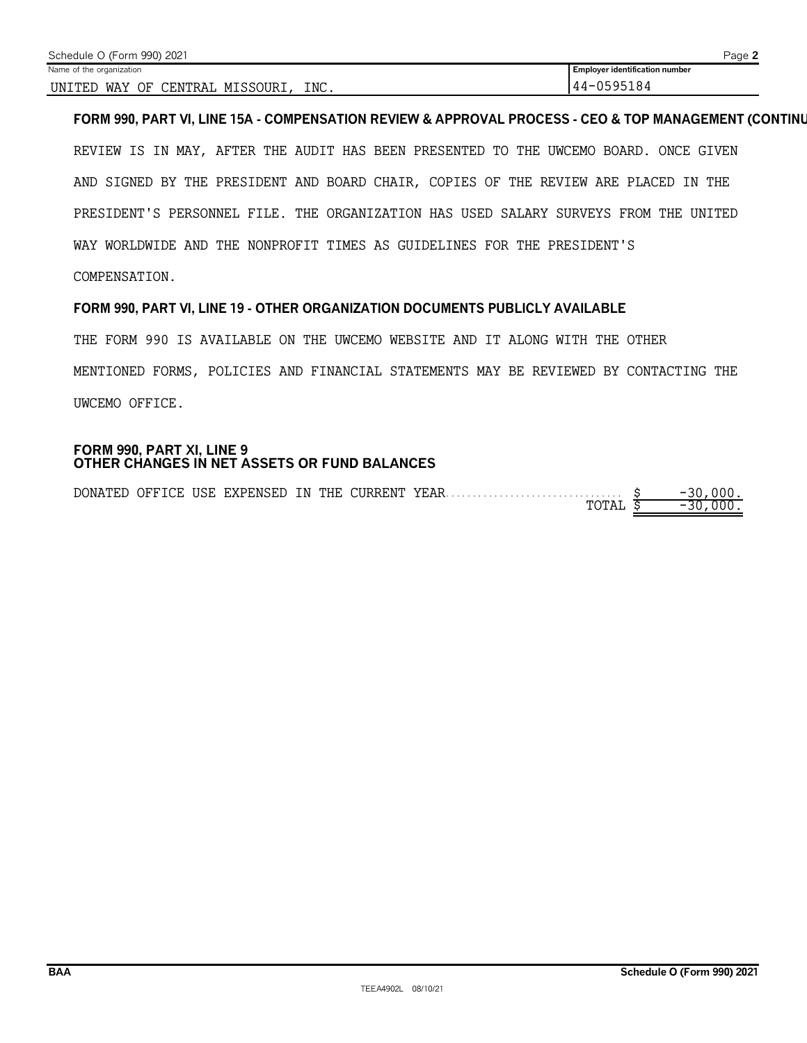| Schedule O (Form 990) 2021<br>Page $\geq$          |                                       |  |  |  |  |
|----------------------------------------------------|---------------------------------------|--|--|--|--|
| Name of the organization                           | <b>Employer identification number</b> |  |  |  |  |
| INC.<br>MISSOURI<br>UNITED<br>WAY<br>CENTRAL<br>OF | 44-0595184                            |  |  |  |  |

### FORM 990, PART VI, LINE 15A - COMPENSATION REVIEW & APPROVAL PROCESS - CEO & TOP MANAGEMENT (CONTINU

REVIEW IS IN MAY, AFTER THE AUDIT HAS BEEN PRESENTED TO THE UWCEMO BOARD. ONCE GIVEN AND SIGNED BY THE PRESIDENT AND BOARD CHAIR, COPIES OF THE REVIEW ARE PLACED IN THE PRESIDENT'S PERSONNEL FILE. THE ORGANIZATION HAS USED SALARY SURVEYS FROM THE UNITED WAY WORLDWIDE AND THE NONPROFIT TIMES AS GUIDELINES FOR THE PRESIDENT'S COMPENSATION.

### **FORM 990, PART VI, LINE 19 - OTHER ORGANIZATION DOCUMENTS PUBLICLY AVAILABLE**

THE FORM 990 IS AVAILABLE ON THE UWCEMO WEBSITE AND IT ALONG WITH THE OTHER MENTIONED FORMS, POLICIES AND FINANCIAL STATEMENTS MAY BE REVIEWED BY CONTACTING THE UWCEMO OFFICE.

#### **FORM 990, PART XI, LINE 9 OTHER CHANGES IN NET ASSETS OR FUND BALANCES**

DONATED OFFICE USE EXPENSED IN THE CURRENT YEAR. . . . . . . . . . . . . . . . . . . . . . . . . . . . . . . . . \$ -30,000. TOTAL \$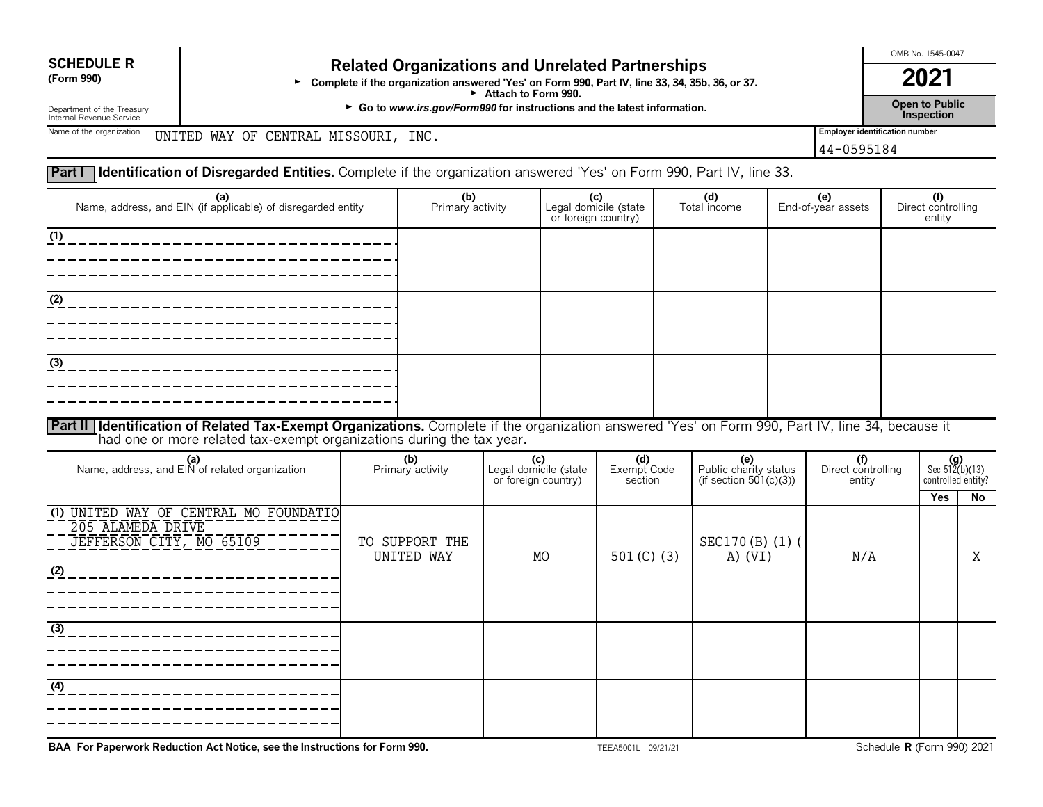SCHEDULE R<br>(Form 990) **Example 1990** Propensive if the organization answered 'Yes' on Form 990, Part IV, line 33, 34, 35b, 36, or 37.<br>Pattach to Form 990.

► Go to *www.irs.gov/Form990* for instructions and the latest information. <br>Inspection

OMB No. 1545-0047

44-0595184

Department of the Treasury<br>Internal Revenue Service

Name of the organization **UNITED WAY OF CENTRAL MISSOURI, INC.** 

### **Part I Identification of Disregarded Entities.** Complete if the organization answered 'Yes' on Form 990, Part IV, line 33.

| (a)<br>Name, address, and EIN (if applicable) of disregarded entity                                                                                                                                                            |                              | (b)<br>Primary activity |                                                     | (c)<br>Legal domicile (state<br>or foreign country) |                               | (d)<br>Total income |                                                           | (e)<br>End-of-year assets |                                     | (f)<br>Direct controlling<br>entity |                                               |         |
|--------------------------------------------------------------------------------------------------------------------------------------------------------------------------------------------------------------------------------|------------------------------|-------------------------|-----------------------------------------------------|-----------------------------------------------------|-------------------------------|---------------------|-----------------------------------------------------------|---------------------------|-------------------------------------|-------------------------------------|-----------------------------------------------|---------|
| (1)<br>______________________________                                                                                                                                                                                          |                              |                         |                                                     |                                                     |                               |                     |                                                           |                           |                                     |                                     |                                               |         |
| (2)<br>__________________________________                                                                                                                                                                                      |                              |                         |                                                     |                                                     |                               |                     |                                                           |                           |                                     |                                     |                                               |         |
| $(3)$<br>________________________________                                                                                                                                                                                      |                              |                         |                                                     |                                                     |                               |                     |                                                           |                           |                                     |                                     |                                               |         |
|                                                                                                                                                                                                                                |                              |                         |                                                     |                                                     |                               |                     |                                                           |                           |                                     |                                     |                                               |         |
| <b>Part II Identification of Related Tax-Exempt Organizations.</b> Complete if the organization answered 'Yes' on Form 990, Part IV, line 34, because it had one or more related tax-exempt organizations during the tax year. |                              |                         |                                                     |                                                     |                               |                     |                                                           |                           |                                     |                                     |                                               |         |
| (a)<br>Name, address, and EIN of related organization                                                                                                                                                                          | (b)<br>Primary activity      |                         | (c)<br>Legal domicile (state<br>or foreign country) |                                                     | (d)<br>Exempt Code<br>section |                     | (e)<br>Public charity status<br>(if section $501(c)(3)$ ) |                           | (f)<br>Direct controlling<br>entity |                                     | $(g)$<br>Sec 512(b)(13)<br>controlled entity? |         |
| (1) UNITED WAY OF CENTRAL MO FOUNDATIO<br>205 ALAMEDA DRIVE<br>JEFFERSON CITY, MO 65109                                                                                                                                        | TO SUPPORT THE<br>UNITED WAY |                         |                                                     | MO<br>501 $(C)$ $(3)$                               |                               |                     | SEC170(B)(1)(<br>A) (VI)                                  |                           | N/A                                 |                                     | Yes                                           | No<br>X |
| $\overline{(2)}$                                                                                                                                                                                                               |                              |                         |                                                     |                                                     |                               |                     |                                                           |                           |                                     |                                     |                                               |         |
| (3)                                                                                                                                                                                                                            |                              |                         |                                                     |                                                     |                               |                     |                                                           |                           |                                     |                                     |                                               |         |
| (4)                                                                                                                                                                                                                            |                              |                         |                                                     |                                                     |                               |                     |                                                           |                           |                                     |                                     |                                               |         |

**BAA For Paperwork Reduction Act Notice, see the Instructions for Form 990.** TEEA5001L 09/21/21 Schedule **R** (Form 990) 2021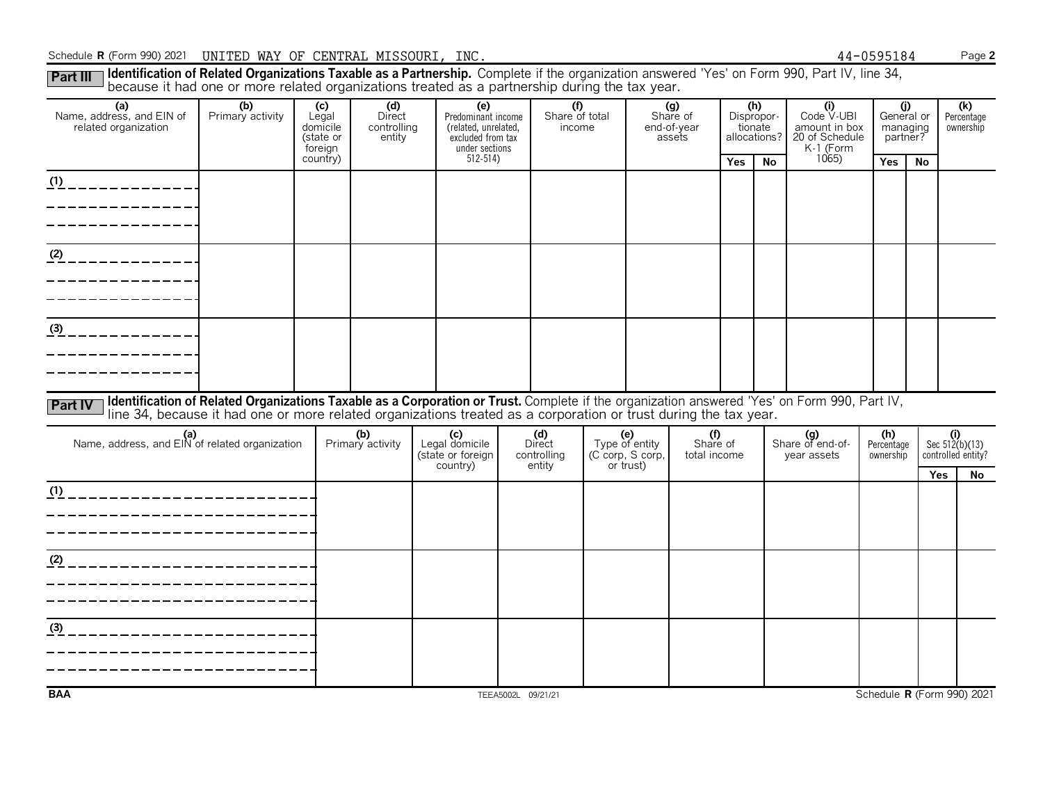#### Schedule **R** (Form 990) 2021 UNITED WAY OF CENTRAL MISSOURI, INC.  $44-0595184$

Part III Identification of Related Organizations Taxable as a Partnership. Complete if the organization answered 'Yes' on Form 990, Part IV, line 34,<br>because it had one or more related organizations treated as a partnershi

|                                                          |                                                                                                                                                                                                                                |                                                  |                                        |                                                                                          |                    | $\overline{(\text{f})}$      |                                           |                                          |     | (h)                                   | (i)                                                        |                                           |     |                                               |
|----------------------------------------------------------|--------------------------------------------------------------------------------------------------------------------------------------------------------------------------------------------------------------------------------|--------------------------------------------------|----------------------------------------|------------------------------------------------------------------------------------------|--------------------|------------------------------|-------------------------------------------|------------------------------------------|-----|---------------------------------------|------------------------------------------------------------|-------------------------------------------|-----|-----------------------------------------------|
| (a)<br>Name, address, and EIN of<br>related organization | (b)<br>Primary activity                                                                                                                                                                                                        | (c)<br>Legal<br>domicile<br>(state or<br>foreign | (d)<br>Direct<br>controlling<br>entity | (e)<br>Predominant income<br>(related, unrelated,<br>excluded from tax<br>under sections |                    | Share of total<br>income     |                                           | (g)<br>Share of<br>end-of-year<br>assets |     | Dispropor-<br>tionate<br>allocations? | Code V-UBI<br>amount in box<br>20 of Schedule<br>K-1 (Form | (j)<br>General or<br>managing<br>partner? |     | (k)<br>Percentage<br>ownership                |
|                                                          |                                                                                                                                                                                                                                | country)                                         |                                        | $512 - 514$                                                                              |                    |                              |                                           |                                          | Yes | <b>No</b>                             | 1065                                                       | Yes                                       | No  |                                               |
| (1)                                                      |                                                                                                                                                                                                                                |                                                  |                                        |                                                                                          |                    |                              |                                           |                                          |     |                                       |                                                            |                                           |     |                                               |
|                                                          |                                                                                                                                                                                                                                |                                                  |                                        |                                                                                          |                    |                              |                                           |                                          |     |                                       |                                                            |                                           |     |                                               |
|                                                          |                                                                                                                                                                                                                                |                                                  |                                        |                                                                                          |                    |                              |                                           |                                          |     |                                       |                                                            |                                           |     |                                               |
|                                                          |                                                                                                                                                                                                                                |                                                  |                                        |                                                                                          |                    |                              |                                           |                                          |     |                                       |                                                            |                                           |     |                                               |
| (2)                                                      |                                                                                                                                                                                                                                |                                                  |                                        |                                                                                          |                    |                              |                                           |                                          |     |                                       |                                                            |                                           |     |                                               |
|                                                          |                                                                                                                                                                                                                                |                                                  |                                        |                                                                                          |                    |                              |                                           |                                          |     |                                       |                                                            |                                           |     |                                               |
|                                                          |                                                                                                                                                                                                                                |                                                  |                                        |                                                                                          |                    |                              |                                           |                                          |     |                                       |                                                            |                                           |     |                                               |
|                                                          |                                                                                                                                                                                                                                |                                                  |                                        |                                                                                          |                    |                              |                                           |                                          |     |                                       |                                                            |                                           |     |                                               |
| $\frac{(3)}{(2)}$ _ _ _ _ _ _ _ _ _ _ _ _ _              |                                                                                                                                                                                                                                |                                                  |                                        |                                                                                          |                    |                              |                                           |                                          |     |                                       |                                                            |                                           |     |                                               |
|                                                          |                                                                                                                                                                                                                                |                                                  |                                        |                                                                                          |                    |                              |                                           |                                          |     |                                       |                                                            |                                           |     |                                               |
|                                                          |                                                                                                                                                                                                                                |                                                  |                                        |                                                                                          |                    |                              |                                           |                                          |     |                                       |                                                            |                                           |     |                                               |
|                                                          |                                                                                                                                                                                                                                |                                                  |                                        |                                                                                          |                    |                              |                                           |                                          |     |                                       |                                                            |                                           |     |                                               |
| Part IV                                                  | Identification of Related Organizations Taxable as a Corporation or Trust. Complete if the organization answered 'Yes' on Form 990, Part IV, line 34, because it had one or more related organizations treated as a corporatio |                                                  |                                        |                                                                                          |                    |                              |                                           |                                          |     |                                       |                                                            |                                           |     |                                               |
|                                                          |                                                                                                                                                                                                                                |                                                  |                                        |                                                                                          |                    |                              |                                           |                                          |     |                                       |                                                            | (h)                                       |     |                                               |
| (a)<br>Name, address, and EIN of related organization    |                                                                                                                                                                                                                                |                                                  | (b)<br>Primary activity                | (c)<br>Legal domicile<br>(state or foreign                                               |                    | (d)<br>Direct<br>controlling | (e)<br>Type of entity<br>(C corp, S corp, | (f)<br>Share of<br>total income          |     |                                       | (g)<br>Share of end-of-<br>year assets                     | Percentage<br>ownership                   |     | (i)<br>Sec $512(b)(13)$<br>controlled entity? |
|                                                          |                                                                                                                                                                                                                                |                                                  |                                        | country)                                                                                 |                    | entity                       | or trust)                                 |                                          |     |                                       |                                                            |                                           | Yes | No.                                           |
| (1)<br>------------------------                          |                                                                                                                                                                                                                                |                                                  |                                        |                                                                                          |                    |                              |                                           |                                          |     |                                       |                                                            |                                           |     |                                               |
|                                                          |                                                                                                                                                                                                                                |                                                  |                                        |                                                                                          |                    |                              |                                           |                                          |     |                                       |                                                            |                                           |     |                                               |
|                                                          |                                                                                                                                                                                                                                |                                                  |                                        |                                                                                          |                    |                              |                                           |                                          |     |                                       |                                                            |                                           |     |                                               |
|                                                          |                                                                                                                                                                                                                                |                                                  |                                        |                                                                                          |                    |                              |                                           |                                          |     |                                       |                                                            |                                           |     |                                               |
| (2)<br>_________________________                         |                                                                                                                                                                                                                                |                                                  |                                        |                                                                                          |                    |                              |                                           |                                          |     |                                       |                                                            |                                           |     |                                               |
|                                                          |                                                                                                                                                                                                                                |                                                  |                                        |                                                                                          |                    |                              |                                           |                                          |     |                                       |                                                            |                                           |     |                                               |
|                                                          |                                                                                                                                                                                                                                |                                                  |                                        |                                                                                          |                    |                              |                                           |                                          |     |                                       |                                                            |                                           |     |                                               |
|                                                          |                                                                                                                                                                                                                                |                                                  |                                        |                                                                                          |                    |                              |                                           |                                          |     |                                       |                                                            |                                           |     |                                               |
| (3)                                                      |                                                                                                                                                                                                                                |                                                  |                                        |                                                                                          |                    |                              |                                           |                                          |     |                                       |                                                            |                                           |     |                                               |
|                                                          |                                                                                                                                                                                                                                |                                                  |                                        |                                                                                          |                    |                              |                                           |                                          |     |                                       |                                                            |                                           |     |                                               |
|                                                          |                                                                                                                                                                                                                                |                                                  |                                        |                                                                                          |                    |                              |                                           |                                          |     |                                       |                                                            |                                           |     |                                               |
| <b>BAA</b>                                               |                                                                                                                                                                                                                                |                                                  |                                        |                                                                                          | TEEA5002L 09/21/21 |                              |                                           |                                          |     |                                       |                                                            |                                           |     | Schedule R (Form 990) 2021                    |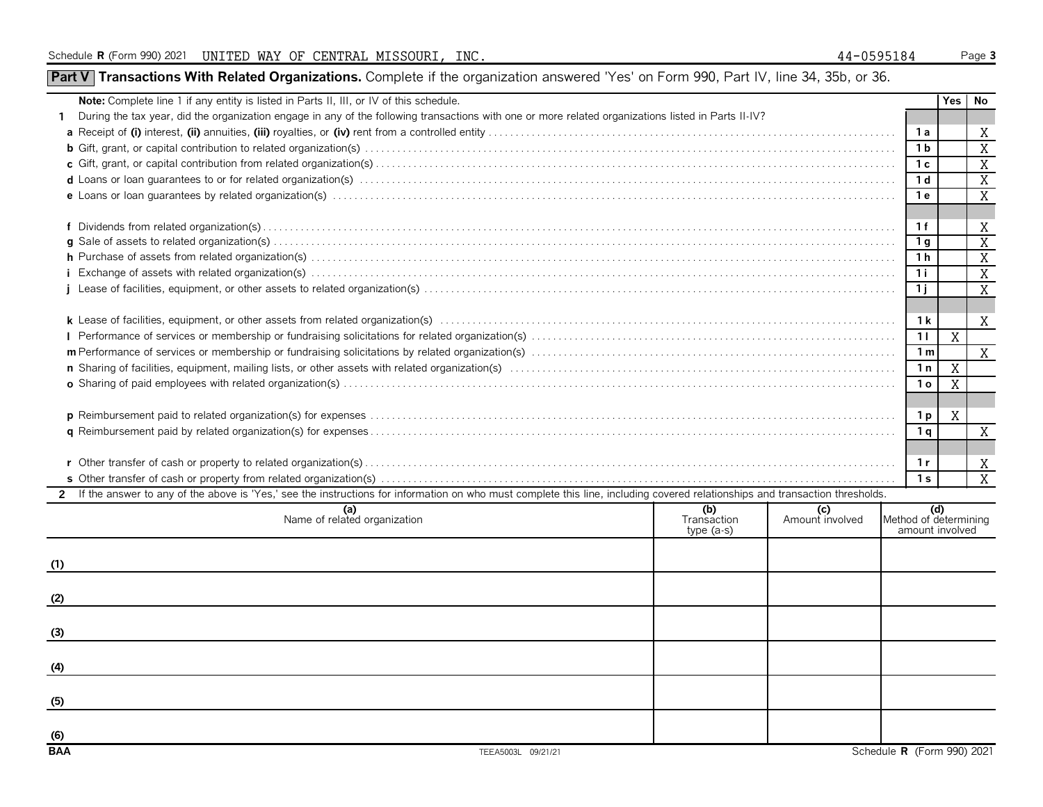## **Part V** Transactions With Related Organizations. Complete if the organization answered 'Yes' on Form 990, Part IV, line 34, 35b, or 36.

| Note: Complete line 1 if any entity is listed in Parts II, III, or IV of this schedule.                                                                                                                               |                                   |                        |                                                 | <b>Yes</b> | No             |
|-----------------------------------------------------------------------------------------------------------------------------------------------------------------------------------------------------------------------|-----------------------------------|------------------------|-------------------------------------------------|------------|----------------|
| During the tax year, did the organization engage in any of the following transactions with one or more related organizations listed in Parts II-IV?<br>1                                                              |                                   |                        |                                                 |            |                |
|                                                                                                                                                                                                                       |                                   |                        | 1а                                              |            | X              |
|                                                                                                                                                                                                                       |                                   |                        | 1 <sub>b</sub>                                  |            | $\overline{X}$ |
|                                                                                                                                                                                                                       |                                   |                        | 1 с                                             |            | X              |
|                                                                                                                                                                                                                       |                                   |                        | 1 d                                             |            | $\overline{X}$ |
|                                                                                                                                                                                                                       |                                   |                        | 1 e                                             |            | $\overline{X}$ |
|                                                                                                                                                                                                                       |                                   |                        |                                                 |            |                |
|                                                                                                                                                                                                                       |                                   |                        | 1 f                                             |            | X              |
|                                                                                                                                                                                                                       |                                   |                        | 1 g                                             |            | $\overline{X}$ |
|                                                                                                                                                                                                                       |                                   |                        | 1 h                                             |            | X              |
| $\mathbf{i}$ Exchange of assets with related organization(s) $\ldots$ $\ldots$ $\ldots$ $\ldots$ $\ldots$ $\ldots$ $\ldots$ $\ldots$ $\ldots$ $\ldots$ $\ldots$ $\ldots$ $\ldots$ $\ldots$ $\ldots$ $\ldots$ $\ldots$ |                                   |                        | 1i                                              |            | X              |
|                                                                                                                                                                                                                       |                                   |                        | 1 i                                             |            | X              |
|                                                                                                                                                                                                                       |                                   |                        |                                                 |            |                |
|                                                                                                                                                                                                                       |                                   |                        | 1 k                                             |            | X              |
|                                                                                                                                                                                                                       |                                   |                        | 11                                              | X          |                |
|                                                                                                                                                                                                                       |                                   |                        | 1 m                                             |            | X              |
|                                                                                                                                                                                                                       |                                   |                        | 1n                                              | Χ          |                |
|                                                                                                                                                                                                                       |                                   |                        | 1 о                                             | X          |                |
|                                                                                                                                                                                                                       |                                   |                        |                                                 |            |                |
|                                                                                                                                                                                                                       |                                   |                        | 1 p                                             | X          |                |
|                                                                                                                                                                                                                       |                                   |                        | 1 q                                             |            | X              |
|                                                                                                                                                                                                                       |                                   |                        |                                                 |            |                |
|                                                                                                                                                                                                                       |                                   |                        | 1 r                                             |            | X              |
|                                                                                                                                                                                                                       |                                   |                        | 1 <sub>s</sub>                                  |            | $\overline{X}$ |
| 2 If the answer to any of the above is 'Yes,' see the instructions for information on who must complete this line, including covered relationships and transaction thresholds.                                        |                                   |                        |                                                 |            |                |
| (a)<br>Name of related organization                                                                                                                                                                                   | (b)<br>Transaction<br>$type(a-s)$ | (c)<br>Amount involved | (d)<br>Method of determining<br>amount involved |            |                |
|                                                                                                                                                                                                                       |                                   |                        |                                                 |            |                |
| (1)                                                                                                                                                                                                                   |                                   |                        |                                                 |            |                |
|                                                                                                                                                                                                                       |                                   |                        |                                                 |            |                |
| (2)                                                                                                                                                                                                                   |                                   |                        |                                                 |            |                |
| (3)                                                                                                                                                                                                                   |                                   |                        |                                                 |            |                |
|                                                                                                                                                                                                                       |                                   |                        |                                                 |            |                |
| (4)                                                                                                                                                                                                                   |                                   |                        |                                                 |            |                |
| (5)                                                                                                                                                                                                                   |                                   |                        |                                                 |            |                |
|                                                                                                                                                                                                                       |                                   |                        |                                                 |            |                |
| (6)                                                                                                                                                                                                                   |                                   |                        |                                                 |            |                |
| <b>BAA</b><br>TEEA5003L 09/21/21                                                                                                                                                                                      |                                   |                        | Schedule R (Form 990) 2021                      |            |                |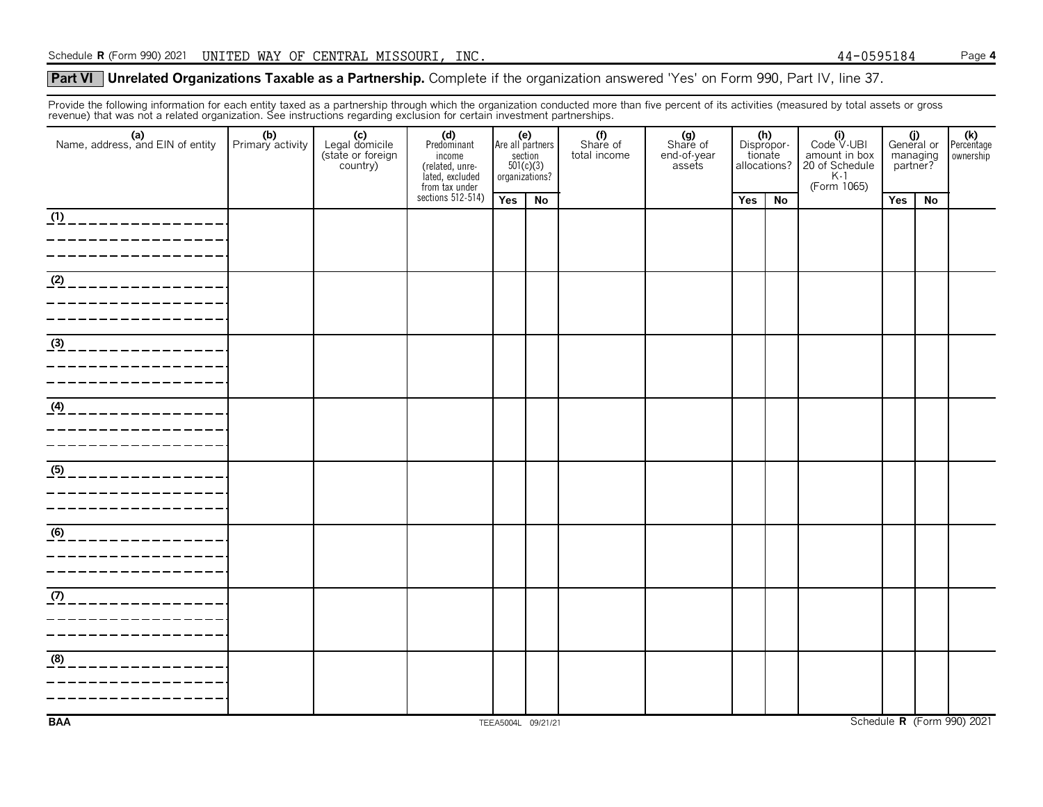### **Part VI** Unrelated Organizations Taxable as a Partnership. Complete if the organization answered 'Yes' on Form 990, Part IV, line 37.

Provide the following information for each entity taxed as a partnership through which the organization conducted more than five percent of its activities (measured by total assets or gross revenue) that was not a related organization. See instructions regarding exclusion for certain investment partnerships.

| oronacy mat mac not a rolated organization. See metraolic regarding exekción for cortan mixediment partnerompo |                         |                                                        |                                                                                                                        |     |                                                                     |                                 |                                          |                         |                   |                                                                                |     |                                           |                                |
|----------------------------------------------------------------------------------------------------------------|-------------------------|--------------------------------------------------------|------------------------------------------------------------------------------------------------------------------------|-----|---------------------------------------------------------------------|---------------------------------|------------------------------------------|-------------------------|-------------------|--------------------------------------------------------------------------------|-----|-------------------------------------------|--------------------------------|
| (a)<br>Name, address, and EIN of entity                                                                        | (b)<br>Primary activity | (c)<br>Legal domicile<br>(state or foreign<br>country) | (d)<br>Predominant<br>income<br>related, unrelated, excluded<br>lated, excluded<br>from tax under<br>sections 512-514) |     | (e)<br>Are all partners<br>section<br>$501(c)(3)$<br>organizations? | (f)<br>Share of<br>total income | (g)<br>Share of<br>end-of-year<br>assets | tionate<br>allocations? | (h)<br>Dispropor- | $(i)$<br>Code V-UBI<br>amount in box<br>20 of Schedule<br>$K-1$<br>(Form 1065) |     | (j)<br>General or<br>managing<br>partner? | (k)<br>Percentage<br>ownership |
|                                                                                                                |                         |                                                        |                                                                                                                        | Yes | No                                                                  |                                 |                                          | Yes                     | No                |                                                                                | Yes | No                                        |                                |
| (1)<br>_____________                                                                                           |                         |                                                        |                                                                                                                        |     |                                                                     |                                 |                                          |                         |                   |                                                                                |     |                                           |                                |
| (2)                                                                                                            |                         |                                                        |                                                                                                                        |     |                                                                     |                                 |                                          |                         |                   |                                                                                |     |                                           |                                |
| (3)                                                                                                            |                         |                                                        |                                                                                                                        |     |                                                                     |                                 |                                          |                         |                   |                                                                                |     |                                           |                                |
| (4)<br>_____________                                                                                           |                         |                                                        |                                                                                                                        |     |                                                                     |                                 |                                          |                         |                   |                                                                                |     |                                           |                                |
| (5)                                                                                                            |                         |                                                        |                                                                                                                        |     |                                                                     |                                 |                                          |                         |                   |                                                                                |     |                                           |                                |
| (6)                                                                                                            |                         |                                                        |                                                                                                                        |     |                                                                     |                                 |                                          |                         |                   |                                                                                |     |                                           |                                |
| (7)                                                                                                            |                         |                                                        |                                                                                                                        |     |                                                                     |                                 |                                          |                         |                   |                                                                                |     |                                           |                                |
| (8)<br>____________                                                                                            |                         |                                                        |                                                                                                                        |     |                                                                     |                                 |                                          |                         |                   |                                                                                |     |                                           |                                |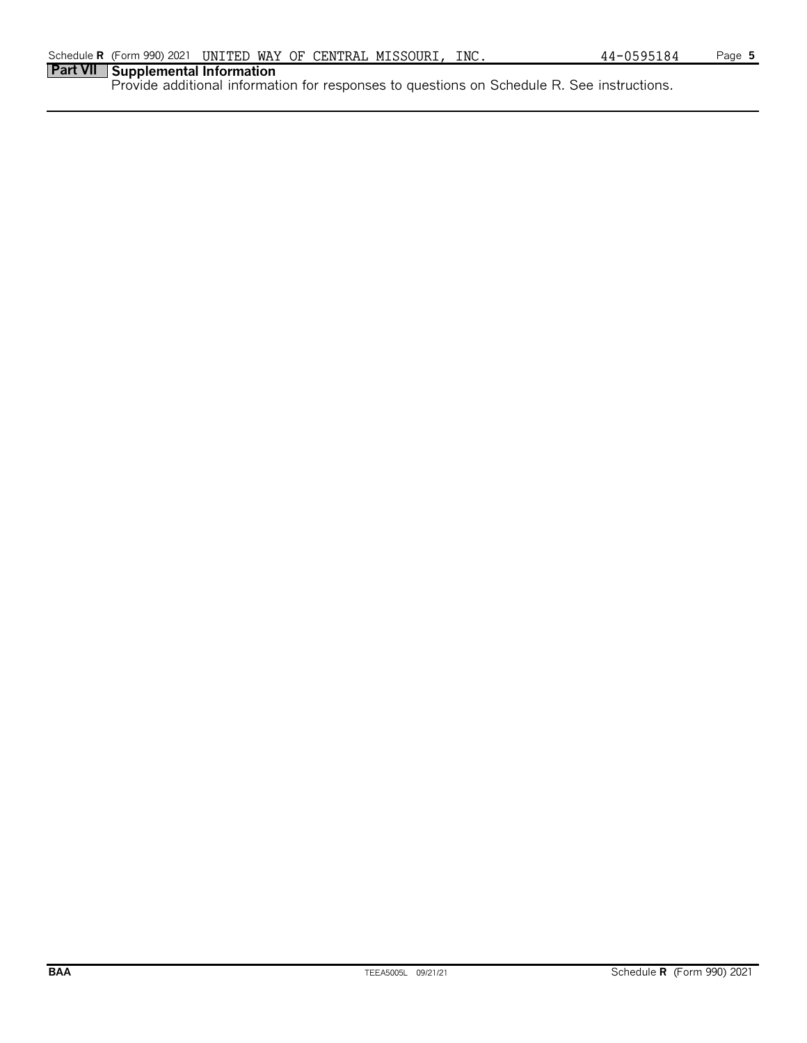### **Part VII Supplemental Information**

Provide additional information for responses to questions on Schedule R. See instructions.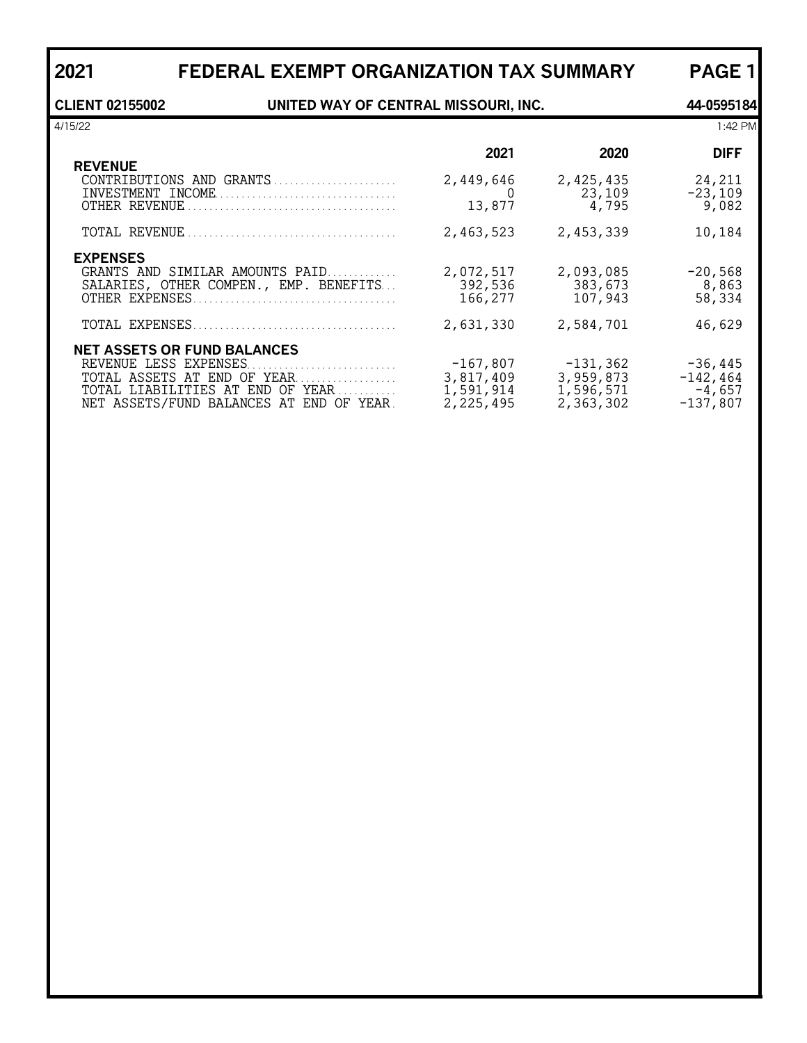# **2021 FEDERAL EXEMPT ORGANIZATION TAX SUMMARY PAGE 1**

### **CLIENT 02155002 UNITED WAY OF CENTRAL MISSOURI, INC. 44-0595184**

| 4/15/22                                                                                                                                                                    |                                                   |                                                   | 1:42 PM                                            |
|----------------------------------------------------------------------------------------------------------------------------------------------------------------------------|---------------------------------------------------|---------------------------------------------------|----------------------------------------------------|
|                                                                                                                                                                            | 2021                                              | 2020                                              | <b>DIFF</b>                                        |
| <b>REVENUE</b><br>CONTRIBUTIONS AND GRANTS<br>INVESTMENT INCOME                                                                                                            | 2,449,646<br>- 0<br>13,877                        | 2,425,435<br>23,109<br>4,795                      | 24,211<br>$-23,109$<br>9,082                       |
|                                                                                                                                                                            | 2,463,523                                         | 2,453,339                                         | 10,184                                             |
| <b>EXPENSES</b><br>GRANTS AND SIMILAR AMOUNTS PAID<br>SALARIES, OTHER COMPEN., EMP. BENEFITS                                                                               | 2,072,517<br>392,536<br>166,277                   | 2,093,085<br>383,673<br>107,943                   | $-20,568$<br>8,863<br>58,334                       |
|                                                                                                                                                                            | 2,631,330                                         | 2,584,701                                         | 46,629                                             |
| <b>NET ASSETS OR FUND BALANCES</b><br>REVENUE LESS EXPENSES<br>TOTAL ASSETS AT END OF YEAR<br>TOTAL LIABILITIES AT END OF YEAR<br>NET ASSETS/FUND BALANCES AT END OF YEAR. | $-167,807$<br>3,817,409<br>1,591,914<br>2,225,495 | $-131,362$<br>3,959,873<br>1,596,571<br>2,363,302 | $-36,445$<br>$-142, 464$<br>$-4,657$<br>$-137,807$ |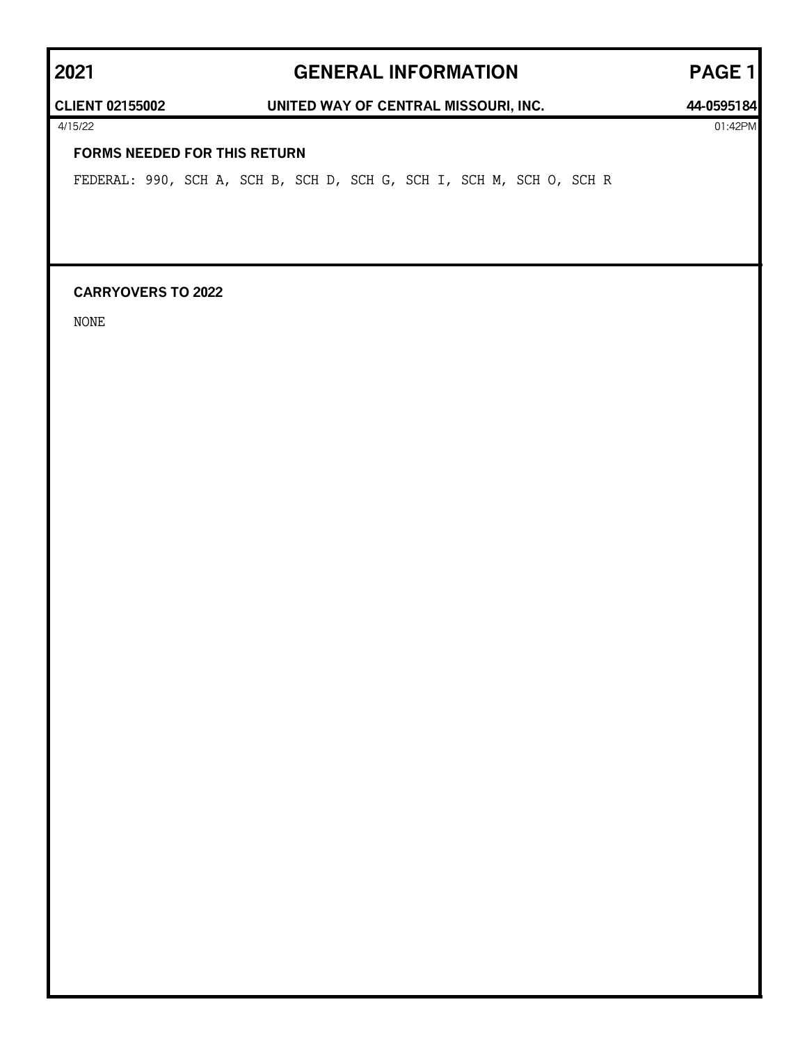## **2021 GENERAL INFORMATION PAGE 1**

### **CLIENT 02155002 UNITED WAY OF CENTRAL MISSOURI, INC. 44-0595184**

4/15/22 01:42PM

### **FORMS NEEDED FOR THIS RETURN**

FEDERAL: 990, SCH A, SCH B, SCH D, SCH G, SCH I, SCH M, SCH O, SCH R

### **CARRYOVERS TO 2022**

NONE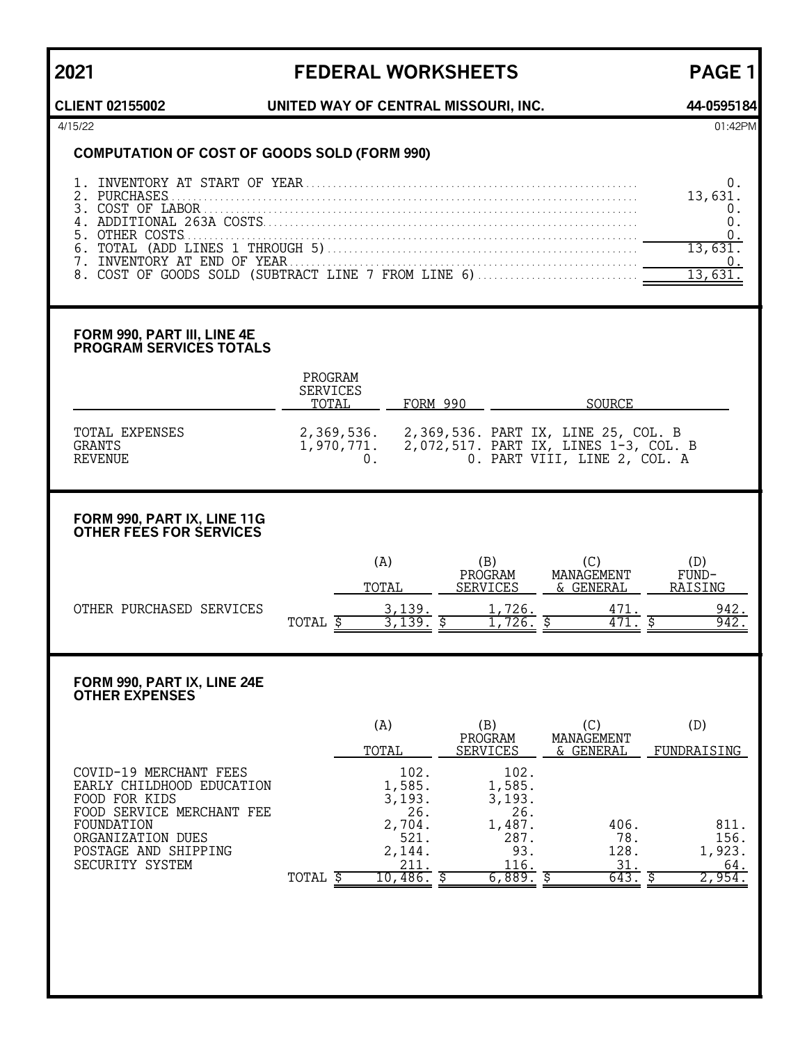# **2021 FEDERAL WORKSHEETS PAGE 1**

### **CLIENT 02155002 UNITED WAY OF CENTRAL MISSOURI, INC. 44-0595184**

4/15/22 01:42PM

### **COMPUTATION OF COST OF GOODS SOLD (FORM 990)**

#### **FORM 990, PART III, LINE 4E PROGRAM SERVICES TOTALS**

|                                            | PROGRAM<br><b>SERVICES</b><br>TOTAL | FORM 990 | SOURCE                                                                                                       |
|--------------------------------------------|-------------------------------------|----------|--------------------------------------------------------------------------------------------------------------|
| TOTAL EXPENSES<br><b>GRANTS</b><br>REVENUE | 2,369,536.<br>1,970,771.            |          | 2,369,536. PART IX, LINE 25, COL. B<br>2,072,517. PART IX, LINES 1-3, COL. B<br>0. PART VIII, LINE 2, COL. A |

#### **FORM 990, PART IX, LINE 11G OTHER FEES FOR SERVICES**

|                                |       | (A)<br>TOTAL | B<br>PROGRAM<br>SERVI<br>ICES | ◡<br>MANAGEMENT<br>GENERAL<br>∼ | FUND-<br>RAISING |
|--------------------------------|-------|--------------|-------------------------------|---------------------------------|------------------|
| PURCHASED<br>SERVICES<br>OTHER | TOTAL | .139.<br>ٮ   | ZD.<br>70.<br>ZΟ              | 4<br>47                         | 942.<br>942.     |

#### **FORM 990, PART IX, LINE 24E OTHER EXPENSES**

|                           |       | (A)         | (B)                        | (C)                     | (D)         |
|---------------------------|-------|-------------|----------------------------|-------------------------|-------------|
|                           |       | TOTAL       | PROGRAM<br><b>SERVICES</b> | MANAGEMENT<br>& GENERAL | FUNDRAISING |
| COVID-19 MERCHANT FEES    |       | 102.        | 102.                       |                         |             |
| EARLY CHILDHOOD EDUCATION |       | 1,585.      | 1,585.                     |                         |             |
| FOOD FOR KIDS             |       | 3,193.      | 3,193.                     |                         |             |
| FOOD SERVICE MERCHANT FEE |       | 26.         | 26.                        |                         |             |
| FOUNDATION                |       | 2,704.      | 1,487.                     | 406.                    | 811.        |
| ORGANIZATION<br>DUES.     |       | 521.        | 287.                       | 78.                     | 156.        |
| POSTAGE AND SHIPPING      |       | 2,144.      | 93.                        | 128.                    | 1,923.      |
| SECURITY SYSTEM           |       | 211         | 116                        | 31                      | 64.         |
|                           | TOTAL | 486.<br>10. | 6,889.                     | 643                     | 2,954.      |